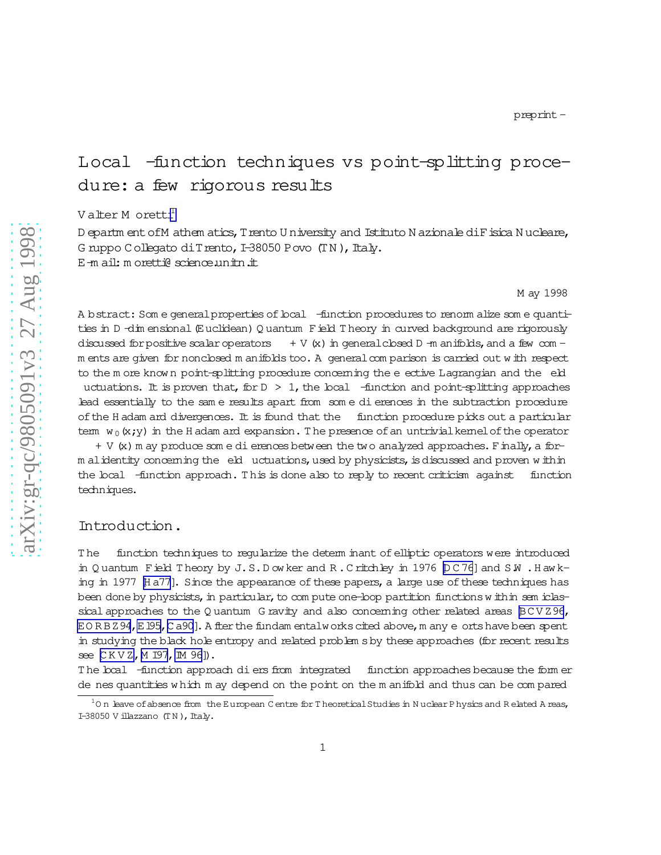# Local -function techniques vs point-splitting procedure: a few rigorous results

V alter M oretti<sup>1</sup>

D epartm ent of M athem atics, T rento U niversity and Istituto N azionale di F isica N ucleare, G ruppo Collegato di Trento, I-38050 Povo (TN), Italy. E-m ail: m oretti@ science.unitn.it

M ay 1998

A bstract: Som e general properties of local -function procedures to renorm alize som e quantities in D-dim ensional (Euclidean) Q uantum Field T heory in curved background are rigorously discussed for positive scalar operators  $+V(x)$  in general closed D -m anifolds, and a few com m ents are given for nonclosed m anifolds too. A generalcom parison is carried out w ith respect to the m ore known point-splitting procedure concerning the e ective Lagrangian and the eld uctuations. It is proven that, for  $D > 1$ , the local -function and point-splitting approaches lead essentially to the sam e results apart from som e dierences in the subtraction procedure ofthe H adam ard divergences. It is found that the function procedure picks out a particular term  $w_0(x;y)$  in the H adam ard expansion. The presence of an untrivial kernel of the operator

+ V (x) m ay produce som e dierences between the two analyzed approaches. Finally, a form alidentity concerning the eld uctuations, used by physicists, is discussed and proven within the local -function approach. T his is done also to reply to recent criticism against function techniques.

### Introduction.

The function techniques to reqularize the determ inant of elliptic operators were introduced in Q uantum Field Theory by J.S.D ow ker and R.C ritchley in 1976  $D$  C 76] and S.W . H aw k-ing in 1977 [\[H a77\]](#page-38-0). Since the appearance of these papers, a large use of these techniques has been done by physicists, in particular, to com pute one-loop partition functions within sem iclassical approaches to the Q uantum G ravity and also concerning other related areas  $BCV 296$ ,  $EORBZ94$ ,  $E195$ , [C a90](#page-37-0)]. A fter the fundam entalworks cited above, m any e orts have been spent in studying the black hole entropy and related problem sby these approaches (for recent results see [CKVZ, [M I97](#page-39-0), [IM 96\]](#page-39-0)).

The local -function approach diers from integrated function approaches because the form er denes quantities w hich m ay depend on the point on the m anifold and thus can be com pared

 $^1$ O n leave of absence from the European C entre for T heoretical Studies in N uclear P hysics and R elated A reas, I-38050 V illazzano  $(TN)$ , Italy.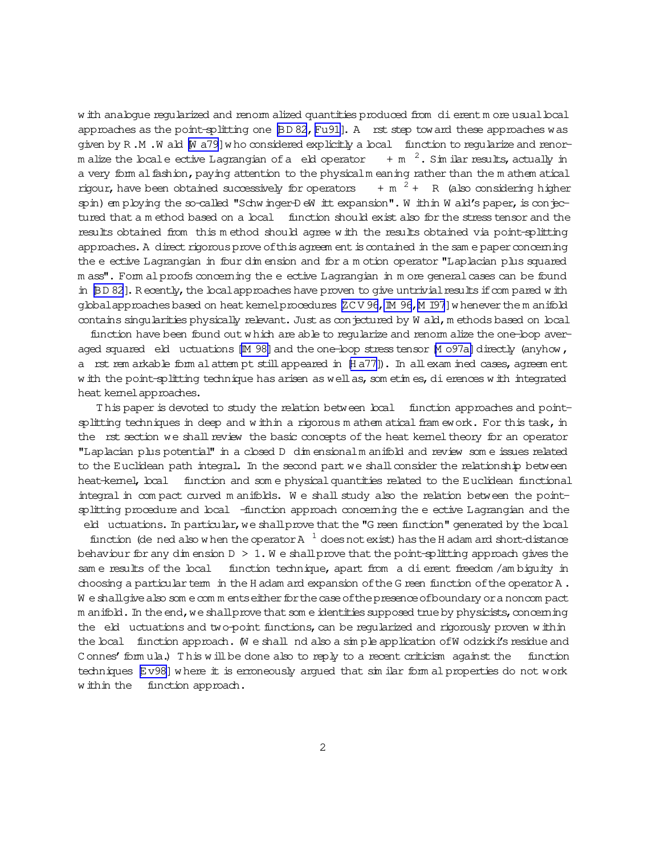w ith analogue regularized and renorm alized quantities produced from dierentm ore usual local approaches as the point-splitting one  $BD 82$ ,  $Fu91$ ]. A rst step toward these approaches was given by R .M .W ald [\[W a79](#page-39-0)]w ho considered explicitly a local function to regularize and renorm alize the locale ective Lagrangian of a eld operator  $+$  m  $^{-2}$ . Sim ilar results, actually in a very form alfashion, paying attention to the physicalm eaning rather than the m athem atical rigour, have been obtained successively for operators  $+m<sup>2</sup> + R$  (also considering higher spin) em ploying the so-called "Schw inger-D eW itt expansion". W ithin W ald's paper, is conjectured that a m ethod based on a local function should exist also for the stress tensor and the results obtained from this m ethod should agree w ith the results obtained via point-splitting approaches. A direct rigorous prove of this agreem ent is contained in the sam e paper concerning the e ective Lagrangian in four dim ension and for a m otion operator "Laplacian plus squared m ass". Form alproofs concerning the eective Lagrangian in m ore general cases can be found in [\[BD 82](#page-37-0)]. Recently, the local approaches have proven to give untrivial results if compared w ith globalapproaches based on heat kernelprocedures [ZC V 96, IM 96, M I97] w henever the m anifold contains singularities physically relevant. Just as conjectured by W ald, m ethods based on local

function have been found outw hich are able to regularize and renorm alize the one-loop averaged squared eld uctuations [M 98] and the one-loop stress tensor M 097a] directly (anyhow, a rst rem arkable form alattem pt stillappeared in  $[HA77]$ ). In allexam ined cases, agreem ent w ith the point-splitting technique has arisen as well as, som etim es, di erences w ith integrated heat kemel approaches.

This paper is devoted to study the relation between local function approaches and pointsplitting techniques in deep and w ithin a rigorous m athem atical fram ework. For this task, in the rst section we shall review the basic concepts of the heat kernel theory for an operator "Laplacian plus potential" in a closed D dim ensionalm anifold and review som e issues related to the Euclidean path integral. In the second part we shall consider the relationship between heat-kernel, local function and some physical quantities related to the Euclidean functional integral in com pact curved m anifolds. W e shall study also the relation between the pointsplitting procedure and local -function approach concerning the eective Lagrangian and the eld uctuations. In particular, we shall prove that the "G reen function" generated by the local

function (de ned also w hen the operator A  $^{-1}$  does not exist) has the H adam ard short-distance behaviour for any dim ension  $D > 1$ . We shall prove that the point-splitting approach gives the sam e results of the local function technique, apart from a dierent freedom/am biguity in choosing a particular term in the H adam ard expansion of the G reen function of the operator  $A$ . W e shall give also som e com m ents either for the case of the presence of boundary or a noncom pact m anifold. In the end, we shall prove that som eidentities supposed true by physicists, concerning the eld uctuations and two-point functions, can be regularized and rigorously proven within the local function approach. We shall nd also a simple application of Wodzicki's residue and C onnes' form ula.) This w ill be done also to reply to a recent criticism against the function techniques [\[Ev98\]](#page-38-0) w here it is erroneously argued that sim ilar form al properties do not work w ithin the function approach.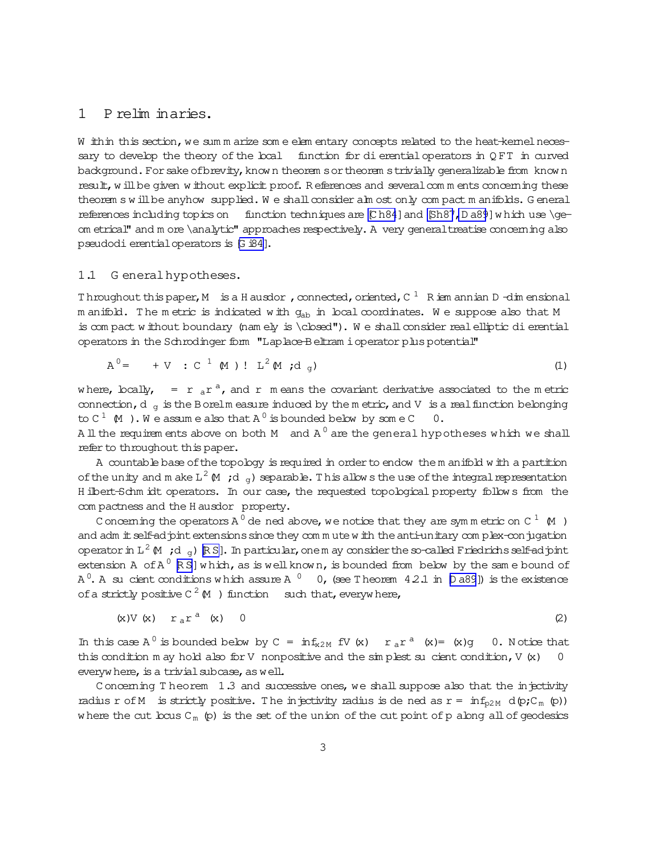#### <span id="page-2-0"></span> $\mathbf{1}$ P relim inaries.

W ithin this section, we sum m arize som e elem entary concepts related to the heat-kemel necessary to develop the theory of the boal function for dievential operators in QFT in curved background. For sake of brevity, known theorem s or theorem s trivially generalizable from known result, w ill be given w ithout explicit proof. References and several comments concerning these theorem swill be anyhow supplied. We shall consider alm ost only compact manifolds. General references including topics on function techniques are  $[Ch84]$  and  $[Sh87, Da89]$  which use \geom etrical" and m ore \analytic" approaches respectively. A very general treatise concerning also pseudodi erential operators is [G i84].

#### $1.1$ G eneral hypotheses.

Throughout this paper, M is a H ausdor, connected, oriented,  $C^{-1}$  R ism annian D-dim ensional m anifold. The metric is indicated with g<sub>ab</sub> in local coordinates. We suppose also that M is compact without boundary (namely is \closed"). We shall consider real elliptic di erential operators in the Schrodinger form "Laplace-Beltram i operator plus potential"

$$
A^0 = +V : C^1 (M) : L^2 (M; d_q)
$$
 (1)

where, locally,  $= r_a r^a$ , and r means the covariant derivative associated to the metric connection,  $d_q$  is the B orelm easure induced by the metric, and V is a real function belonging to  $C^1$  (M). We assume also that  $A^0$  is bounded below by some  $C$  0. All the requirem ents above on both M and  $A^0$  are the general hypotheses which we shall

refer to throughout this paper.

A countable base of the topology is required in order to endow them anifold with a partition of the unity and m ake  $L^2 M$ ; d  $\sigma$ ) separable. This allows the use of the integral representation H ibert-Schm idt operators. In our case, the requested topological property follows from the com pactness and the H ausdor property.

Concerning the operators A<sup>0</sup> de ned above, we notice that they are symmetric on C<sup>1</sup>  $\,$ M  $\,$ ) and adm it self-ad pint extensions since they comm ute w ith the anti-unitary complex-conjugation operator in L<sup>2</sup>  $(M, d_q)$  RS]. In particular, one m ay consider the so-called Friedrichs self-ad pint extension A of  $A^0$   $[R S]$  which, as is well known, is bounded from below by the same bound of A<sup>0</sup>. A su cient conditions which assure A<sup>0</sup> 0, (see Theorem 42.1 in  $[$ Da89]) is the existence of a strictly positive  $C^2(M)$  function such that, everywhere,

$$
(x) V (x) r_a r^a (x) 0 \qquad (2)
$$

In this case  $A^0$  is bounded below by  $C = inf_{x2M}$  fV (x)  $r_a r^a$  (x)= (x)g 0. Notice that this condition m ay hold also for V nonpositive and the  $\sin$  plest su cient condition, V  $(x)$  $\mathbf 0$ everywhere, is a trivial subcase, as well.

Concerning Theorem 1.3 and successive ones, we shall suppose also that the injectivity radius r of M is strictly positive. The injectivity radius is dened as  $r = inf_{p2M} d(p;C_m(p))$ where the cut  $bcus C_m$  (p) is the set of the union of the cut point of p along all of geodesics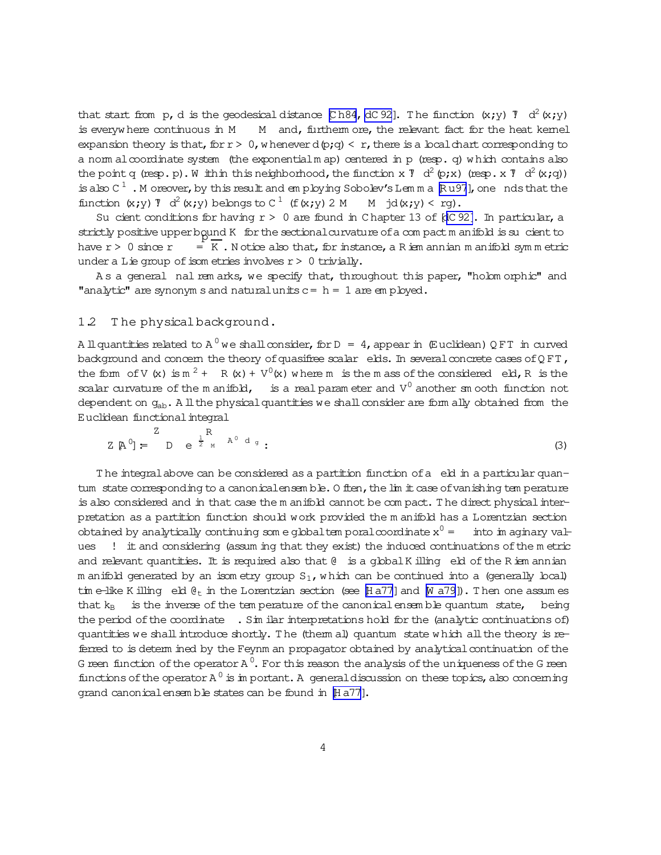<span id="page-3-0"></span>that start from p,d is the geodesical distance [Ch84,dC92]. The function  $(x; y)$  7  $d^2(x; y)$ is everyw here continuous in M  $\,$  M  $\,$  and, furtherm ore, the relevant fact for the heat kernel expansion theory is that, for  $r > 0$ , w henever d(p;q) < r, there is a local chart corresponding to a norm alcoordinate system (the exponentialm ap) centered in p (resp. q) which contains also the point q (resp.p). Whith this neighborhood, the function x  $\bar{Y}$  d<sup>2</sup> (p;x) (resp.x  $\bar{Y}$  d<sup>2</sup> (x;q)) is also C<sup>1</sup>. Moreover, by this result and employing Sobolev's Lemma Ru97], one nds that the function  $(x,y)$   $\overline{y}$   $d^2(x,y)$  belongs to C  $^1$  (f  $(x,y)$  2 M  $M$  jd $(x; y) < rq$ ).

Su cient conditions for having  $r > 0$  are found in C hapter 13 of [[dC 92\].](#page-38-0) In particular, a strictly positive upper bound K for the sectional curvature of a compact m anifold is sucient to have  $r > 0$  since  $r =$  $E = K$ . N otice also that, for instance, a R iem annian m anifold sym m etric under a Lie group of isom etries involves  $r > 0$  trivially.

As a general nal rem arks, we specify that, throughout this paper, "holom orphic" and "analytic" are synonym s and natural units  $c = h = 1$  are em ployed.

### 1.2 T he physicalbackground.

A ll quantities related to A  $^0$  we shall consider, for D  $\,$  =  $\,$  4, appear in  $\,$  (Euclidean) Q FT  $\,$  in curved background and concern the theory of quasifree scalar elds. In several concrete cases of  $QFT$ , the form of V (x) is  $m^2$  + R (x) +  $V^0$ (x) w here m is the m ass of the considered eld, R is the scalar curvature of the m anifold, is a real param eter and  $V^0$  another sm ooth function not dependent on  $q_{ab}$ . A ll the physical quantities we shall consider are form ally obtained from the Euclidean functional integral

$$
Z \, \mathbb{A}^0 = \begin{bmatrix} Z \\ D \end{bmatrix} = \begin{bmatrix} R \\ D \end{bmatrix} \, e^{\frac{1}{2} \, M \, A^0 \, d_g} \, ; \tag{3}
$$

The integral above can be considered as a partition function of a eld in a particular quantum state corresponding to a canonical ensemble. O ften, the  $\lim$  it case of vanishing tem perature is also considered and in that case the m anifold cannot be compact. The direct physical interpretation as a partition function should work provided the m anifold has a Lorentzian section obtained by analytically continuing som e global tem poral coordinate  $x^0 =$ into im aginary va $\pm$ ues ! itand considering (assum ing that they exist) the induced continuations ofthe m etric and relevant quantities. It is required also that  $\ell$  is a global K illing eld of the R iem annian m anifold generated by an isom etry group  $S_1$ , w hich can be continued into a (generally local) tim e-like K illing eld  $\mathfrak{g}_t$  in the Lorentzian section (see [\[H a77\]](#page-38-0) and [\[W a79](#page-39-0)]). Then one assum es that  $k_B$  is the inverse of the tem perature of the canonical ensemble quantum state, being the period of the coordinate . Sim ilar interpretations hold for the (analytic continuations of) quantities we shall introduce shortly. The (therm al) quantum state which all the theory is referred to is determ ined by the Feynm an propagator obtained by analytical continuation of the G reen function of the operator A  $^0.$  For this reason the analysis of the uniqueness of the G reen functions of the operator  $A^0$  is im portant. A general discussion on these topics, also concerning grand canonical ensem ble states can be found in [\[H a77](#page-38-0)].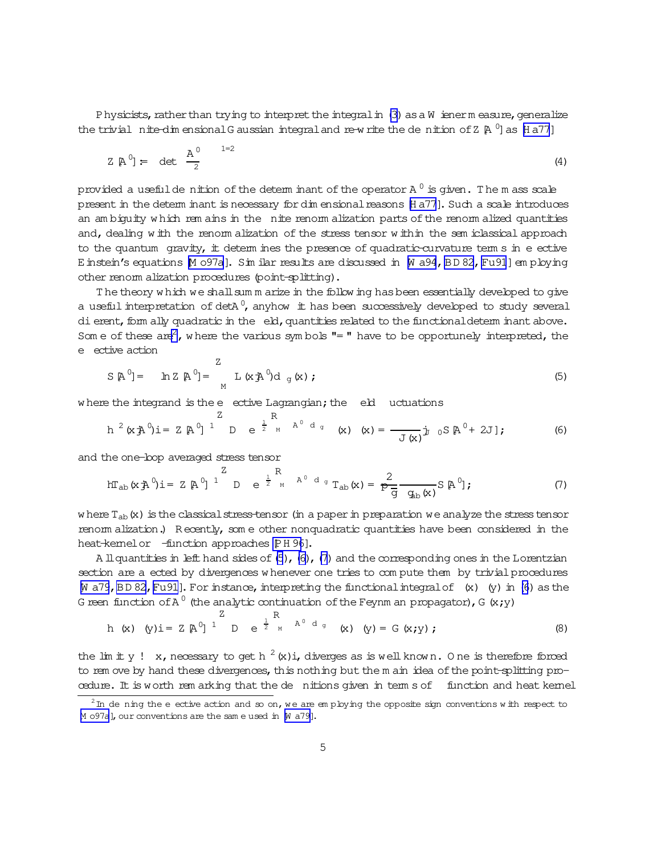<span id="page-4-0"></span>Physicists, rather than trying to interpret the integral in (3) as a W iener measure, generalize the trivial nite-dim ensional G aussian integral and re-write the denition of Z  $\beta$  <sup>0</sup> as  $\beta$  a77]

$$
Z \, \, \mathbb{A}^0 = \det \, \frac{\mathbb{A}^0}{2} \tag{4}
$$

provided a usefulde nition of the determ inant of the operator A  $^0$  is given. The m ass scale present in the determ inant is necessary for dim ensional reasons [H a77]. Such a scale introduces an am biquity which rem ains in the nite renorm alization parts of the renorm alized quantities and, dealing with the renom alization of the stress tensor within the sem iclassical approach to the quantum gravity, it determines the presence of quadratic-curvature terms in e ective E instein's equations M 097a]. Sim ilar results are discussed in M a94, BD 82, Fu91] employing other renom alization procedures (point-splitting).

The theory which we shall summ arize in the follow ing has been essentially developed to give a useful interpretation of detA $^0$ , anyhow it has been successively developed to study several di erent, form ally quadratic in the eld, quantities related to the functional determ inant above. Som e of these  $\text{are}^2$ , where the various symbols "=" have to be opportunely interpreted, the e ective action  $\overline{z}$ 

$$
S \, \mathbb{A}^0 = \ln Z \, \mathbb{A}^0 = \left[ L \, (x \, \mathbb{A}^0) d \, g(x) \right], \tag{5}
$$

where the integrand is the e ective Lagrangian; the eld uctuations  $\overline{7}$ 

 $\overline{D}$ 

$$
h^{2}(x \n\tilde{A}^{0})i = Z \n\tilde{A}^{0}j^{1} \nD e^{\frac{1}{2} \nM A^{0} d g} (x) (x) = \frac{1}{J(x)}j_{0} S \n\tilde{A}^{0} + 2Jj
$$
 (6)

and the one-bop averaged stress tensor

$$
hT_{ab}(x \nrightarrow{a} 0) i = Z \nrightarrow[0] \nrightarrow{Z} \nrightarrow[0] \nrightarrow[0] \nrightarrow[0] \nrightarrow[0] \nrightarrow[0] \nrightarrow[0] \nrightarrow[0] \nrightarrow[0] \nrightarrow[0] \nrightarrow[0] \nrightarrow[0] \nrightarrow[0] \nrightarrow[0] \nrightarrow[0] \nrightarrow[0] \nrightarrow[0] \nrightarrow[0] \nrightarrow[0] \nrightarrow[0] \nrightarrow[0] \nrightarrow[0] \nrightarrow[0] \nrightarrow[0] \nrightarrow[0] \nrightarrow[0] \nrightarrow[0] \nrightarrow[0] \nrightarrow[0] \nrightarrow[0] \nrightarrow[0] \nrightarrow[0] \nrightarrow[0] \nrightarrow[0] \nrightarrow[0] \nrightarrow[0] \nrightarrow[0] \nrightarrow[0] \nrightarrow[0] \nrightarrow[0] \nrightarrow[0] \nrightarrow[0] \nrightarrow[0] \nrightarrow[0] \nrightarrow[0] \nrightarrow[0] \nrightarrow[0] \nrightarrow[0] \nrightarrow[0] \nrightarrow[0] \nrightarrow[0] \nrightarrow[0] \nrightarrow[0] \nrightarrow[0] \nrightarrow[0] \nrightarrow[0] \nrightarrow[0] \nrightarrow[0] \nrightarrow[0] \nrightarrow[0] \nrightarrow[0] \nrightarrow[0] \nrightarrow[0] \nrightarrow[0] \nrightarrow[0] \nrightarrow[0] \nrightarrow[0] \nrightarrow[0] \nrightarrow[0] \nrightarrow[0] \nrightarrow[0] \nrightarrow[0] \nrightarrow[0] \nrightarrow[0] \nrightarrow[0] \nrightarrow[0] \nrightarrow[0] \nrightarrow[0] \nrightarrow[0] \nrightarrow[0] \nrightarrow[0] \nrightarrow[0] \nrightarrow[0] \nrightarrow[0] \nrightarrow[0] \nrightarrow[0] \nrightarrow[0] \nrightarrow[0] \nrightarrow[0] \nrightarrow[0] \nrightarrow[0] \nrightarrow[0] \nrightarrow[0] \nrightarrow[0] \nrightarrow[0] \nrightarrow[0] \nrightarrow[0] \nrightarrow[0] \nrightarrow[0] \nrightarrow[0] \nrightarrow[0] \nrightarrow[0] \nrightarrow[0] \nrightarrow[0] \nrightarrow[0] \nrightarrow[0] \nrightarrow[0] \nrightarrow[0] \nrightarrow[0] \nrightarrow[0] \nrightarrow[0] \nrightarrow[0] \nrightarrow[0] \nrightarrow[0] \nrightarrow[0] \nrightarrow[0] \nrightarrow[0] \nrightarrow[0] \nrightarrow[0] \nrightarrow[0] \nrightarrow[0] \nrightarrow[0] \nrightarrow
$$

where  $T_{ab}$  (x) is the classical stress-tensor (in a paper in preparation we analyze the stress tensor renorm alization.) Recently, some other nonquadratic quantities have been considered in the heat-kemelor -function approaches PH 96].

A ll quantities in left hand sides of  $(5)$ ,  $(6)$ ,  $(7)$  and the corresponding ones in the Lorentzian section are a ected by divergences whenever one tries to compute them by trivial procedures  $\mathbb N$  a79, BD 82, Fu91]. For instance, interpreting the functional integral of  $(x)$  (y) in (6) as the G reen function of A<sup>0</sup> (the analytic continuation of the Feynm an propagator), G  $(x,y)$ 

h (x) (y) i = 
$$
\mathbb{Z}[\mathbb{A}^0]
$$
<sup>1</sup> D e <sup>$\frac{1}{2}$</sup> <sub>M</sub> A<sup>0</sup> d<sub>g</sub> (x) (y) = G (x; y); (8)

the lim it y ! x, necessary to get h  $^2$  (x) i, diverges as is well known. One is therefore forced to rem ove by hand these divergences, this nothing but the m ain idea of the point-splitting procedure. It is worth rem arking that the de nitions given in term s of function and heat kemel

 $2\text{ m}$  de ning the e ective action and so on, we are employing the opposite sign conventions with respect to M o97a], our conventions are the same used in [N a79].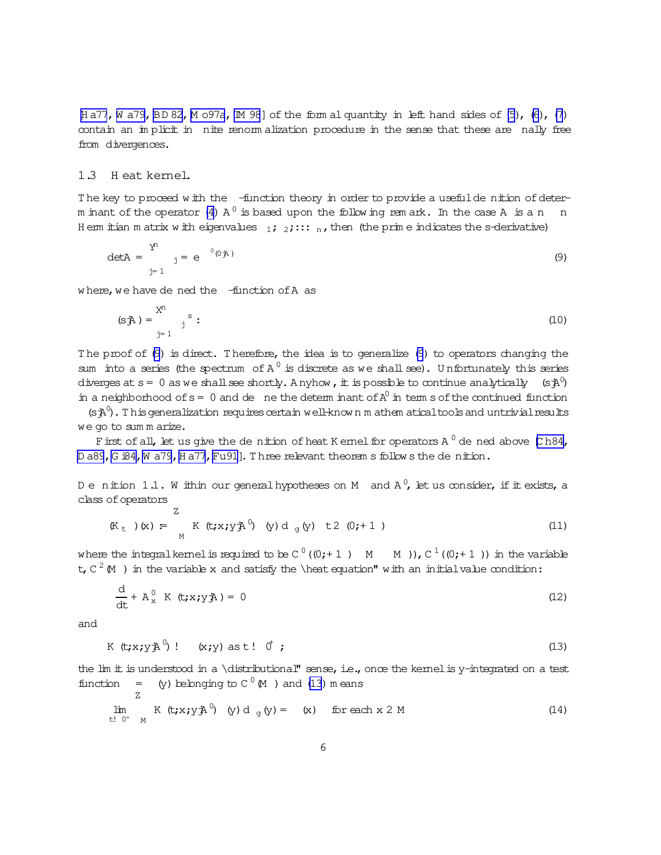<span id="page-5-0"></span> $Ha77$ , [W a79](#page-39-0), [BD 82,](#page-37-0) [M o97a](#page-39-0), [IM 98](#page-39-0)] of the form al quantity in left hand sides of  $(5)$ ,  $(6)$ ,  $(7)$ contain an implicit in nite renorm alization procedure in the sense that these are nally free from divergences.

### 1.3 H eat kernel.

The key to proceed with the -function theory in order to provide a usefulde nition of deter-m inant of the operator [\(4\)](#page-4-0) A  $^0$  is based upon the follow ing rem ark. In the case A is a n  $\;$  n H em itian m atrix w ith eigenvalues  $1;2;:::n$ , then (the prim e indicates the s-derivative)

$$
\det A = \sum_{j=1}^{Y^n} \quad j = e^{-0(0)} \tag{9}
$$

where, we have de ned the -function of A as

$$
(s\ddot{A}) = \sum_{j=1}^{X^n} s
$$
 (10)

The proof of (9) is direct. Therefore, the idea is to generalize (9) to operators changing the sum into a series (the spectrum of  $A^0$  is discrete as we shall see). Unfortunately this series diverges at s = 0 as we shall see shortly. A nyhow , it is possible to continue analytically  $\;$  (s $\mathtt{j\!A}^0\!$ ) in a neighborhood of  $s = 0$  and de ne the determ inant of  $A^0$  in term s of the continued function

 $(\mathbf{s}\mathbf{A}^0)$ . This generalization requires certain well-know n m athem atical tools and untrivial results we go to sum m arize.

First of all, let us give the de nition of heat K emel for operators A  $^0$  de ned above [\[C h84,](#page-37-0)  $\,$ D a89, G i84, W a79, [H a77](#page-38-0), [Fu91](#page-38-0)]. Three relevant theorem s follow s the denition.

De nition 1.1. Within our generalhypotheses on M and A  $^0$ , let us consider, if it exists, a class of operators Z

$$
(\mathbb{K}_{\mathsf{t}})(\mathsf{x}) \coloneqq \mathsf{K}(\mathsf{t}; \mathsf{x}; \mathsf{y}\mathsf{A}^0) \quad (\mathsf{y})\, \mathsf{d}_{\mathsf{g}}(\mathsf{y}) \quad \mathsf{t2} \quad (0; \mathsf{t1})
$$

where the integralkernelis required to be C  $^0$  ((0;+1 )  $\,$  M  $\,$  M )), C  $^1$  ((0;+1 )) in the variable t, C  $^2$  M ) in the variable x and satisfy the \heat equation" with an initialvalue condition:

$$
\frac{d}{dt} + A_x^0 K(t; x; y) = 0
$$
 (12)

and

$$
K(t; x; y \nightharpoonup^0) ! \quad (x; y) \text{ as } t ! \quad \emptyset ; \tag{13}
$$

the  $\lim$  it is understood in a \distributional" sense, i.e., once the kernel is y-integrated on a test function =  $(y)$  belonging to  $C^0(M)$  and (13) means

$$
\lim_{t \to 0^+} K(t; x; y) \mathbf{A}^0 \quad (y) \, d \, g(y) = (x) \quad \text{for each } x \, 2 \, M \tag{14}
$$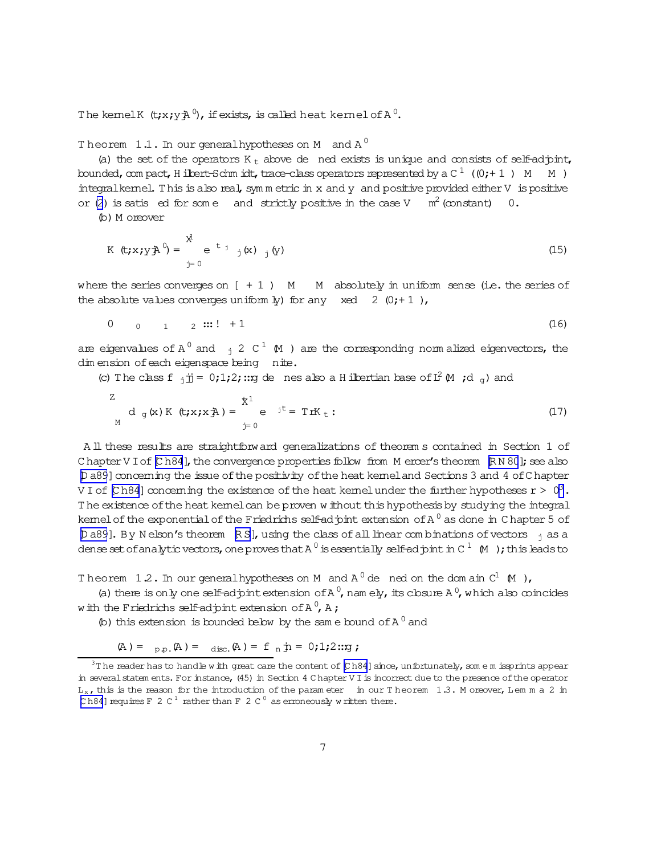<span id="page-6-0"></span>The kemelK  $\,$  (t;x;y $\rm \ddot{A}^0$ , if exists, is called heat kernel of A  $^0$ .

Theorem  $1.1.$  In our general hypotheses on M and A  $^0$ 

(a) the set of the operators  $K_t$  above de ned exists is unique and consists of self-adjoint, bounded, com pact, H ilbert-Schm idt, trace-class operators represented by a C  $^1\,$  ((0;+ 1 )  $\,$  M  $\,$  M ) integralkernel. This is also real, sym m etric in x and y and positive provided either V is positive or [\(2](#page-2-0)) is satis ed for some and strictly positive in the case V  $m^2$  (constant) 0.

(b)M oreover

$$
K \left( t; x; y \right) = \sum_{j=0}^{x} e^{-t} j(x) (y)
$$
 (15)

where the series converges on  $[ +1 )$  M  $-$  M absolutely in uniform sense (i.e. the series of the absolute values converges uniform  $\frac{1}{2}$  for any xed 2 (0;+1),

$$
0 \t 0 \t 1 \t 2 :: : ! + 1 \t (16)
$$

are eigenvalues of A  $^0$  and  $_{\rm j}$  2 C  $^1$  (M ) are the corresponding norm alized eigenvectors, the dim ension of each eigenspace being nite.

(c) The class f  $j \text{ is } 0;1;2;$  :: g de nes also a H ilbertian base of  $L^2 M$  ; d  $g$ ) and

$$
\frac{z}{M} d_g(x) K(t; x; x) = \sum_{j=0}^{k} e^{-jt} = T r K_t:
$$
 (17)

A ll these results are straightforward generalizations of theorem s contained in Section 1 of C hapter V I of  $[Ch84]$ , the convergence properties follow from M ercer's theorem  $[RN 80]$ ; see also [\[D a89](#page-38-0)] concerning the issue of the positivity of the heat kernel and Sections 3 and 4 of C hapter V I of [Ch84] concerning the existence of the heat kernel under the further hypotheses r >  $\rm\,0^3$  . The existence of the heat kemelcan be proven w ithout this hypothesis by studying the integral kemel of the exponential of the Friedrichs self-adjoint extension of A  $^0$  as done in Chapter 5 of [\[D a89](#page-38-0)]. By N elson's theorem [\[R S\]](#page-39-0), using the class of all linear com binations of vectors  $\frac{1}{1}$  as a dense set ofanalytic vectors, one proves that A  $^0$  is essentially self-ad  $\mathrm{pint}$  in C  $^1$   $\,$  (M  $\,$  ); this leads to

Theorem 1.2. In our generalhypotheses on M and  $A^0$  de ned on the domain  $C^1$  (M ),

(a) there is only one self-adjoint extension of A<sup>0</sup>, nam ely, its closure A<sup>0</sup>, which also coincides with the Friedrichs self-adjoint extension of A  $^0$ , A ;

(b) this extension is bounded below by the same bound of  $A^0$  and

$$
(A) = P_{p.p.}(A) = \text{disc.}(A) = f_n \, \text{in} = 0; 1; 2::y ;
$$

 $3$ T he reader has to handle w ith great care the content of  $[Ch84]$  since, unfortunately, som e m issprints appear in several statem ents. For instance, (45) in Section 4 C hapter V I is incorrect due to the presence of the operator  $L_x$ , this is the reason for the introduction of the param eter in our T heorem 1.3. M oreover, Lem m a 2 in [Ch84] requires F 2 C<sup>1</sup> rather than F 2 C<sup>0</sup> as erroneously w ritten there.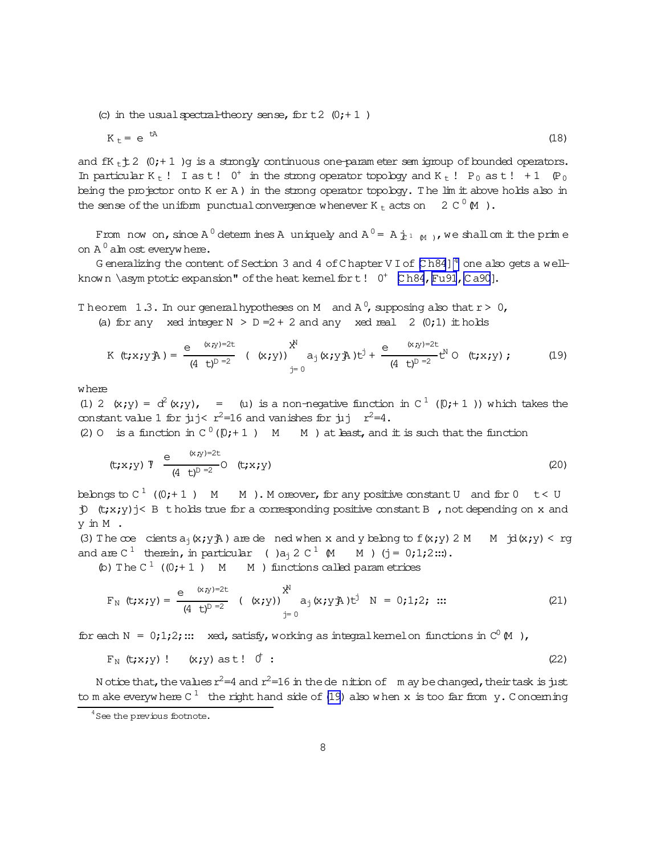<span id="page-7-0"></span>(c) in the usual spectral-theory sense, for  $t2$  (0; + 1)

$$
K_t = e^{tA} \tag{18}
$$

and  $fK_t \uparrow 2$  (0;+1) q is a strongly continuous one-parameter sem igroup of bounded operators. In particular K<sub>t</sub> ! I as t!  $0^+$  in the strong operator topology and K<sub>t</sub> ! P<sub>0</sub> as t ! + 1  $(P_0$ being the projector onto  $K$  er  $A$ ) in the strong operator topology. The  $\lim_{x \to a}$  is above holds also in the sense of the uniform punctual convergence whenever K  $_t$  acts on 2 C  $^0$  M).

From now on, since A<sup>0</sup> determines A uniquely and  $A^{0} = A_{n}^{+1}$  M, we shall om it the prime on  $A^0$  alm ost everywhere.

G eneralizing the content of Section 3 and 4 of Chapter V I of  $\mathbb C$  h84]<sup>4</sup> one also gets a wellknown \asymptotic expansion" of the heat kemel for t!  $0^+$  [Ch84, Fu91, Ca90].

Theorem 1.3. In our general hypotheses on M and  $A^0$ , supposing also that  $r > 0$ , (a) for any xed integer  $N > D = 2 + 2$  and any xed real 2 (0;1) it holds

$$
K (t; x; y \n\mathbb{A}) = \frac{e^{(x,y)=2t}}{(4 t)^{D-2}} (x; y) \quad \mathbb{A}_{j=0}^{x^N} (x; y \n\mathbb{A}) t^j + \frac{e^{(x,y)=2t}}{(4 t)^{D-2}} t^N O (t; x; y); \quad (19)
$$

where

(1) 2 (x;y) =  $\alpha^2$ (x;y), = (u) is a non-negative function in C<sup>1</sup> (0;+1)) which takes the constant value 1 for  $\mu$ j<  $r^2$ =16 and vanishes for  $\mu$ j  $r^2$ =4.

(2) 0 is a function in  $C^0([0;+1])$  M M ) at least, and it is such that the function

$$
(\mathsf{t};x;y) \hspace{1mm} \mathsf{I} \hspace{2mm} \xrightarrow{\mathrm{e}} \hspace{2mm} \xrightarrow{\mathrm{(x,y)=2t}} \hspace{2mm} \mathsf{I} \hspace{2mm} (\mathsf{t};x;y) \hspace{2mm} \tag{20}
$$

belongs to  $C^1$  ((0;+1) M M). M or eover, for any positive constant U and for 0 t < U  $\uparrow$  (t;x;y) j< B t holds true for a corresponding positive constant B, not depending on x and y in M.

(3) The coe cients  $a_1(x,y)$  are dened when x and y belong to  $f(x,y)$  2 M  $\rightarrow$   $d(x,y)$  < rg and are  $C^1$  therein, in particular ( )a<sub>i</sub> 2  $C^1$  (M M ) (j = 0;1;2...).

(b) The  $C^1$  ((0;+1) M M) functions called parametrices

$$
F_N (t; x; y) = \frac{e^{(x, y)-2t}}{(4 + t)^{D-2}} (x; y) \qquad x^N = 0; 1; 2; \dots
$$
 (21)

for each N =  $0;1;2;...$  xed, satisfy, working as integral kemelon functions in  $C^0(M)$ ,

$$
F_N(t; x; y) : (x; y) \text{ as } t : 0 : \qquad (22)
$$

N otice that, the values  $r^2=4$  and  $r^2=16$  in the dentition of m ay be changed, their task is just to m ake everywhere C<sup>1</sup> the right hand side of (19) also when x is too far from y. Concerning

 $4$  See the previous footnote.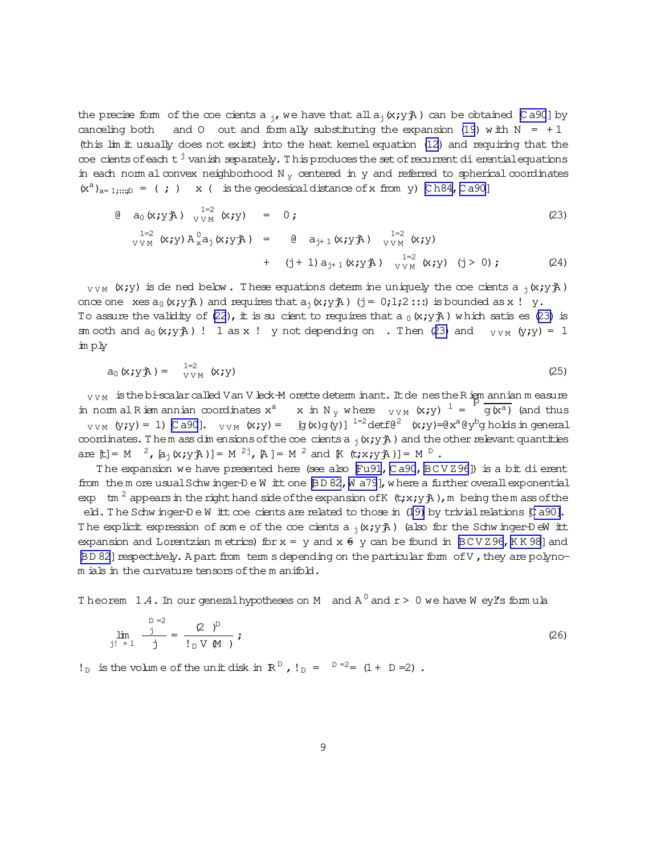<span id="page-8-0"></span>the precise form of the coe cients a <sub>i</sub>, we have that all  $a_i(x; y)$  can be obtained [Ca90] by canceling both and 0 out and form ally substituting the expansion (19) with  $N = +1$ (this lim it usually does not exist) into the heat kemel equation (12) and requiring that the  $\infty$ e cients of each t $^{\text{!}}$  vanish separately. This produces the set of recurrent di erential equations in each norm al convex neighborhood  $N_y$  centered in  $y$  and referred to spherical coordinates  $(x^a)_{a=1;\dots,D} = ($ ;  $x \in K$  is the geodesical distance of x from y) [Ch84, Ca90]

$$
\begin{array}{lll}\n\text{(a)} & \text{(a)} & \text{(b)} & \text{(c)} \\
\text{(c)} & \text{(d)} & \text{(e)} & \text{(f)} & \text{(g)} \\
\text{(e)} & \text{(f)} & \text{(g)} & \text{(h)} & \text{(h)} & \text{(i)} \\
\text{(h)} & \text{(i)} & \text{(j)} & \text{(k)} & \text{(j)} & \text{(j)} & \text{(j)} & \text{(j)} \\
\text{(i)} & \text{(j)} & \text{(k)} & \text{(l)} & \text{(l)} & \text{(l)} & \text{(j)} & \text{(j)} & \text{(j)} & \text{(j)} \\
\text{(i)} & \text{(j)} & \text{(k)} & \text{(l)} & \text{(l)} & \text{(l)} & \text{(l)} & \text{(l)} & \text{(l)} \\
\text{(i)} & \text{(j)} & \text{(k)} & \text{(k)} & \text{(l)} & \text{(l)} & \text{(l)} & \text{(l)} & \text{(l)} & \text{(l)} \\
\text{(k)} & \text{(l)} & \text{(l)} & \text{(l)} & \text{(l)} & \text{(l)} & \text{(l)} & \text{(l)} & \text{(l)} & \text{(l)} & \text{(l)} \\
\text{(l)} & \text{(l)} & \text{(l)} & \text{(l)} & \text{(l)} & \text{(l)} & \text{(l)} & \text{(l)} & \text{(l)} & \text{(l)} & \text{(l)} & \text{(l)} & \text{(l)} & \text{(l)} & \text{(l)} & \text{(l)} & \text{(l)} & \text{(l)} & \text{(l)} & \text{(l)} & \text{(l)} & \text{(l)} & \text{(l)} & \text{(l)} & \text{(l)} & \text{(l)} & \text{(l)} & \text{(l)} & \text{(l)} & \text{(l)} & \text{(l)} & \text{(l)} & \text{(l)} &
$$

 $_{VVM}$  (x;y) is de ned below. These equations determ ine uniquely the coe cients a  $_1(x,y)$ . once one xes  $a_0(x; y)$  and requires that  $a_1(x; y)$  (j = 0;1;2:::) is bounded as x ! y. To assure the validity of (22), it is su cient to requires that a  $_0$  (x; y  $\ddot{A}$ ) which satis es (23) is sm ooth and  $a_0(x,y)$  ! 1 as x ! y not depending on . Then (23) and  $v_{VM}(y,y) = 1$ imply

$$
a_0(x; yA) = \int_{VVM}^{1=2} (x; y) \tag{25}
$$

 $_{VVM}$  is the bi-scalar called V an V leck-M orette determ inant. It de nes the R ign annian measure in nom al R iem annian coordinates  $x^a$  x in N<sub>y</sub> where  $_{VVM}$  (x;y)  $^1 = \frac{F}{g(x^a)}$  (and thus  $_{VVM}$  (y;y) = 1) [Ca90].  $_{VVM}$  (x;y) = [g(x)g(y)]<sup>1=2</sup>detf(e<sup>2</sup> (x;y)=(ex<sup>a</sup>(ey<sup>b</sup>g holds in general coordinates. Them ass dim ensions of the coe cients a  $_j$  (x; y  $\frac{1}{2}$ ) and the other relevant quantities are [t] = M  $^2$ , [a<sub>j</sub>(x;y<sub>1</sub>A)] = M  $^{2j}$ , [A] = M  $^2$  and [K (t;x;y<sub>1</sub>A)] = M  $^D$ .

The expansion we have presented here (see also Fu91, Ca90, BCVZ96]) is a bit di erent from the more usual Schw inger-D e W itt one BD 82, W a79], where a further overall exponential exp tm<sup>2</sup> appears in the right hand side of the expansion of K  $(t; x; y)$ , m being the m ass of the eld. The Schwinger-DeWitt coe cients are related to those in (19) by trivial relations [Ca90]. The explicit expression of some of the coe cients a  $_1(x,y)$  (also for the Schw inger-DeW itt expansion and Lorentzian metrics) for  $x = y$  and  $x \notin y$  can be found in  $BCVZ96$ , KK98] and BD 82] respectively. A part from term s depending on the particular form of V, they are polynom ials in the curvature tensors of the m anifold.

Theorem 1.4. In our general hypotheses on M and  $A^0$  and  $r > 0$  we have W ey's formula

$$
\lim_{j! \to +1} \frac{j}{j} = \frac{(2)^{p}}{p \vee (M)}; \qquad (26)
$$

 $!_D$  is the volume of the unit disk in R<sup>D</sup>,  $!_D = 0 = 2 = (1 + D = 2)$ .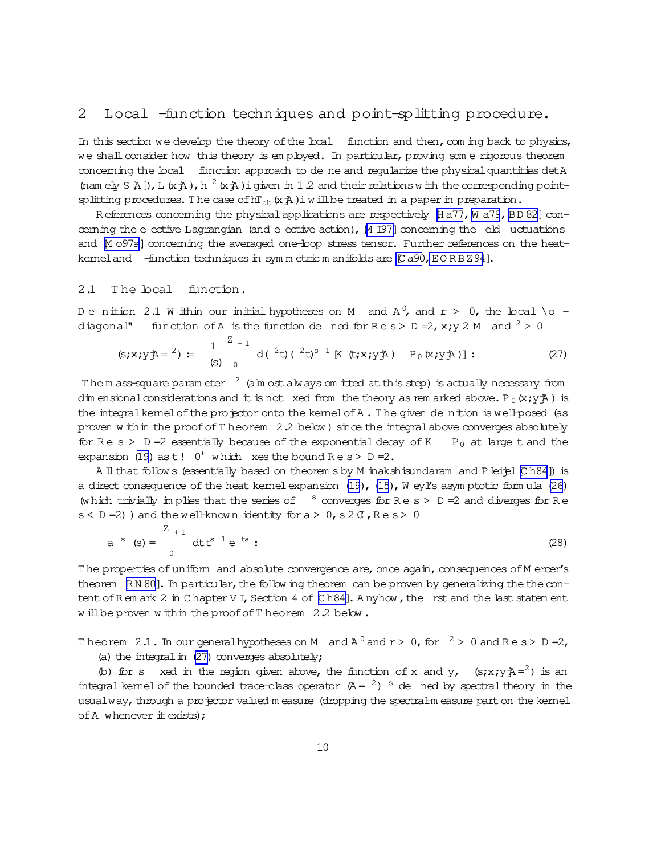# <span id="page-9-0"></span>2 Local -function techniques and point-splitting procedure.

In this section we develop the theory of the local function and then, com ing back to physics, we shall consider how this theory is em ployed. In particular, proving some rigorous theorem concerning the local function approach to de ne and regularize the physical quantities detA (nam ely S[A]), L(x $\ddot{A}$ ), h<sup>2</sup>(x $\ddot{A}$ )igiven in 1.2 and their relations w ith the corresponding pointsplitting procedures. The case of  $hT_{ab}(x;A)$  iw ill be treated in a paper in preparation.

R eferences concerning the physical applications are respectively  $[$  H a77, [W a79](#page-39-0), [BD 82](#page-37-0)]concerning the e ective Lagrangian (and e ective action),  $M$  I97] concerning the eld uctuations and M o97a] concerning the averaged one-loop stress tensor. Further references on the heatkerneland -function techniques in symmetric m anifolds are [Ca90,EORBZ94].

### 2.1 The local function.

Denition 2.1 Within our initial hypotheses on M and A  $^0$ , and r > 0, the local \o diagonal" function of A is the function de ned for  $\text{Re}\,s > D = 2$ ,  $x; y \geq M$  and  $\lambda^2 > 0$ 

$$
(s; x; yA = 2) = \frac{1}{(s)} \int_{0}^{Z_{+1}} d\left(\int_{0}^{2} t \right) \left(\int_{0}^{2} t \right)^{s-1} K(t; x; yA) \quad P_{0}(x; yA) \quad (27)
$$

The m ass-square param eter  $2 \tan \theta$  (alm ost always om itted at this step) is actually necessary from dim ensional considerations and it is not xed from the theory as rem arked above. P<sub>0</sub>(x;y $\ddot{\text{A}}$ ) is the integral kernel of the projector onto the kernel of A. The given de nition is well-posed (as proven w ithin the proof of T heorem  $2.2$  below ) since the integral above converges absolutely for R e s > D = 2 essentially because of the exponential decay of K P<sub>0</sub> at large t and the expansion [\(19\)](#page-7-0) as  $t!$  0<sup>+</sup> w hich xes the bound Re s > D = 2.

A ll that follow s (essentially based on theorem s by M inakshisundaram and P leijel [\[C h84](#page-37-0)]) is a direct consequence of the heat kernel expansion [\(19](#page-7-0)), [\(15](#page-6-0)), W eyl's asym ptotic form ula [\(26](#page-8-0)) (w hich trivially im plies that the series of  $\overline{\phantom{a}}$  converges for R e s > D = 2 and diverges for R e  $s < D = 2$ ) and the well-known identity for  $a > 0$ ,  $s \ge 0$ ,  $Re s > 0$ 

a <sup>s</sup> (s) = 
$$
\int_{0}^{Z_{+1}} dt t^{s} e^{ta}
$$
: (28)

The properties of uniform and absolute convergence are, once again, consequences of M ercer's theorem  $\mathbb{R} \times 80$ . In particular, the follow ing theorem can be proven by generalizing the the content of R em ark  $2$  in C hapter V I, Section 4 of [\[C h84\]](#page-37-0). A nyhow, the rst and the last statem ent w ill be proven w ithin the proof of T heorem 2.2 below.

Theorem 2.1. In our generalhy potheses on M and  $A^0$  and  $r > 0$ , for  $^2 > 0$  and Res  $> D = 2$ ,

(a) the integral in  $(27)$  converges absolutely;

(b) for s xed in the region given above, the function of x and y,  $(s;xy)\hat{A} = 2$ ) is an integral kemel of the bounded trace-class operator  $(A = \lambda)^2$  is de ned by spectral theory in the usualway, through a projector valued m easure (dropping the spectral-m easure part on the kernel of  $A$  whenever  $\pm$  exists);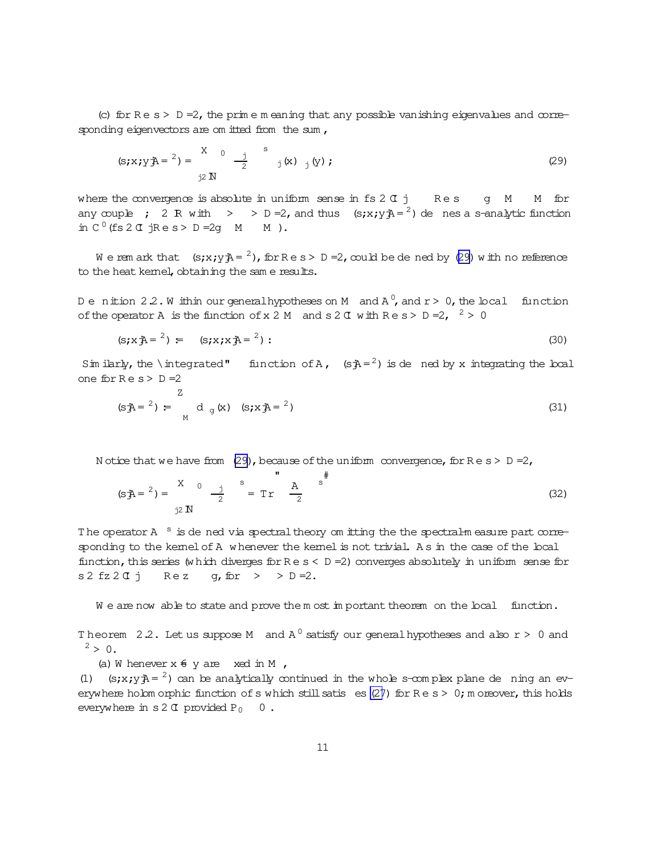<span id="page-10-0"></span>(c) for  $Re \ s > D =2$ , the prim e m eaning that any possible vanishing eigenvalues and corresponding eigenvectors are om itted from the sum ,

$$
(s; x; y \rightrightarrows = \frac{x}{y \rightrightarrows} 0 \rightrightarrows \frac{1}{2} s_{y}(x) \rightrightarrows (x) ;
$$
 (29)

where the convergence is absolute in uniform sense in  $fs 2Cj$  Rescurre of M - M for any couple ; 2 R with  $>$  > D = 2, and thus  $(s; x; y)$  =  $\frac{2}{3}$  de nes a s-analytic function in  $C^0$  (fs  $2 \text{ T}$  jRe s > D = 2g  $M$   $M$ ).

We rem ark that  $(s; x; y) = \frac{2}{b}$ , for  $R \in S > D = 2$ , could be de ned by (29) with no reference to the heat kernel, obtaining the sam e results.

Denition 2.2. Within ourgeneralhypotheses on M and A  $^0$ , and r > 0, the local function of the operator A is the function of x 2 M and s 2  $\alpha$  with R e s > D = 2,  $\alpha$  > 0

$$
(s; x \cdot \vec{A} = 2) = (s; x; x \cdot \vec{A} = 2): \tag{30}
$$

Sim ilarly, the \integrated" function of A,  $(sA = 2)$  is de ned by x integrating the local one for  $Re s > D = 2$ 

$$
(s\bar{A} = 2) = \int_{M}^{Z} d_g(x) (s \bar{A} = 2)
$$
 (31)

N otice that we have from (29), because of the uniform convergence, for  $R e s > D =2$ ,

$$
(s\bar{A}^2) = \frac{X}{i^2} \left(1 + \frac{1}{2} \right)^{s} = \text{Tr} \left(1 + \frac{1}{2} \right)^{s} \left(32\right)
$$

The operator A <sup>s</sup> is de ned via spectral theory om itting the the spectral-measure part corresponding to the kernel of A w henever the kernel is not trivial. As in the case of the local function, this series (w hich diverges for  $Re s < D = 2$ ) converges absolutely in uniform sense for  $s2 fz2Gj$  Rez g, for  $>$  > D =2.

We are now able to state and prove the m ost important theorem on the local function.

Theorem 2.2. Let us suppose M and  $A^0$  satisfy our general hypotheses and also  $r > 0$  and  $2 > 0$ .

(a) W henever  $x \notin y$  are xed in M ,

(1) (s;x;y $\lambda = \lambda$ ) can be analytically continued in the whole s-complex plane de ning an everywhere holom orphic function of s which still satis es  $(27)$  $(27)$  for Re s > 0; m oreover, this holds everywhere in s2  $\sigma$  provided P<sub>0</sub> 0.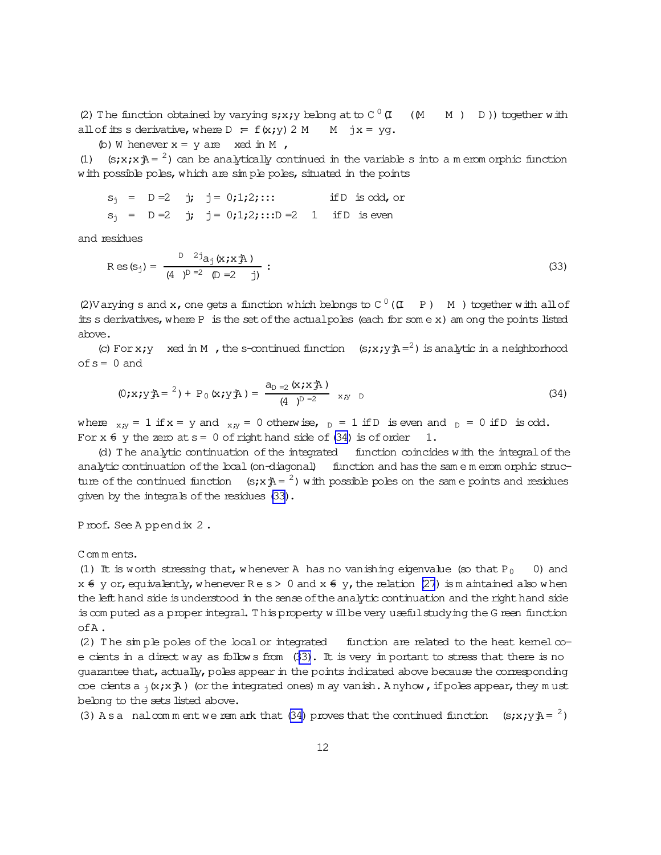<span id="page-11-0"></span>(2) The function obtained by varying s;x;y belong at to  $C^0$   $\sigma$  $\begin{pmatrix} 0 & \mathbf{U} & \mathbf{M} & \mathbf{M} & \mathbf{D} \end{pmatrix}$  together with all of its s derivative, where  $D = f(x; y) 2 M$   $M$  jx = yg.

(b) W henever  $x = y$  are  $x \neq d$  in M,

(1) (s;x;x $\bar{A}$  = <sup>2</sup>) can be analytically continued in the variable s into a m erom orphic function with possible poles, which are simple poles, situated in the points

$$
s_j = D = 2
$$
 j;  $j = 0;1;2;...$  if D is odd, or  
\n $s_j = D = 2$  j;  $j = 0;1;2;...$  D = 2 1 if D is even

and residues

$$
R \operatorname{es}(s_j) = \frac{D^{-2} a_j (x_j x_j A)}{(4 - D)^{D-2} (D-2 - j)} : \tag{33}
$$

(2) Varying s and x, one gets a function which belongs to  $C^0$  ( $(I - P)$   $-M$  ) together with all of itss derivatives,where P is the setofthe actualpoles (each for som e x) am ong the points listed above.

(c) For x;y xed in M, the s-continued function  $(s; x; y)$   $A = 2$ ) is analytic in a neighborhood  $of s = 0$  and

$$
(0; x; y \triangleq e^{-2}) + P_0(x; y \triangleq e) = \frac{a_{D-2}(x; x \triangleq e)}{(4)^{D-2}} \quad x, y \quad D \tag{34}
$$

where  $_{X,N}$  = 1 if x = y and  $_{X,N}$  = 0 otherwise,  $_D$  = 1 if D is even and  $_D$  = 0 if D is odd. For  $x \notin y$  the zero at  $s=0$  of right hand side of (34) is of order 1.

(d)The analytic continuation ofthe integrated function coincides with the integralofthe analytic continuation of the local (on-diagonal) function and has the same m erom orphic structure of the continued function  $(s; x\bar{A} = 2)$  with possible poles on the same points and residues given by the integrals of the residues (33).

Proof. See A ppendix 2.

Com m ents.

(1) It is worth stressing that, w henever A has no vanishing eigenvalue (so that  $P_0$  0) and  $x \notin y$  or, equivalently, w henever  $\text{Re } s > 0$  and  $x \notin y$ , the relation [\(27](#page-9-0)) is m aintained also w hen the left hand side is understood in the sense of the analytic continuation and the right hand side iscom puted asa properintegral. T hisproperty w illbe very usefulstudying the G reen function ofA.

(2) The simple poles of the local or integrated function are related to the heat kernel  $\infty$ ecients in a direct way as follow s from (33). It is very im portant to stress that there is no guarantee that, actually, poles appear in the points indicated above because the corresponding coe cients a  $_1(x;x\AA)$  (or the integrated ones) m ay vanish. A nyhow, if poles appear, they m ust belong to the sets listed above.

(3) A s a nalcom m ent we rem ark that (34) proves that the continued function (s;x;y $\bar{A} = \lambda$ )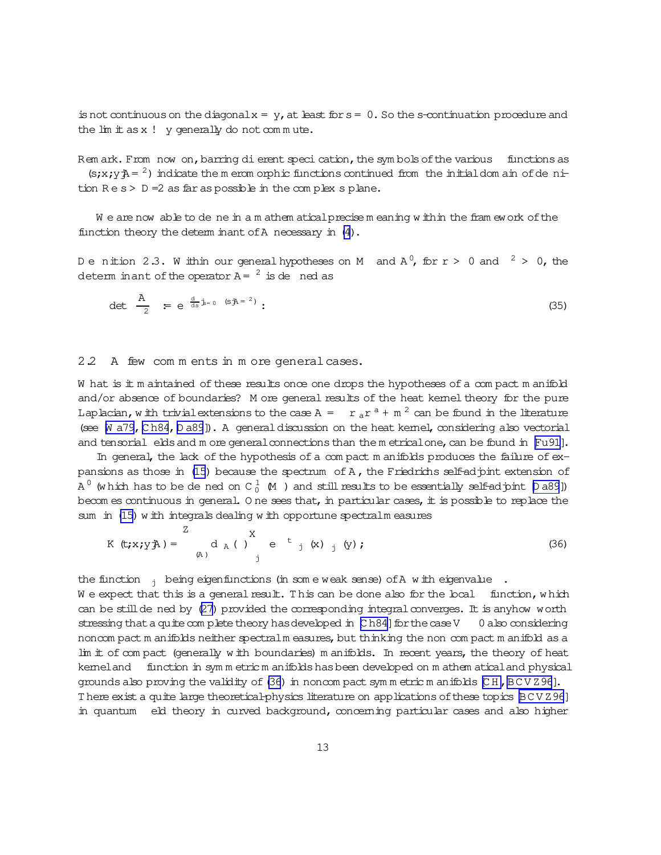<span id="page-12-0"></span>is not continuous on the diagonal  $x = y$ , at least for  $s = 0$ . So the s-continuation procedure and the  $\lim$   $\pm$  as x ! y generally do not commute.

Rem ark. From now on, barring dierent speci cation, the symbols of the various functions as  $(s; x; y) = 2$  indicate the meromorphic functions continued from the initial domain of denition  $R e s > D = 2$  as far as possible in the complex splane.

We are now able to de ne in a m athem atical precise meaning within the fram ework of the function theory the determ inant of A necessary in (4).

Denition 2.3. W ithin our general hypotheses on M and  $A^0$ , for  $r > 0$  and  $2 > 0$ , the determ in ant of the operator  $A = \begin{pmatrix} 2 & 1 \\ 1 & 2 \end{pmatrix}$  is denced as

$$
\det \frac{A}{2} = e^{\frac{d}{ds} \dot{b} = 0 \quad (s \bar{A} = 2)}:
$$
 (35)

#### 2.2 A few comments in more general cases.

W hat is it m aintained of these results once one drops the hypotheses of a compact m anifold and/or absence of boundaries? M ore general results of the heat kemel theory for the pure Laplacian, with trivial extensions to the case A =  $r_a r^a + m^2$  can be found in the literature (see M a79, Ch84, D a89]). A general discussion on the heat kemel, considering also vectorial and tensorial elds and m ore general connections than the metrical one, can be found in [Fu91].

In general, the lack of the hypothesis of a compact manifolds produces the failure of expansions as those in (15) because the spectrum of A, the Friedrichs self-adjoint extension of A  $^0$  (which has to be de ned on C  $^1_0$  (M) and still results to be essentially self-adjoint [Da89]) becom es continuous in general. One sees that, in particular cases, it is possible to replace the sum in (15) with integrals dealing with opportune spectralm easures

$$
K (t; x; y A) = \begin{cases} 2 & X \\ A & (X) \end{cases} \quad e^{t} \quad (x) \quad (y) \tag{36}
$$

the function  $\frac{1}{1}$  being eigenfunctions (in some weak sense) of A with eigenvalue.

We expect that this is a general result. This can be done also for the local function, which can be still de ned by (27) provided the corresponding integral converges. It is anyhow worth stressing that a quite complete theory has developed in  $[Ch84]$  for the case V 0 also considering noncom pact m anifolds neither spectral m easures, but thinking the non compact m anifold as a lim it of compact (generally with boundaries) manifolds. In recent years, the theory of heat kemeland function in symmetric manifolds has been developed on mathem atical and physical grounds also proving the validity of (36) in noncom pact symm etric m anifolds [CH, BCVZ96]. There exist a quite large theoretical-physics literature on applications of these topics BCVZ96] in quantum eld theory in curved background, concerning particular cases and also higher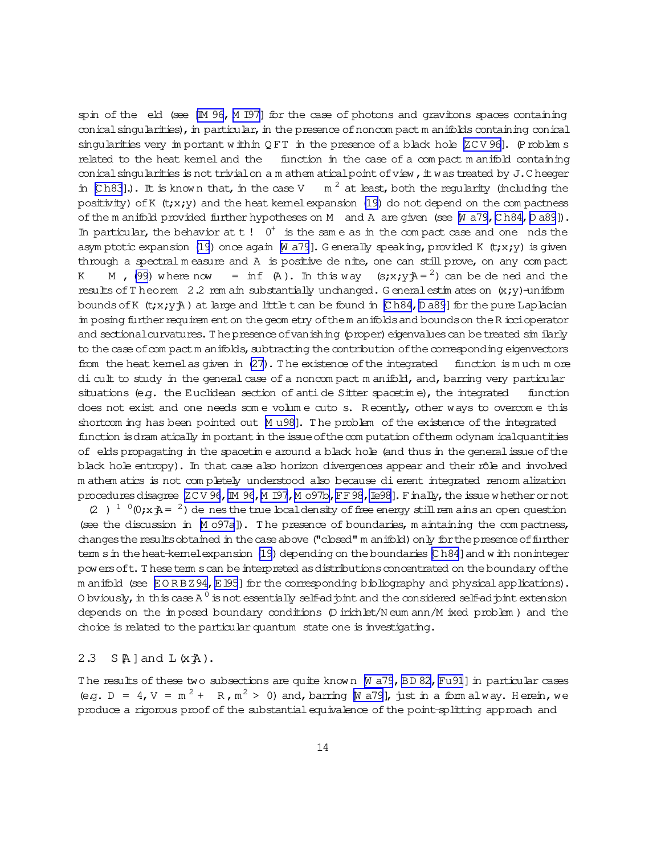spin of the eld (see [M 96, M I97] for the case of photons and gravitons spaces containing conical singularities), in particular, in the presence of noncompact m anifolds containing conical singularities very in portant within QFT in the presence of a black hole  $ZCV96$ . (Problem s related to the heat kemel and the function in the case of a compact manifold containing conical singularities is not trivial on a m athem atical point of view, it was treated by J.Cheeger  $m<sup>2</sup>$  at least, both the regularity (including the in  $[Ch83]$ .). It is known that, in the case V positivity) of K  $(t; x; y)$  and the heat kemel expansion (19) do not depend on the compactness of the m anifold provided further hypotheses on M and A are given (see M a79, Ch84, D a89]). In particular, the behavior at  $t$  !  $0^+$  is the same as in the compact case and one nds the asym ptotic expansion (19) once again [N a79]. Generally speaking, provided K (t;x;y) is given through a spectral measure and A is positive de nite, one can still prove, on any compact  $=$  inf  $(A)$ . In this way  $(s; x; y) = 2$  can be dened and the M  $(99)$  where now K results of T heorem 2.2 rem ain substantially unchanged. G eneral estimates on  $(x,y)$ -uniform bounds of K  $(t; x; y)$  at large and little t can be found in [Ch84, D a89] for the pure Laplacian in posing further requirem ent on the geom etry of the m anifolds and bounds on the R iccioperator and sectional curvatures. The presence of vanishing (proper) eigenvalues can be treated similarly to the case of compact m anifolds, subtracting the contribution of the corresponding eigenvectors from the heat kemelas given in (27). The existence of the integrated function is much more di cult to study in the general case of a noncompact manifold, and, barring very particular situations (e.g. the Euclidean section of anti de Sitter spacetime), the integrated function does not exist and one needs some volume cuto s. Recently, other ways to overcome this shortcom ing has been pointed out [M u98]. The problem of the existence of the integrated function is dram atically in portant in the issue of the computation of them odynam ical quantities of elds propagating in the spacetime around a black hole (and thus in the general issue of the black hole entropy). In that case also horizon divergences appear and their rôle and involved m athem atics is not completely understood also because di erent integrated renorm alization procedures disagree [ZCV 96, IM 96, M 197, M 097b, FF 98, Ie98]. Finally, the issue whether or not (2)  $10(y; x; 4) = 2$  de nes the true local density of free energy still rem ains an open question (see the discussion in Mo97a]). The presence of boundaries, maintaining the compactness, changes the results obtained in the case above ("closed" m anifold) only for the presence of further tem s in the heat-kemelexpansion (19) depending on the boundaries [Ch84] and w ith noninteger powers oft. These term s can be interpreted as distributions concentrated on the boundary of the m anifold (see EORBZ94, E195] for the corresponding bibliography and physical applications). O bviously, in this case A  $^0$  is not essentially self-ad pint and the considered self-ad pint extension depends on the imposed boundary conditions  $(D$  irichlet/N eum ann/M ixed problem) and the choice is related to the particular quantum state one is investigating.

#### 2.3  $S[A]$  and  $L(KA)$ .

The results of these two subsections are quite known M a79, BD 82, Fu91) in particular cases (e.g. D = 4, V =  $m^2$  + R,  $m^2$  > 0) and, barring [N a79], just in a form alway. Herein, we produce a rigorous proof of the substantial equivalence of the point-splitting approach and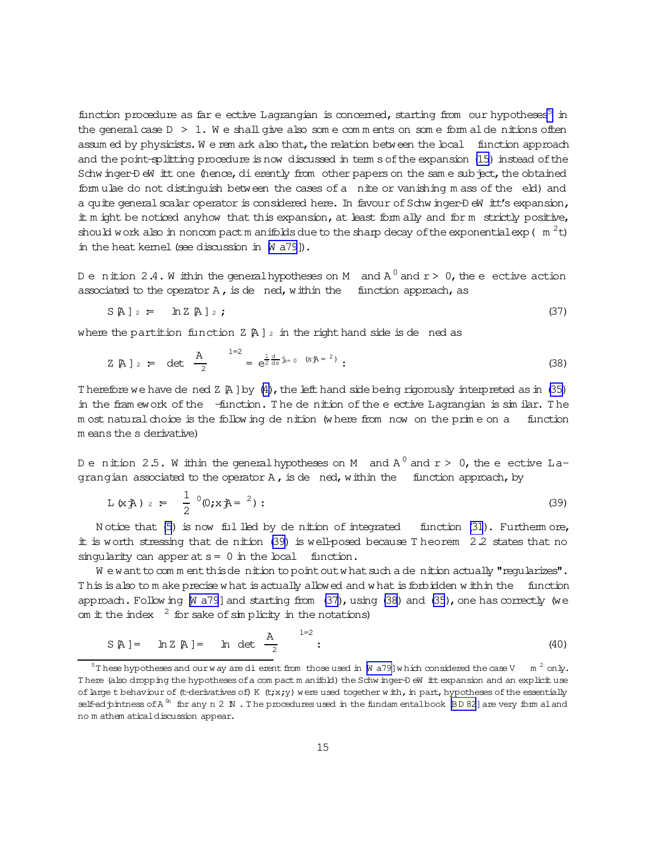<span id="page-14-0"></span>function procedure as far e ective Lagrangian is concerned, starting from our hypotheses<sup>5</sup> in the general case  $D > 1$ . We shall give also some comments on some form alde nitions often assum ed by physicists. We rem ark also that, the relation between the local function approach and the point-splitting procedure is now discussed in term s of the expansion [\(15\)](#page-6-0) instead of the Schw inger-D eW itt one (hence, dierently from other papers on the same subject, the obtained form ulae do not distinguish between the cases of a nite or vanishing m ass of the eld) and a quite general scalar operator is considered here. In favour of Schw inger-D eW itt's expansion, it m ight be noticed anyhow that this expansion, at least form ally and form strictly positive, should work also in noncom pact m anifolds due to the sharp decay of the exponential exp ( $m^2t$ ) in the heat kemel (see discussion in  $[N a 79]$ ).

Denition 2.4. Whithin the generalhypotheses on M and  $\mathtt{A}^0$  and  $\mathtt{r}>0$ , the enective action associated to the operator  $A$ , is de ned, within the function approach, as

$$
S[A]_2 = \ln Z[A]_2; \qquad (37)
$$

where the partition function  $Z \nvert A \rvert z$  in the right hand side is de ned as

$$
Z \uparrow A
$$
 ]  $z = \det \frac{A}{2} = e^{\frac{1}{2} \frac{d}{ds} \cdot \dot{B} = 0} \quad (s \bar{A} = 2)$  (38)

Therefore we have de ned  $Z \nvert A \rvert$  by [\(4\)](#page-4-0), the left hand side being rigorously interpreted as in [\(35\)](#page-12-0) in the fram ework of the -function. The de nition of the eective Lagrangian is similar. The m ost natural choice is the follow ing de nition (w here from now on the prim e on a function m eans the s derivative)

De nition 2.5. Within the generalhypotheses on M and A  $^0$  and  ${\rm r}$  > 0, the e ective Lagrangian associated to the operator  $A$ , is de ned, within the function approach, by

$$
L(xA) = \frac{1}{2} (0; xA = 2): \qquad (39)
$$

N otice that [\(5\)](#page-4-0) is now fulled by de nition of integrated function [\(31](#page-10-0)). Furtherm ore,  $\ddot{\text{I}}$  is worth stressing that de nition (39) is well-posed because T heorem 2.2 states that no singularity can apper at  $s = 0$  in the local function.

We want to comment this denition to point out what such a denition actually "reqularizes". This is also to m ake precise w hat is actually allowed and w hat is forbidden w ithin the function approach. Follow ing  $[M \, a79]$  and starting from  $(37)$ , using  $(38)$  and  $(35)$ , one has correctly (we om  $\pm$  the index  $^2$  for sake of simplicity in the notations)

$$
S[A] = \ln Z[A] = \ln \det \frac{A}{2}
$$
 <sup>1=2</sup>: (40)

 $^5$ These hypotheses and ourway are dierent from those used in [\[W a79\]](#page-39-0)w hich considered the case V  $\,$  m  $^2$  only. There (also dropping the hypotheses of a com pact m anifold) the Schw inger-D eW itt expansion and an explicituse of large t behaviour of (t-derivatives of) K (t;x;y) were used together w ith, in part, hypotheses of the essentially self-adjointness of A<sup>(n</sup> for any n 2 N . The procedures used in the fundam entalbook [BD 82] are very form aland no m athem aticaldiscussion appear.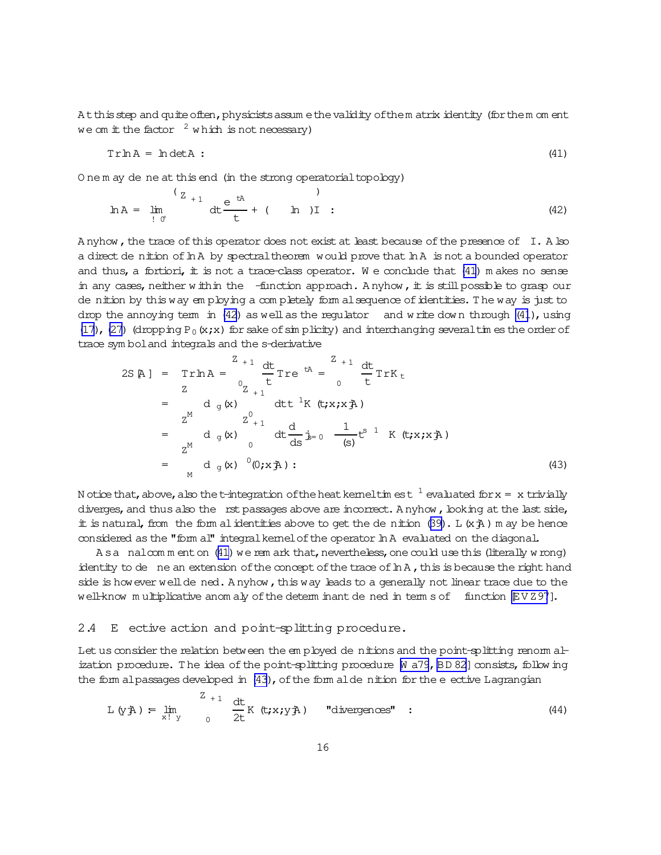<span id="page-15-0"></span>At this step and quite often, physicists assum e the validity of them atrix identity (for them om ent we om it the factor  $2$  which is not necessary)

$$
Tr \ln A = \ln \det A
$$
 (41)

O nem ay de ne at this end (in the strong operatorial topology)

$$
\ln A = \lim_{\substack{f \downarrow 0^+}} \frac{e^{-tA}}{t} + (\ln I) \quad ; \tag{42}
$$

Anyhow, the trace of this operator does not exist at least because of the presence of I. A lso a direct de nition of In A by spectral theorem would prove that In A is not a bounded operator and thus, a fortiori, it is not a trace-class operator. We conclude that  $(41)$  m akes no sense in any cases, neither within the  $-$ function approach. Anyhow, it is still possible to grasp our de nition by this way employing a completely form al sequence of identities. The way is just to drop the annoying term in  $(42)$  as well as the regulator and write down through  $(41)$ , using (17), (27) (dropping P<sub>0</sub>(x;x) for sake of sim plicity) and interchanging several times the order of trace symbol and integrals and the s-derivative

N otice that, above, also the t-integration of the heat kemel times t<sup>1</sup> evaluated for  $x = x$  trivially diverges, and thus also the rst passages above are incorrect. Anyhow, looking at the last side, it is natural, from the form al identities above to get the de nition  $(39)$ . L  $(x \lambda)$  m ay be hence considered as the "form al" integral kemel of the operator In A evaluated on the diagonal.

Asa nalcomment on (41) we rem ark that, nevertheless, one could use this (literally w rong) identity to de ne an extension of the concept of the trace of In A, this is because the right hand side is how ever well de ned. Anyhow, this way leads to a generally not linear trace due to the well-know multiplicative anomaly of the determinant dened in term s of function EVZ97].

#### 2.4 E ective action and point-splitting procedure.

Let us consider the relation between the employed de nitions and the point-splitting renorm alization procedure. The idea of the point-splitting procedure M a79, BD 82] consists, following the form alpassages developed in (43), of the form alde nition for the e ective Lagrangian

$$
L(y\ddot{\phi}) = \lim_{x \downarrow y} \int_{0}^{Z_{+1}} \frac{dt}{2t} K(t; x; y\ddot{\phi}) \quad \text{"divergences" :} \tag{44}
$$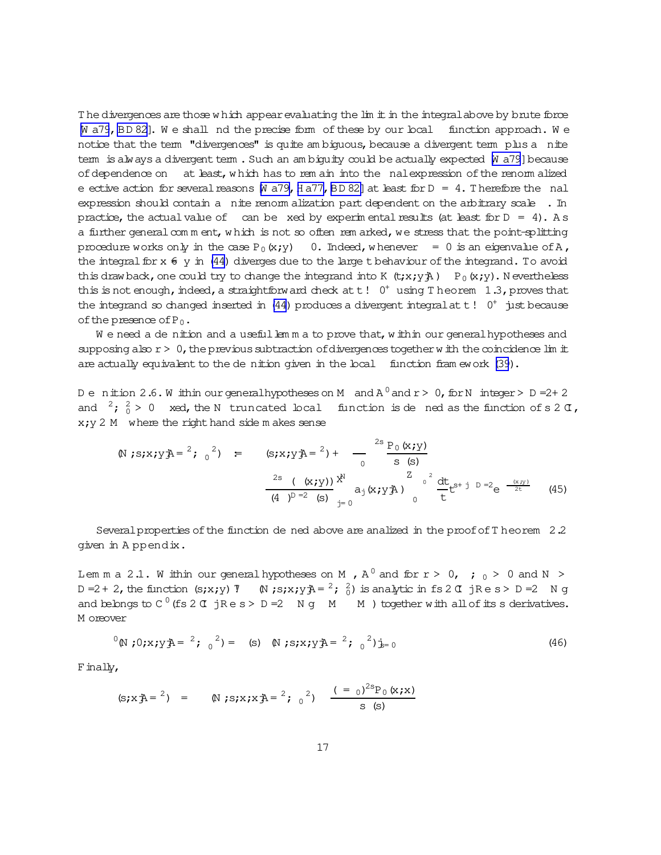<span id="page-16-0"></span>The divergences are those w hich appear evaluating the lim it in the integral above by brute force W a79, [BD 82\]](#page-37-0). We shall nd the precise form of these by our local function approach. We notice that the term "divergences" is quite am biguous, because a divergent term plus a nite term is always a divergent term. Such an am biguity could be actually expected  $[M]$  a79] because of dependence on at least, which has to rem ain into the nal expression of the renorm alized e ective action for several reasons  $[M \, a79, H \, a77, BD \, 82]$  at least for  $D = 4$ . Therefore the nal expression should contain a nite renorm alization part dependent on the arbitrary scale . In practice, the actual value of can be xed by experim ental results (at least for  $D = 4$ ). A s a further general comment, w hich is not so often rem arked, we stress that the point-splitting procedure works only in the case  $P_0(x; y) = 0$ . Indeed, w henever = 0 is an eigenvalue of A, the integral for  $x \notin y$  in [\(44\)](#page-15-0) diverges due to the large t behaviour of the integrand. To avoid this draw back, one could try to change the integrand into K  $(t; x; y; \lambda)$  P<sub>0</sub>(x;y). N evertheless this is not enough, indeed, a straightforward check at  $t$ !  $0^+$  using T heorem 1.3, proves that the integrand so changed inserted in [\(44\)](#page-15-0) produces a divergent integral at  $t$  !  $0^+$  just because of the presence of  $P_0$ .

We need a de nition and a useful lemma to prove that, within our general hypotheses and supposing also  $r > 0$ , the previous subtraction of divergences together with the coincidence lim it are actually equivalent to the de nition given in the local function fram ework [\(39](#page-14-0)).

De nition 2.6. Within ourgeneralhypotheses on M and  $\texttt{A}^{\,0}$  and  $\texttt{r}$  >  $\,0$ , for N integer > D =2+2 and  $2$ ;  $2 \times 0$  xed, the N truncated local function is de ned as the function of s 2  $\sigma$ ,  $x$ ;  $y$  2 M where the right hand side m akes sense

$$
\begin{array}{lll}\n\text{(N ; s; x; y; \text{A} = \text{2}; 0^2) &=& (\text{s; x; y; \text{A} = \text{2}) + \cdots - \text{3} & \frac{P_0(x; y)}{S_0(x; y)}} \\
&=& \frac{2s \left( (x; y) \right) x^N}{(4 \text{ y}^D = 2 \text{ s})} \text{a}_j(x; y; \text{A}) & \frac{Z_0}{C_0} \frac{d t}{t} t^{S_0 + j D = 2} e^{-\frac{(x, y)}{2t}} \\
&=& (45)\n\end{array}
$$

Several properties of the function de ned above are analized in the proof of T heorem 2.2 given in A ppendix.

Lem m a 2.1. W ithin our generalhypotheses on M , A  $^0$  and for r > 0, ;  $_0$  > 0 and N > D = 2 + 2, the function (s;x;y)  $\nabla$   $\mathbb{N}$  ;s;x;y $\vec{\mathcal{P}}$  =  $^2$ ;  $\frac{2}{0}$ ) is analytic in fs 2  $\alpha$  jRe s > D = 2 N g and belongs to  $C^0$  (fs 2  $\sigma$  jR e s > D = 2 N g  $\sigma$  M  $\sigma$  ) together with all of its s derivatives. M oreover

$$
{}^{0}(\mathbb{N} \times \mathbf{y}) = {}^{2}(\mathbf{y} \times \mathbf{y}) = (\mathbf{s}) \quad (\mathbf{y} \times \mathbf{y}) = {}^{2}(\mathbf{y} \times \mathbf{y}) = 0
$$
 (46)

Finally,

(s; x 
$$
\bar{A}
$$
 = <sup>2</sup>) = (N; s; x; x  $\bar{A}$  = <sup>2</sup>;  $0^2$ )  $\frac{(-0)^{2s}P_0(x; x)}{s(s)}$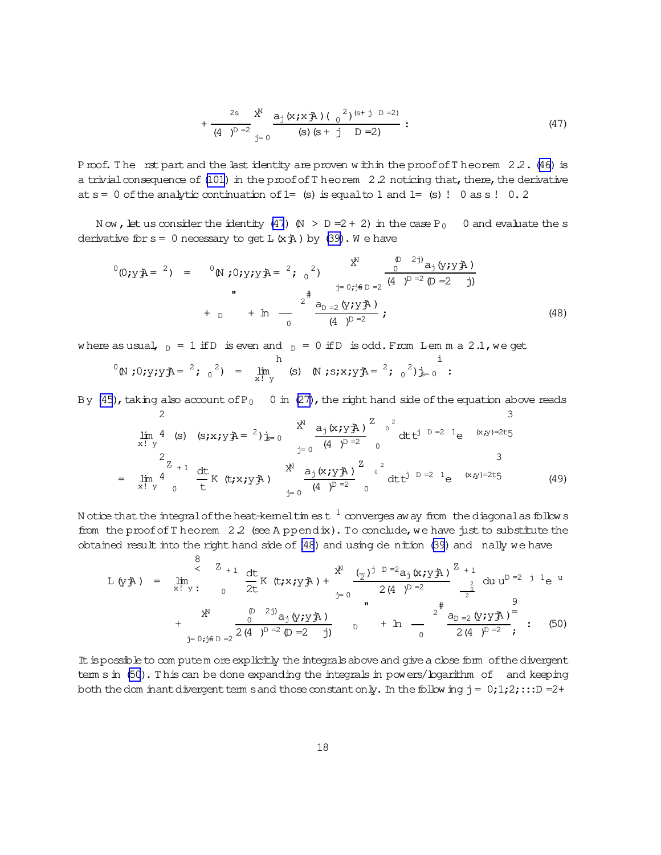$$
+\frac{2s}{(4 \text{ )}^{D-2}} \frac{x^N}{j=0} \frac{a_j(x; x \text{ A}) ( {0}^{2})^{(s+j)D=2)}}{(s) (s+j)D=2)}:
$$
\n(47)

<span id="page-17-0"></span>Proof. The rst part and the last identity are proven w ithin the proof of Theorem 2.2. [\(46\)](#page-16-0) is a trivial consequence of [\(101\)](#page-32-0) in the proof of T heorem  $2.2$  noticing that, there, the derivative at  $s=0$  of the analytic continuation of  $1=$  (s) is equal to 1 and  $1=$  (s)! 0 as s! 0.2

N ow, let us consider the identity [\(47](#page-16-0))  $\mathbb{N} > \mathbb{D} = 2 + 2$  in the case P<sub>0</sub> 0 and evaluate the s derivative for  $s=0$  necessary to get L  $(x<sup>*</sup>A)$  by [\(39\)](#page-14-0). We have

$$
{}^{0}(0; yA = {}^{2}) = {}^{0}(N; 0; y; yA = {}^{2}; {}^{0})
$$
  

$$
{}^{0}(0; yA = {}^{2}) = {}^{0}(N; 0; y; yA = {}^{2}; {}^{0})
$$
  

$$
{}^{0}(0; yA = {}^{2}) = {}^{0}(N; 0; y; yA = {}^{2}; {}^{0})
$$
  

$$
{}^{0}(0; yA = {}^{2}) = {}^{0}(N; 0; yA = {}^{2}; {}^{0})
$$
  

$$
{}^{0}(0; yA = {}^{2}) = {}^{0}(N; 0; yA = {}^{2}; {}^{0})
$$
  

$$
{}^{0}(0; yA = {}^{2}) = {}^{0}(N; 0; yA = {}^{2}; {}^{0})
$$
  

$$
{}^{0}(0; yA = {}^{2}; 0) = {}^{0}(N; 0; yA = {}^{2}; 0) = {}^{0}(N; 0; 0) = {}^{0}(N; 0; 0) = {}^{0}(N; 0; 0) = {}^{0}(N; 0; 0) = {}^{0}(N; 0; 0) = {}^{0}(N; 0; 0) = {}^{0}(N; 0; 0) = {}^{0}(N; 0; 0) = {}^{0}(N; 0; 0) = {}^{0}(N; 0; 0) = {}^{0}(N; 0; 0) = {}^{0}(N; 0; 0) = {}^{0}(N; 0; 0) = {}^{0}(N; 0; 0) = {}^{0}(N; 0; 0) = {}^{0}(N; 0; 0) = {}^{0}(N; 0; 0) = {}^{0}(N; 0; 0) = {}^{0}(N; 0; 0) = {}^{0}(N; 0; 0) = {}^{0}(N; 0; 0) = {}^{0}(N; 0; 0) = {}^{0}(N; 0; 0) = {}^{0}(N; 0; 0) = {}^{0}(N; 0; 0) = {}^{0}(N; 0; 0) = {}^{0}(N; 0; 0) = {}^{0}(N; 0; 0) = {}^{0}(N; 0; 0) = {}^{0}(N; 0; 0) = {}^{0}(N; 0; 0) = {}^{0}(N; 0; 0) = {}^{0}(N; 0; 0) = {}^{0}(N; 0; 0) = {}^{0}(N; 0;
$$

where as usual,  $D = 1$  if D is even and  $D = 0$  if D is odd. From Lem m a 2.1, we get

$$
{}^{0}(\mathbb{N} \mathbf{1};\mathbf{0};\mathbf{y};\mathbf{y};\mathbf{y}) = \lim_{x \to 0} \int_{\mathbf{y}}^{h} (\mathbf{s}) \mathbf{y} \mathbf{y} \mathbf{y} \mathbf{y} \mathbf{y} \mathbf{y} \mathbf{y} = \mathbf{y} \mathbf{y} \mathbf{y} \mathbf{y} \mathbf{y} \mathbf{y} \mathbf{y} \mathbf{y} \mathbf{y} \mathbf{y} \mathbf{y} \mathbf{y} \mathbf{y} \mathbf{y} \mathbf{y} \mathbf{y} \mathbf{y} \mathbf{y} \mathbf{y} \mathbf{y} \mathbf{y} \mathbf{y} \mathbf{y} \mathbf{y} \mathbf{y} \mathbf{y} \mathbf{y} \mathbf{y} \mathbf{y} \mathbf{y} \mathbf{y} \mathbf{y} \mathbf{y} \mathbf{y} \mathbf{y} \mathbf{y} \mathbf{y} \mathbf{y} \mathbf{y} \mathbf{y} \mathbf{y} \mathbf{y} \mathbf{y} \mathbf{y} \mathbf{y} \mathbf{y} \mathbf{y} \mathbf{y} \mathbf{y} \mathbf{y} \mathbf{y} \mathbf{y} \mathbf{y} \mathbf{y} \mathbf{y} \mathbf{y} \mathbf{y} \mathbf{y} \mathbf{y} \mathbf{y} \mathbf{y} \mathbf{y} \mathbf{y} \mathbf{y} \mathbf{y} \mathbf{y} \mathbf{y} \mathbf{y} \mathbf{y} \mathbf{y} \mathbf{y} \mathbf{y} \mathbf{y} \mathbf{y} \mathbf{y} \mathbf{y} \mathbf{y} \mathbf{y} \mathbf{y} \mathbf{y} \mathbf{y} \mathbf{y} \mathbf{y} \mathbf{y} \mathbf{y} \mathbf{y} \mathbf{y} \mathbf{y} \mathbf{y} \mathbf{y} \mathbf{y} \mathbf{y} \mathbf{y} \mathbf{y} \mathbf{y} \mathbf{y} \mathbf{y} \mathbf{y} \mathbf{y} \mathbf{y} \mathbf{y} \mathbf{y} \mathbf{y} \mathbf{y} \mathbf{y} \mathbf{y} \mathbf{y} \mathbf{y} \
$$

By [\(45](#page-16-0)), taking also account of P<sub>0</sub> 0 in [\(27\)](#page-9-0), the right hand side of the equation above reads

$$
\lim_{x \to y} \frac{4}{y} \quad (s) \quad (s; x; y \bar{A}) = \frac{x^N}{j} \frac{a_j (x; y \bar{A})}{(4 - j)^{D - 2}} \int_0^2 e^{2x} dx \, dy = \lim_{x \to y} \frac{a_j (x; y \bar{A})}{3}
$$
\n
$$
= \lim_{x \to y} \frac{4}{y} \frac{dt}{(x; x; y \bar{A})} K(t; x; y \bar{A}) = \lim_{y \to 0} \frac{x^N}{(4 - j)^{D - 2}} \int_0^2 e^{2x} dx \, dy = \lim_{x \to y} \frac{3}{2} \int_0^2 (4 - j)^{D - 2} dx \quad (49)
$$

N otice that the integralofthe heat-kerneltim est  $\,^1$  converges aw ay from the diagonalas follow s from the proof of T heorem  $2.2$  (see A ppendix). To conclude, we have just to substitute the obtained result into the right hand side of  $(48)$  and using de nition  $(39)$  and nally we have

$$
L(yA) = \lim_{x \to y^{+}} \frac{8}{x} K(t; x; yA) + \sum_{j=0}^{N} \frac{(\frac{1}{2})^{j}}{2(4-j^{D-2})} \frac{1}{2} du u^{D-2} j l e^{u}
$$
  
+ 
$$
X^{N} = \frac{0}{2(4-j^{D-2})} \frac{2}{2(4-j^{D-2})} \frac{1}{2} \left( \frac{9}{4-j^{D-2}} \frac{1}{2} \right) + \sum_{j=0}^{N} \frac{1}{2(4-j^{D-2})} \frac{1}{2} \left( \frac{9}{4-j^{D-2}} \frac{1}{2} \right)
$$
  
+ 
$$
Y^{N} = \frac{0}{2(4-j^{D-2})} \frac{2}{4-j^{D-2}} \frac{1}{2} \left( \frac{1}{2} \frac{1}{2} \frac{1}{2} \frac{1}{2} \frac{1}{2} \frac{1}{2} \frac{1}{2} \frac{1}{2} \frac{1}{2} \frac{1}{2} \frac{1}{2} \frac{1}{2} \frac{1}{2} \frac{1}{2} \frac{1}{2} \frac{1}{2} \frac{1}{2} \frac{1}{2} \frac{1}{2} \frac{1}{2} \frac{1}{2} \frac{1}{2} \frac{1}{2} \frac{1}{2} \frac{1}{2} \frac{1}{2} \frac{1}{2} \frac{1}{2} \frac{1}{2} \frac{1}{2} \frac{1}{2} \frac{1}{2} \frac{1}{2} \frac{1}{2} \frac{1}{2} \frac{1}{2} \frac{1}{2} \frac{1}{2} \frac{1}{2} \frac{1}{2} \frac{1}{2} \frac{1}{2} \frac{1}{2} \frac{1}{2} \frac{1}{2} \frac{1}{2} \frac{1}{2} \frac{1}{2} \frac{1}{2} \frac{1}{2} \frac{1}{2} \frac{1}{2} \frac{1}{2} \frac{1}{2} \frac{1}{2} \frac{1}{2} \frac{1}{2} \frac{1}{2} \frac{1}{2} \frac{1}{2} \frac{1}{2} \frac{1}{2} \frac{1}{2} \frac{1}{2} \frac{1}{2} \frac{1}{2} \frac{1}{2} \frac{1}{2} \frac{1}{2} \frac{1
$$

It is possible to com putem ore explicitly the integrals above and give a close form of the divergent term s in (50). T his can be done expanding the integrals in powers/logarithm of and keeping both the dom inant divergent term sand those constant only. In the follow ing  $j = 0;1;2;...$  = 2+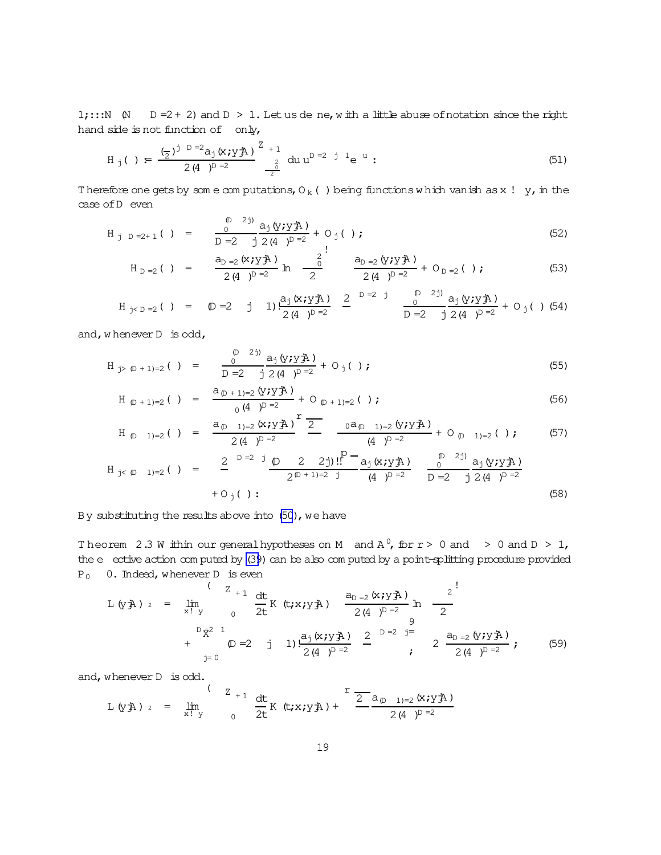<span id="page-18-0"></span>1;::: N  $\uparrow$  D = 2 + 2) and D > 1. Let us de ne, with a little abuse of notation since the right hand side is not function of only,

$$
H_j( ) = \frac{(-1)^{j} p^{-2} a_j (x; y)}{2 (4)^{p^{-2}}} \int_{-\frac{2}{2}}^{\frac{2}{2} + 1} du u^{p^{-2}} i^{1} e^{u}.
$$
 (51)

Therefore one gets by some computations,  $O_k$  ( ) being functions which vanish as x ! y, in the case of D even

$$
H_{j} p = 2+1 \t\t( ) = \frac{p^{(D-2j)}}{D-2} \frac{a_j (y; y \t{A})}{2 (4 - p^{D-2})} + O_j( ) ; \t\t(52)
$$

$$
H_{D=2} ( ) = \frac{a_{D=2} (x; y \bar{A})}{2 (4)^{D=2}} ln \frac{2}{2} \frac{a_{D=2} (y; y \bar{A})}{2 (4)^{D=2}} + O_{D=2} ( ) ;
$$
 (53)

$$
H_{j < D = 2}( ) = \bigoplus \{ \text{ = } 2 \quad j \quad 1 \} \frac{a_{j} (x_{j} \times y_{j})}{2 (4)^{D = 2}} \quad \frac{2}{1} \quad \frac{2}{1} \quad \frac{2}{1} \quad \frac{2}{1} \quad \frac{2}{1} \quad \frac{2}{1} \quad \frac{2}{1} \quad \frac{2}{1} \quad \frac{2}{1} \quad \frac{2}{1} \quad \frac{2}{1} \quad \frac{2}{1} \quad \frac{2}{1} \quad \frac{2}{1} \quad \frac{2}{1} \quad \frac{2}{1} \quad \frac{2}{1} \quad \frac{2}{1} \quad \frac{2}{1} \quad \frac{2}{1} \quad \frac{2}{1} \quad \frac{2}{1} \quad \frac{2}{1} \quad \frac{2}{1} \quad \frac{2}{1} \quad \frac{2}{1} \quad \frac{2}{1} \quad \frac{2}{1} \quad \frac{2}{1} \quad \frac{2}{1} \quad \frac{2}{1} \quad \frac{2}{1} \quad \frac{2}{1} \quad \frac{2}{1} \quad \frac{2}{1} \quad \frac{2}{1} \quad \frac{2}{1} \quad \frac{2}{1} \quad \frac{2}{1} \quad \frac{2}{1} \quad \frac{2}{1} \quad \frac{2}{1} \quad \frac{2}{1} \quad \frac{2}{1} \quad \frac{2}{1} \quad \frac{2}{1} \quad \frac{2}{1} \quad \frac{2}{1} \quad \frac{2}{1} \quad \frac{2}{1} \quad \frac{2}{1} \quad \frac{2}{1} \quad \frac{2}{1} \quad \frac{2}{1} \quad \frac{2}{1} \quad \frac{2}{1} \quad \frac{2}{1} \quad \frac{2}{1} \quad \frac{2}{1} \quad \frac{2}{1} \quad \frac{2}{1} \quad \frac{2}{1} \quad \frac{2}{1} \quad \frac{2}{1} \quad \frac{2}{1} \quad \frac{2}{1} \quad \frac{2}{1} \quad \frac{2}{1} \quad \frac{2}{1} \quad \frac{2}{1} \quad \frac{2}{1} \quad \frac{2}{1} \quad \frac{2}{1} \quad \frac{2}{1} \quad \frac{2}{1} \quad \frac{2}{1} \quad \frac{2}{1} \quad \frac
$$

and, whenever  $D$  is odd,

$$
H_{j> (D+1)=2} ( ) = \frac{D^{(2j)}}{D=2} \frac{a_j (y_j y_j A)}{2 (4)^{D-2}} + O_j ( ) ;
$$
 (55)

$$
H_{(D+1)=2} ( ) = \frac{a_{(D+1)=2} (y \cdot y \cdot \vec{A})}{0 (4)^{D=2}} + O_{(D+1)=2} ( ) ;
$$
 (56)

$$
H_{\text{D}}_{1)=2} ( ) = \frac{a_{\text{D}}_{1}=2} (x; y \bar{A})^{2}}{2(4)^{D=2}} - \frac{0a_{\text{D}}_{1}=2} (y; y \bar{A})}{(4)^{D=2}} + O_{\text{D}}_{1}=2} ( ) ; \qquad (57)
$$

$$
H_{j< D-1)=2} ( ) = \frac{2}{\omega} \frac{D=2j}{2(D-1)=2j} \frac{D=2j}{2(D+1)=2j} \frac{P}{(4j)^{D}=2} \frac{a_{j}(x_{j}yA)}{D=2j} \frac{D=2j}{D=2j} \frac{a_{j}(y_{j}yA)}{2(4j)^{D}=2}
$$
(58)

By substituting the results above into (50), we have

Theorem 2.3 W ithin our general hypotheses on M and  $A^0$ , for  $r > 0$  and  $> 0$  and  $D > 1$ , the e ective action computed by (39) can be also computed by a point-splitting procedure provided  $P_0$  0. Indeed, whenever D is even

L (yA) 
$$
_{2}
$$
 =  $\lim_{x \to y} \int_{0}^{1} \frac{z}{2t} K(t; x; yA) \frac{a_{p=2} (x; yA)}{2(4)^{p=2}} ln \frac{2}{2}$   
+  $\lim_{p=0}^{p \overline{X}^{2}} \frac{a_{p=2} (x; yA)}{2(4)^{p=2}} \frac{a_{p=2} (y; yA)}{2}$  =  $\lim_{p=0}^{p \overline{X}^{2}} \frac{a_{p=2} (y; yA)}{2(4)^{p=2}}$  (59)

and, whenever  $D$  is odd.

L (yA) 
$$
z = \lim_{x \to y} \int_{0}^{(Z_{+1})} \frac{dt}{2t} K(t; x; y) + \frac{r}{2} \frac{a_{(p-1)=2} (x; y)}{2(4)^{p-2}}
$$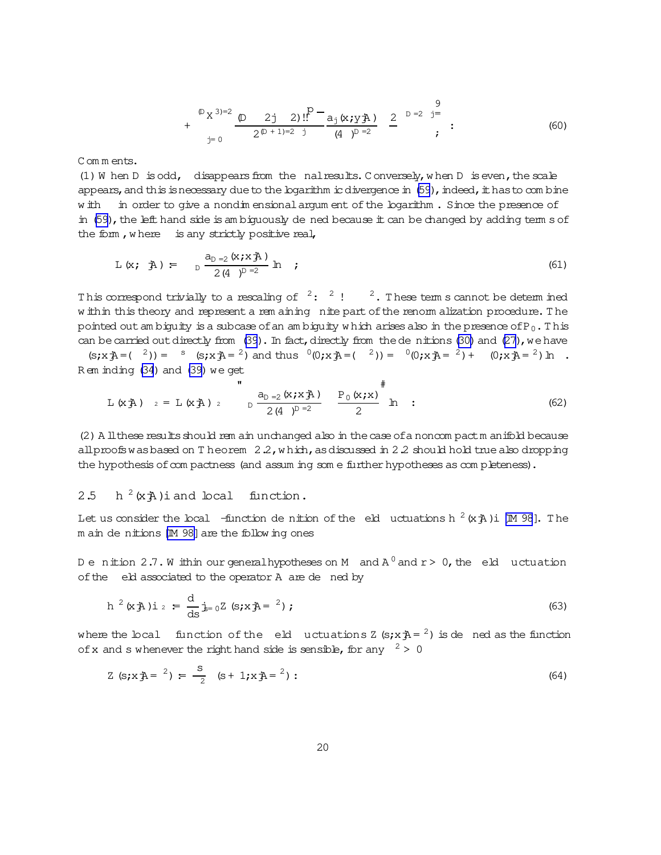$$
+\sum_{j=0}^{\lfloor (D) \rfloor 3 \rfloor - 2} \frac{\lfloor (D) \rfloor 2 j \rfloor 2 j \rfloor!^p}{2^{(D+1)-2} j} = \frac{a_j (x_j y_j A)}{(4)^{D-2}} \frac{2}{2}^{D-2} \frac{3}{j}.
$$
 (60)

<span id="page-19-0"></span>Comments.

(1) W hen D is odd, disappears from the nalreaults. Conversely, when D is even, the scale appears, and this is necessary due to the logarithm ic divergence in (59), indeed, it has to combine w ith in order to give a nondin ensional argum ent of the logarithm. Since the presence of in (59), the left hand side is am biquously de ned because it can be changed by adding term s of the form, where is any strictly positive real,

$$
L(x; \hat{A}) = \frac{a_{D=2}(x; x \hat{A})}{2(4)^{D=2}} \ln ; \qquad (61)
$$

This correspond trivially to a rescaling of  $2:$   $2:$   $2:$  These term s cannot be determined w ithin this theory and represent a rem aining nite part of the renorm alization procedure. The pointed out ambiguity is a subcase of an ambiguity which arises also in the presence of  $P_0$ . This can be carried out directly from (39). In fact, directly from the de nitions (30) and (27), we have (s;x $\hat{A} = (2)$ ) =  $s$  (s;x $\hat{A} = (2)$ ) and thus  $(0, x, \hat{A}) = (2)$ ) =  $(0, x, \hat{A}) = (2) + (0, x, \hat{A}) = (2)$  h.

$$
R \in \text{inding (34) and (39) we get}
$$

L (x A) 
$$
z = L (x A)
$$
  $2$   $D \frac{a_{D=2} (x; x A)}{2 (4)^{D=2}} \frac{P_0 (x; x)}{2}$   $\frac{\pi}{2}$  (62)

(2) A ll these results should rem ain unchanged also in the case of a noncom pact m anifold because all proofs was based on T heorem  $2.2$ , which, as discussed in 2.2 should hold true also dropping the hypothesis of compactness (and assuming some further hypotheses as completeness).

#### 2.5  $h^{2}(xA)$  i and local function.

Let us consider the local -function de nition of the eld uctuations h  $^2$  (x  $\ddot{\tau}$ ) i [M 98]. The m ain de nitions [M 98] are the following ones

Denition 2.7. W ithin our general hypotheses on M and  $A^0$  and  $r > 0$ , the eld uctuation of the eld associated to the operator A are de ned by

$$
h^{2}(x \nexists h) i_{2} = \frac{d}{ds} j_{s=0} Z (s x \nexists h^{2}) ; \qquad (63)
$$

where the local function of the eld uctuations Z  $(s; x + \lambda = 2)$  is de ned as the function of x and s whenever the right hand side is sensible, for any  $2 > 0$ 

$$
Z (s; x A = 2) = \frac{s}{2} (s + 1; x A = 2): \tag{64}
$$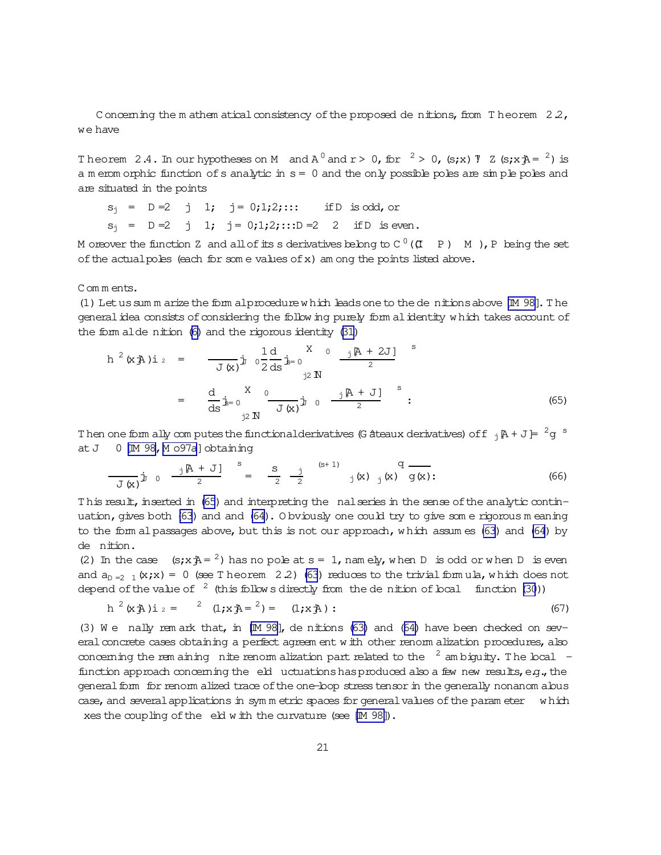Concerning the mathem atical consistency of the proposed denitions, from Theorem  $2.2$ , we have

Theorem 2.4. In our hypotheses on M and  $A^0$  and  $r > 0$ , for  $^2 > 0$ , (s;x) 7 Z (s;x $\bar{A} = ^2$ ) is a m erom orphic function of s analytic in  $s = 0$  and the only possible poles are simple poles and are situated in the points

$$
s_j = D=2 \quad j \quad 1; \quad j = 0;1;2;...
$$
 if D is odd, or  
 $s_j = D=2 \quad j \quad 1; \quad j = 0;1;2;...$  D =2 2 if D is even

M or ever the function Z and all of its s derivatives belong to  $C^0$  ( $(I - P)$  M), P being the set of the actual poles (each for some values of x) am ong the points listed above.

Comments.

(1) Let us sum m arize the form alprocedure which leads one to the de nitions above [M 98]. The general idea consists of considering the follow ing purely form al identity which takes account of the form alde nition (6) and the rigorous identity (31)

$$
h^{2}(x \n\mathbf{\hat{A}}) i_{2} = \frac{1}{J(x)} j_{y} \left[ 0.2 \frac{1}{ds} j_{z=0} \right]^{X} \left[ 0.2 \frac{1}{2} \frac{1}{s} \mathbf{\hat{A}} \right]^{X} i_{1} \mathbf{\hat{B}} = 0
$$
\n
$$
= \frac{d}{ds} j_{z=0} \frac{1}{J(x)} \frac{1}{J(x)} j_{y} \left[ 0.2 \frac{1}{2} \frac{1}{s} \mathbf{\hat{A}} \right]^{X} i_{2} \left[ 0.2 \frac{1}{2} \mathbf{\hat{A}} \right]^{X} (65)
$$

Then one form ally computes the functional derivatives (G ateaux derivatives) of f  $_1$   $\beta$  + J =  $^2$ g <sup>s</sup> at  $J = 0$  [M 98, M o97a] obtaining

$$
\frac{1}{J(x)} \mathbf{j} \quad 0 \quad \frac{\mathbf{j} \quad [A + J]}{2} \quad = \quad \frac{S}{2} \quad \frac{\mathbf{j}}{2} \quad \frac{(S+1)}{2} \quad \mathbf{j} \quad (x) \quad \mathbf{q} \quad \frac{1}{J(x)} \tag{66}
$$

This result, inserted in (65) and interpreting the nalseries in the sense of the analytic continuation, gives both (63) and and (64). Obviously one could try to give som e rigorous meaning to the form al passages above, but this is not our approach, which assumes  $(63)$  and  $(64)$  by de nition.

(2) In the case  $(s, x, \bar{A}) = \lambda^2$  has no pole at  $s = 1$ , namely, when D is odd or when D is even and  $a_{p=2}$  (x;x) = 0 (see T heorem 2.2) (63) reduces to the trivial formula, which does not depend of the value of  $\frac{2}{3}$  (this follows directly from the de nition of local function (30))

$$
h^{2}(x \nexists \lambda) i_{2} = 2 (1 \nexists x \nexists x^{2}) = (1 \nexists x \nexists x) : (67)
$$

(3) We nally remark that, in  $[M\ 98]$ , denitions (63) and (64) have been checked on several concrete cases obtaining a perfect agreem ent with other renorm alization procedures, also conceming the remaining nite renormalization part related to the  $\frac{2}{3}$  ambiguity. The boal function approach concerning the eld uctuations has produced also a few new results, e.g., the general form for renorm alized trace of the one-loop stress tensor in the generally nonanom alous case, and several applications in symmetric spaces for general values of the parameter which xes the coupling of the eld with the curvature (see [M 98]).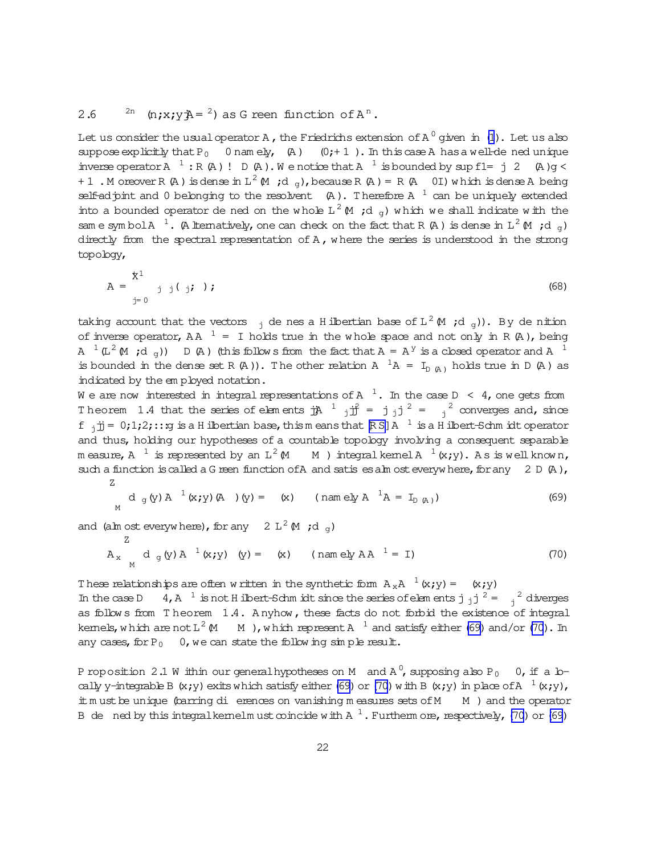# <span id="page-21-0"></span>2.6 <sup>2n</sup> (n;x;y $\bar{A} = \pm 2$ ) as G reen function of  $A^n$ .

Let us consider the usual operator A , the Friedrichs extension of A  $^0$  given  $\,$  in  $\,$  [\(1](#page-2-0)). Let us also suppose explicitly that  $P_0$  0 nam ely, (A) (0; + 1). In this case A has a well-de ned unique inverse operator A<sup>1</sup>: R(A)! D(A). We notice that A<sup>1</sup> is bounded by sup f1= j2 (A)g < + 1 . Moreover R (A) is dense in  $L^2 M$  ; d  $_g$  ), because R (A) = R (A 0I) w hich is dense A being self-adjoint and 0 belonging to the resolvent  $\,$  (A). Therefore A  $^{\,1}$  can be uniquely extended into a bounded operator de ned on the whole L<sup>2</sup>  $\mu$  ;d <sub>g</sub>) which we shall indicate with the same symbol A<sup>1</sup>. (A lternatively, one can check on the fact that R(A) is dense in  $L^2(M;d_g)$ directly from the spectral representation of A, w here the series is understood in the strong topology,

$$
A = \frac{x^1}{y^2} \left( \frac{x^2}{y^2} \right); \tag{68}
$$

taking account that the vectors  $\,$   $_{\rm j}$  de nes a Hilbertian base of L  $^2$  M  $\,$  ;d  $_{\rm g}$ )). By de nition of inverse operator, AA  $<sup>1</sup> = I$  holds true in the whole space and not only in R (A), being</sup> A  $^1$  (L  $^2$  (M ; d  $_{g}$ ))  $\;$  D (A ) (this follows from the fact that A = A  $^y$  is a closed operator and A  $^1$ is bounded in the dense set R (A)). The other relation A  ${}^{1}A = I_{D(A)}$  holds true in D (A) as indicated by the em ployed notation.

We are now interested in integral representations of A  $\,$   $^1.$  In the case D  $\,$   $\,$   $\,$  4, one gets from Theorem 1.4 that the series of elements  $\mathbf{j}A^{-1}$   $\mathbf{j}\mathbf{j}^2 = \mathbf{j}$   $\mathbf{j}$   $\mathbf{j}^2 = \mathbf{j}^2$  converges and, since f  $_j$ jj= 0;1;2;:::g is a Hilbertian base, thism eans that  $\R S$ ]A  $^{-1}$  is a Hilbert-Schm idt operator and thus, holding our hypotheses of a countable topology involving a consequent separable measure, A  $^{-1}$  is represented by an L<sup>2</sup> (M  $\,$  M ) integralkemelA  $^{-1}$  (x;y). As is wellknown, such a function is called a G reen function of A and satis es alm ost everyw here, for any  $2 D (A)$ , Z

$$
d_g(y) A^{-1}(x; y) (A) (y) = (x)
$$
 (namely  $A^{-1}A = I_{D(A)}$ ) (69)

and (alm ost everywhere), for any 2  $L^2(M; d_g)$ 

$$
A_x
$$
  $d_g(y) A^{-1}(x; y)$   $(y) = (x)$  (namely AA<sup>-1</sup> = I) (70)

These relationships are often w ritten in the synthetic form  $A_xA^{-1}(x; y) = (x; y)$ In the case D  $4, A^{-1}$  is not H ilbert-Schm idt since the series of elements j  $j^{2} = \frac{2}{j}$  diverges as follow s from T heorem 1.4. A nyhow, these facts do not forbid the existence of integral kemels,which are not L $^2$  (M  $\,$  M  $\,$  ),w hich represent A  $^{-1}$  and satisfy either (69) and/or (70). In any cases, for  $P_0$  0, we can state the follow ing simple result.

P roposition 2.1 W ithin our generalhypotheses on M  $\,$  and A  $^0$ , supposing also P  $_0$   $\,$  0, if a lo– cally y-integrable B (x;y) exits which satisfy either (69) or (70) with B (x;y) in place of A  $^{-1}$  (x;y), it m ust be unique (barring di erences on vanishing m easures sets of M  $\,$  M  $\,$  ) and the operator B de ned by this integralkemelm ust coincide with A  $^1$  . Furtherm ore, respectively, (70) or (69)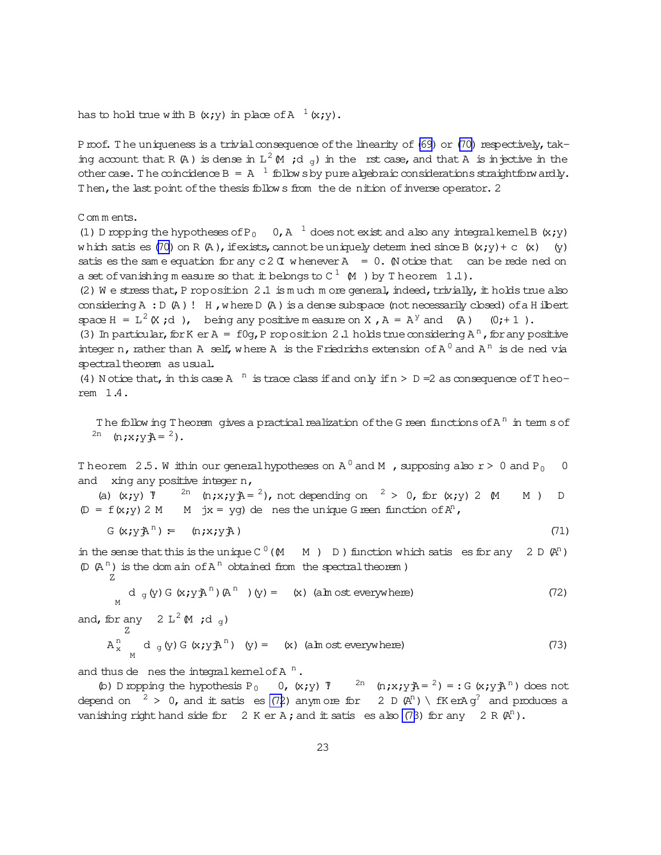<span id="page-22-0"></span>has to hold true with B  $(x,y)$  in place of A  $^{-1}(x,y)$ .

Proof. The uniqueness is a trivial consequence of the linearity of (69) or (70) respectively, taking account that R (A) is dense in  $L^2$  (M ;d  $\sigma$ ) in the rst case, and that A is injective in the other case. The coincidence  $B = A^{-1}$  follows by pure algebraic considerations straightforwardly. Then, the last point of the thesis follows from the denition of inverse operator. 2

Comments.

(1) D ropping the hypotheses of P<sub>0</sub> 0, A<sup>1</sup> does not exist and also any integral kemel B (x;y) which satis es (70) on R (A), if exists, cannot be uniquely determ ined since B (x;y) + c (x) (y) satis es the same equation for any  $c2C$  whenever  $A = 0$ . (Notice that can be rede ned on a set of vanishing measure so that it belongs to  $C^1$  (M) by Theorem 1.1).

(2) We stress that, P roposition 2.1 is much more general, indeed, trivially, it holds true also considering  $A : D(A)$ ! H, where  $D(A)$  is a dense subspace (not necessarily closed) of a H ilbert space  $H = L^2(X, d)$ , being any positive m easure on X,  $A = A^Y$  and (A) (0;+1).

(3) In particular, for K er A =  $f0q$ , P roposition 2.1 holds true considering A<sup>n</sup>, for any positive integer n, rather than A self, where A is the Friedrichs extension of  $A^0$  and  $A^n$  is de ned via spectral theorem as usual.

(4) N otice that, in this case A  $^{\text{n}}$  is trace class if and only if  $n > D = 2$  as consequence of T heorem 1.4.

The follow ing Theorem gives a practical realization of the G reen functions of  $A<sup>n</sup>$  in term s of <sup>2n</sup> (n;x;y $\vec{A}$  = <sup>2</sup>).

Theorem 2.5. W ithin our general hypotheses on  $A^0$  and M , supposing also  $r > 0$  and P<sub>0</sub> 0 and  $xing$  any positive integer n,

(a) (x;y) 7  $^{2n}$  (n;x;y $\lambda = 2$ ), not depending on  $^2 > 0$ , for (x;y) 2 M  $M$ )  $D$  $(D = f(x,y) 2 M$  M jx = yg) de nes the unique G reen function of  $A^n$ ,

$$
G(x; yAn) = (n; x; yA) \qquad (71)
$$

in the sense that this is the unique  $C^0(M \t M)$  D) function which satis es for any 2 D  $(\mathbb{A}^n)$  $(D (A<sup>n</sup>)$  is the dom ain of  $A<sup>n</sup>$  obtained from the spectral theorem)

$$
d_g(y) G(x; y \nrightarrow{n}^n) (A^n) (y) = (x) (ahx) (b) (x) (72)
$$

and, for any 2 L<sup>2</sup> (M ;d<sub>g</sub>)  
\n
$$
A_x^n \quad d_g(y) G(x;y^2)^n \quad (y) = (x) \quad (\text{aIn ost everywhere})
$$
\n(73)

and thus de nes the integral kemel of  $A<sup>n</sup>$ .

(b) D ropping the hypothesis P<sub>0</sub> 0, (x;y) 7 <sup>2n</sup> (n;x;y $\bar{A} = \lambda^2$ ) = : G (x;y $\bar{A}^n$ ) does not depend on  $2 > 0$ , and it satis es (72) anymore for 2 D  $(\mathbb{A}^{n}) \setminus fK$  erA  $g^{2}$  and produces a vanishing right hand side for 2 K er A; and it satis es also (73) for any 2 R  $(\mathbb{A}^n)$ .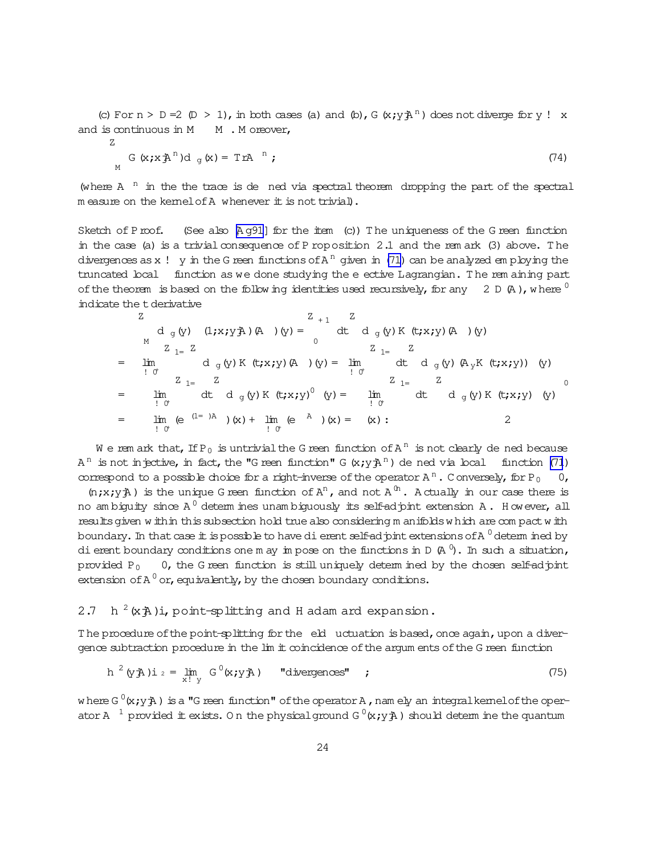(c) For  $n > D = 2$  (D > 1), in both cases (a) and (b), G  $(x; y \nrightarrow n)$  does not diverge for y! x and is continuous in  $M$   $M$ . M oreover,

Z

$$
G(x; x \mathbf{A}^{\mathrm{n}}) d_{g}(x) = T r A^{-n}; \qquad (74)
$$

(where  $A$ <sup>n</sup> in the the trace is de ned via spectral theorem dropping the part of the spectral  $m$  easure on the kernel of A whenever it is not trivial).

Sketch of Proof. (See also  $A q91$  for the item (c)) The uniqueness of the G reen function in the case (a) is a trivial consequence of P roposition 2.1 and the rem ark (3) above. The divergences as x ! y in the G reen functions of A  $^{\rm n}$  given in [\(71\)](#page-22-0) can be analyzed employing the truncated local function as we done studying the eective Lagrangian. T he rem aining part of the theorem is based on the follow ing identities used recursively, for any 2 D  $(A)$ , where  $0$ indicate the tderivative

$$
Z
$$
\n
$$
d_{g}(y) (1; x; y A) (A) (y) = \int_{0}^{Z_{+1}} dt d_{g}(y) K(t; x; y) (A) (y)
$$
\n
$$
Z_{1=}
$$
\n
$$
= \lim_{\begin{array}{l}1 \text{ in} \\1 \text{ of} \end{array}} d_{g}(y) K(t; x; y) (A) (y) = \lim_{\begin{array}{l}1 \text{ in} \\1 \text{ of} \end{array}} \frac{Z_{1=}
$$
\n
$$
Z_{1=}
$$
\n
$$
= \lim_{\begin{array}{l}1 \text{ in} \\1 \text{ of} \end{array}} \frac{Z_{1=}
$$
\n
$$
Z_{1=}
$$
\n
$$
= \lim_{\begin{array}{l}1 \text{ in} \\1 \text{ of} \end{array}} \frac{Z_{1=}
$$
\n
$$
Z_{1=}
$$
\n
$$
= \lim_{\begin{array}{l}1 \text{ in} \\1 \text{ of} \end{array}} \frac{Z_{1=}
$$
\n
$$
Z_{1=}
$$
\n
$$
= \lim_{\begin{array}{l}1 \text{ in} \\1 \text{ of} \end{array}} \frac{Z_{1=}
$$
\n
$$
= \lim_{\begin{array}{l}1 \text{ in} \\1 \text{ of} \end{array}} \frac{Z_{1=}
$$
\n
$$
= \lim_{\begin{array}{l}1 \text{ in} \\1 \text{ of} \end{array}} \frac{Z_{1=}
$$
\n
$$
= \lim_{\begin{array}{l}1 \text{ in} \\1 \text{ of} \end{array}} \frac{Z_{1=}
$$
\n
$$
= \lim_{\begin{array}{l}1 \text{ in} \\1 \text{ of} \end{array}} \frac{Z_{1=}
$$
\n
$$
= \lim_{\begin{array}{l}1 \text{ in} \\1 \text{ of} \end{array}} \frac{Z_{1=}
$$
\n
$$
= \lim_{\begin{array}{l}1 \text{ in} \\1 \text{ of} \end{array}} \frac{Z_{1=}
$$
\n
$$
= \lim_{\begin{array}{l}1 \text{ in} \\1 \text{ of} \end{array}} \frac{Z_{1=}
$$
\n
$$
= \lim_{\begin{array}{l}1 \text{ in}
$$

We rem ark that, If P<sub>0</sub> is untrivial the G reen function of A<sup>n</sup> is not clearly de ned because A<sup>n</sup> is not injective, in fact, the "G reen function" G  $(x; y)$ A<sup>n</sup>) de ned via local function [\(71](#page-22-0)) correspond to a possible choice for a right-inverse of the operator  $A^n$ . Conversely, for P<sub>0</sub> 0,

 $(n; x; y)$  is the unique G reen function of  $A^n$ , and not  $A^{(n)}$ . A ctually in our case there is no ambiguity since A  $^0$  determ ines unambiguously its self-adjoint extension A . However, all resultsgiven w ithin thissubsection hold truealso considering m anifoldsw hich are com pactw ith boundary. In that case  $\pm$  is possible to have di erent self-ad  $\mathrm{p}$ int extensions of A  $^0$  determ ined by dierent boundary conditions one may impose on the functions in D (A  $^0$ ). In such a situation, provided  $P_0$  0, the G reen function is still uniquely determ ined by the chosen self-adjoint extension of A  $^0$  or, equivalently, by the chosen boundary conditions.

#### 2.7 h  $h^{2}(x+h)$ i, point-splitting and H adam ard expansion.

The procedure of the point-splitting for the eld uctuation is based, once again, upon a divergence subtraction procedure in the lim it coincidence of the argum ents of the G reen function

$$
h^{2}(yA)i_{2} = \lim_{x! \ y} G^{0}(x,yA) \qquad "divergences" ; \qquad (75)
$$

where G  $^{0}$ (x;y $\texttt{\AA}$  ) is a "G reen function" of the operator A , nam ely an integralkemelof the operator A  $^{-1}$  provided it exists. On the physical ground G  $^0$ (x;y $\rm \bar{p}$  ) should determ ine the quantum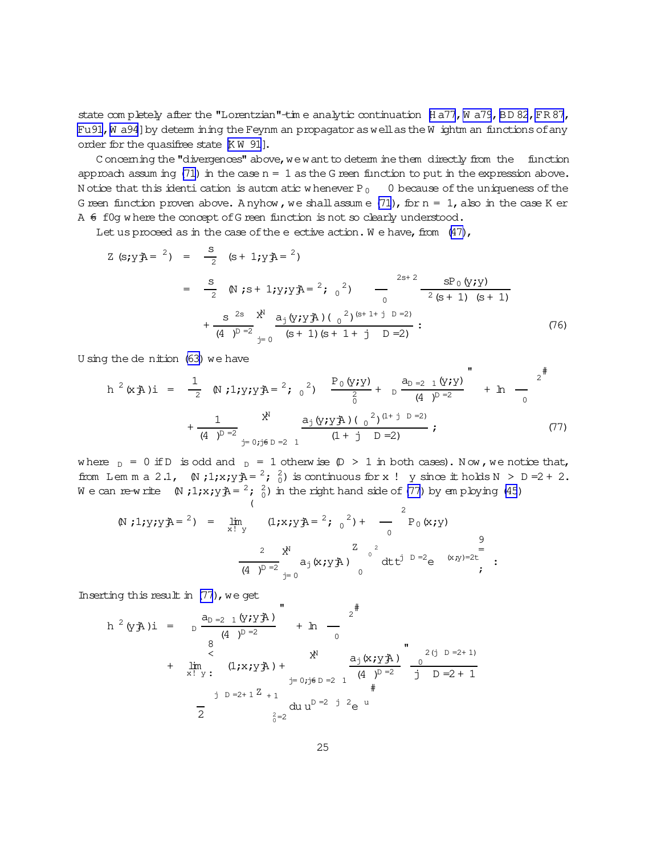<span id="page-24-0"></span>state completely after the "Lorentzian"-time analytic continuation [Ha77, Wa79, BD82, FR87, Fu91, W a94] by determ ining the Feynm an propagator as well as the W ightm an functions of any order for the quasifree state [KW 91].

Concerning the "divergences" above, we want to determ ine them directly from the function approach assum ing  $(71)$  in the case  $n = 1$  as the G reen function to put in the expression above. N otice that this identi cation is automatic whenever  $P_0$  0 because of the uniqueness of the G reen function proven above. Anyhow, we shall assume  $(71)$ , for  $n = 1$ , also in the case K er A  $\epsilon$  fog where the concept of G reen function is not so clearly understood.

Let us proceed as in the case of the e ective action. We have, from  $(47)$ ,

$$
Z (s; yA = 2) = \frac{S}{2} (s + 1; yA = 2)
$$
  
=  $\frac{S}{2} (s + 1; yA = 2; 0, 2)$   
=  $\frac{S}{2} (s + 1; yA = 2; 0, 2)$   
 $+ \frac{S^{2s}}{(4)^{D-2}} \sum_{i=0}^{N} \frac{a_{i}(y; yA)(0^{2})^{(s+1+j)D=2i}}{(s+1)(s+1+j)D=2i}$  (76)

U sing the de nition  $(63)$  we have

$$
h^{2}(x \n\tilde{A})\mathbf{i} = \frac{1}{2} \quad \text{(N } j \mathbf{1}; y \mathbf{i} y \n\tilde{A} = \frac{2}{2} \quad \frac{P_{0}(y \mathbf{i} y)}{\frac{2}{0}} + \frac{a_{D-2} (y \mathbf{i} y)}{\frac{2}{4}} + \mathbf{1}_{0} \quad \frac{P_{0}(y \mathbf{i} y)}{\frac{2}{4}} + \frac{1}{4} \quad \frac{X^{N}}{\frac{2}{3} \cdot \frac{2}{3} \cdot \frac{2}{3} \cdot \frac{2}{3} \cdot \frac{2}{3}} + \frac{a_{D-2} (y \mathbf{i} y)}{\frac{2}{3} \cdot \frac{2}{3} \cdot \frac{2}{3}} + \mathbf{1}_{0} \quad \frac{1}{2} \quad \frac{1}{2} \quad \frac{1}{2} \quad \frac{1}{2} \quad \frac{1}{2} \quad \frac{1}{2} \quad \frac{1}{2} \quad \frac{1}{2} \quad \frac{1}{2} \quad \frac{1}{2} \quad \frac{1}{2} \quad \frac{1}{2} \quad \frac{1}{2} \quad \frac{1}{2} \quad \frac{1}{2} \quad \frac{1}{2} \quad \frac{1}{2} \quad \frac{1}{2} \quad \frac{1}{2} \quad \frac{1}{2} \quad \frac{1}{2} \quad \frac{1}{2} \quad \frac{1}{2} \quad \frac{1}{2} \quad \frac{1}{2} \quad \frac{1}{2} \quad \frac{1}{2} \quad \frac{1}{2} \quad \frac{1}{2} \quad \frac{1}{2} \quad \frac{1}{2} \quad \frac{1}{2} \quad \frac{1}{2} \quad \frac{1}{2} \quad \frac{1}{2} \quad \frac{1}{2} \quad \frac{1}{2} \quad \frac{1}{2} \quad \frac{1}{2} \quad \frac{1}{2} \quad \frac{1}{2} \quad \frac{1}{2} \quad \frac{1}{2} \quad \frac{1}{2} \quad \frac{1}{2} \quad \frac{1}{2} \quad \frac{1}{2} \quad \frac{1}{2} \quad \frac{1}{2} \quad \frac{1}{2} \quad \frac{1}{2} \quad \frac{1}{2} \quad \frac{1}{2} \quad \frac{1}{2} \quad \frac{1}{2} \quad \frac{
$$

 $\pm$ 

where  $_D = 0$  if D is odd and  $_D = 1$  otherwise  $(D > 1$  in both cases). Now, we notice that, from Lemma 2.1,  $(N;1;x; yA = \frac{2}{0})$  is continuous for x ! y since it holds  $N > D = 2 + 2$ . We can re-write  $(N, 1; x; y) = \begin{pmatrix} 2 & 2 \ 1 & 0 \end{pmatrix}$  in the right hand side of (77) by employing (45)

$$
\begin{array}{lll}\n\text{(N ; 1; y; y; \text{A} = {}^{2}) &= & \lim_{x \to y} & (1; x; y; \text{A} = {}^{2}; \, \text{o}^{2}) + & \text{or} & \lim_{x \to y} & \text{or} & \lim_{x \to y} & \text{or} & \lim_{x \to y} & \text{or} & \lim_{x \to y} & \text{or} & \lim_{x \to y} & \text{or} & \lim_{x \to y} & \text{or} & \lim_{x \to y} & \text{or} & \lim_{x \to y} & \text{or} & \lim_{x \to y} & \text{or} & \lim_{x \to y} & \lim_{x \to y} & \lim_{x \to y} & \lim_{x \to y} & \lim_{x \to y} & \lim_{x \to y} & \lim_{x \to y} & \lim_{x \to y} & \lim_{x \to y} & \lim_{x \to y} & \lim_{x \to y} & \lim_{x \to y} & \lim_{x \to y} & \lim_{x \to y} & \lim_{x \to y} & \lim_{x \to y} & \lim_{x \to y} & \lim_{x \to y} & \lim_{x \to y} & \lim_{x \to y} & \lim_{x \to y} & \lim_{x \to y} & \lim_{x \to y} & \lim_{x \to y} & \lim_{x \to y} & \lim_{x \to y} & \lim_{x \to y} & \lim_{x \to y} & \lim_{x \to y} & \lim_{x \to y} & \lim_{x \to y} & \lim_{x \to y} & \lim_{x \to y} & \lim_{x \to y} & \lim_{x \to y} & \lim_{x \to y} & \lim_{x \to y} & \lim_{x \to y} & \lim_{x \to y} & \lim_{x \to y} & \lim_{x \to y} & \lim_{x \to y} & \lim_{x \to y} & \lim_{x \to y} & \lim_{x \to y} & \lim_{x \to y
$$

Inserting this result in  $(77)$ , we get

$$
h^{2}(\gamma \mathbf{\hat{A}}) \mathbf{i} = \frac{a_{D-2} (y \mathbf{\hat{A}}) y}{(4 - p)^{D-2}} + h - \frac{z^{\#}}{0}
$$
  
+  $\lim_{x \to y^{+}} (1 \mathbf{\hat{A}} \mathbf{\hat{A}}) + \lim_{y=0; j \in D-2} \frac{a_{j}(x \mathbf{\hat{A}} \mathbf{\hat{A}}) y}{(4 - p)^{D-2}} - \frac{z^{(j - D - 2 + 1)}}{j - D - 2 + 1}$   
+  $\lim_{y=0; j \in D-2} d u u^{D-2} \mathbf{j}^{2} e^{u}$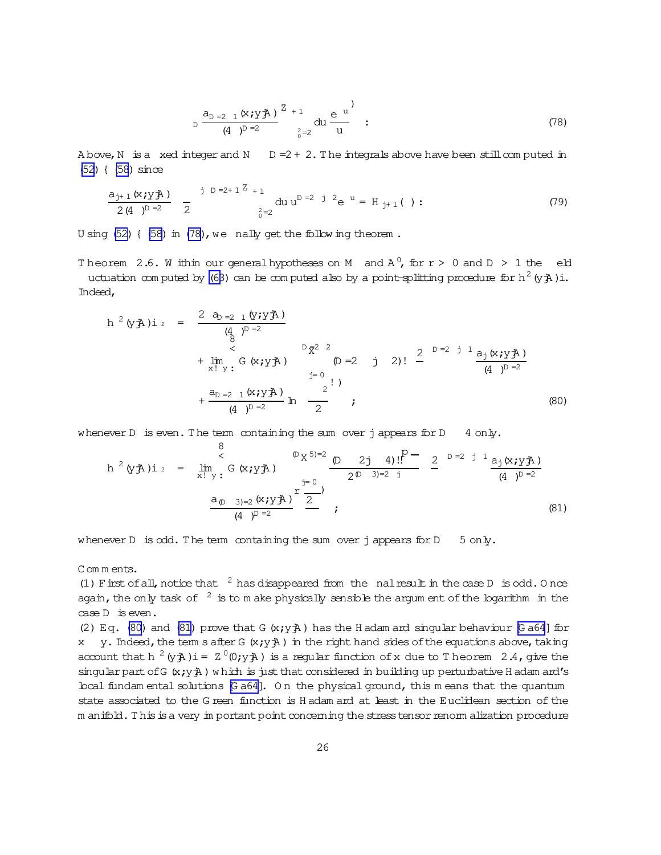$$
D \frac{a_{D=2 \ 1} (x; y \ddot{A})}{(4 \ t)^{D=2}} \frac{z_{+1}}{z_{0}=2} du \frac{e^{u}}{u} ;
$$
 (78)

<span id="page-25-0"></span>A bove, N is a xed integer and N  $D = 2 + 2$ . The integrals above have been still computed in [\(52](#page-18-0)) { [\(58](#page-18-0)) since

$$
\frac{a_{j+1} (x_j y_j \lambda)}{2 (4)^{p-2}} \frac{1}{2}^{p-2+1^{\sum_{i=2}^{p-2}+1} a_i u^{p-2}} du u^{p-2} e^{u} = H_{j+1} ( ) : \qquad (79)
$$

U sing [\(52\)](#page-18-0) { [\(58\)](#page-18-0) in [\(78\)](#page-24-0), we nally get the follow ing theorem.

Theorem 2.6. W ithin our generalhy potheses on M and  $A^0$ , for  $r > 0$  and  $D > 1$  the eld uctuation com puted by [\(63](#page-19-0)) can be com puted also by a point-splitting procedure for h<sup>2</sup> (y $\ddot{\text{A}}$ )i. Indeed,

$$
h^{2}(\gamma \mathbf{A})\mathbf{i}_{2} = \frac{2 a_{D=2} 1 (\gamma \mathbf{i} \gamma \mathbf{A})}{(\frac{d}{8})^{D=2}} + \lim_{\substack{x \to y \to 0 \ x \to y}} G(x \mathbf{i} \gamma \mathbf{A})
$$
\n
$$
= \frac{D \overline{\chi}^{2}}{(\frac{d}{8})^{D=2}} + \frac{D \overline{\chi}^{2}}{(\frac{d}{8})^{D=2}} + \frac{D \overline{\chi}^{2}}{(\frac{d}{8})^{D=2}} \mathbf{h}_{2} \frac{2!}{(\frac{d}{8})^{D=2}} \mathbf{i}_{2} \tag{80}
$$

whenever D is even. The term containing the sum over j appears for  $D = 4$  only.

$$
h^{2}(y \n\tilde{A})\mathbf{i}_{2} = \lim_{x \to y^{+}} \frac{8}{G}(x_{j} y \n\tilde{A}) \n\frac{D(x^{5})=2}{2(D-3)=2 j} \n\frac{D(2j-4)!!}{2(D-3)=2 j} \n\frac{2}{2} \n\frac{D=2 j^{+}}{(4-j)^{D-2}} \n\frac{a_{D-3}=2 (x_{j} y \n\tilde{A})}{(4-j^{D-2})} \n\tag{81}
$$

whenever D is odd. The term containing the sum over j appears for  $D = 5$  only.

Com m ents.

(1) F irst of all, notice that  $\frac{2}{3}$  has disappeared from the nal result in the case D is odd. O nce again, the only task of  $2$  is to m ake physically sensible the argum ent of the logarithm in the case D is even.

(2) Eq. (80) and (81) prove that G  $(x,y\overrightarrow{A})$  has the H adam ard singular behaviour [\[G a64](#page-38-0)] for x y. Indeed, the term s after G  $(x; y)$  in the right hand sides of the equations above, taking account that h  $^2$  (y jA) i =  $Z$   $^0$ (0;y jA) is a regular function of x due to T heorem 2.4, give the singular part of G  $(x; y)$  which is just that considered in building up perturbative H adam ard's local fundam ental solutions [\[G a64\]](#page-38-0). O n the physical ground, this m eans that the quantum state associated to the G reen function is H adam ard at least in the Euclidean section of the m anifold. This is a very im portant point concerning the stress tensor renorm alization procedure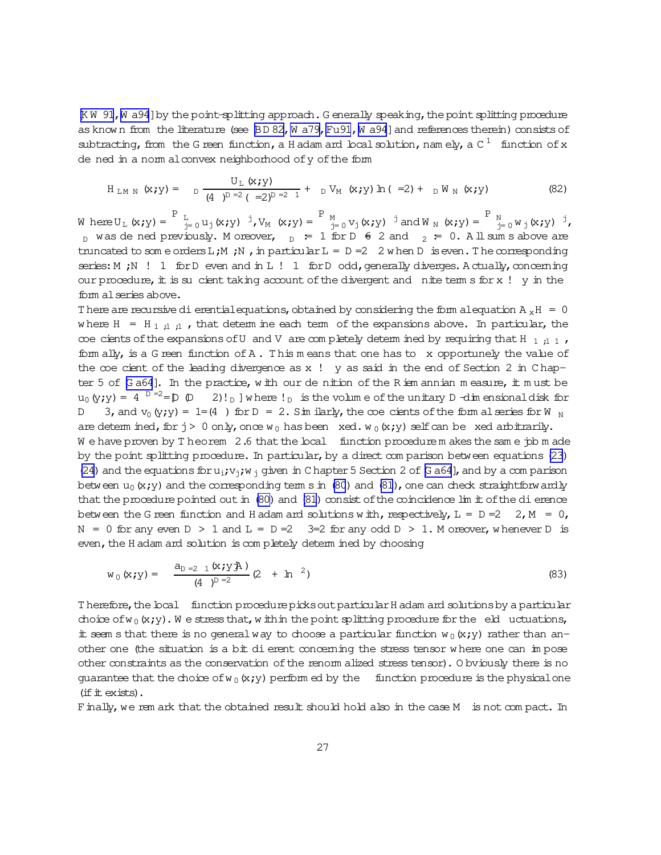[KW 91, W a94] by the point-splitting approach. G enerally speaking, the point splitting procedure as known from the literature (see BD 82, W a79, Fu91, W a94] and references therein) consists of subtracting, from the G reen function, a H adam ard local solution, namely, a C  $^1$  function of x de ned in a norm al convex neighborhood of y of the form

$$
H_{LM N} (x; y) = D \frac{U_L (x; y)}{(4)^{D-2} (-2)^{D-2} 1} + D V_M (x; y) \ln (-2) + D W_N (x; y)
$$
 (82)

 $\text{W here} \ U_L \ (x\,;y) = \begin{bmatrix} P & L \\ -1 & 0 \end{bmatrix} (x\,;y) \quad \n\begin{bmatrix} 1 & 0 \\ 0 & 1 \end{bmatrix} (x\,;y) = \begin{bmatrix} P & M \\ -1 & 0 \end{bmatrix} (x\,;y) = \begin{bmatrix} P & M \\ -1 & 0 \end{bmatrix} (x\,;y) \quad \n\begin{bmatrix} 1 & 0 \\ 0 & 1 \end{bmatrix} (x\,;y) \quad \n\begin{bmatrix} 1 & 0 \\ 0 & 1 \end{bmatrix} (x\,;y) \quad \n\begin{bmatrix} 1 &$  $_D$  was de ned previously. Moreover,  $_D = 1$  for  $D \neq 2$  and  $_2 = 0$ . All sum s above are truncated to some orders L;M; N, in particular L = D = 2 when D is even. The corresponding series: M ; N ! 1 for D even and in L ! 1 for D odd, generally diverges. A ctually, concerning our procedure, it is su cient taking account of the divergent and nite term s for x !  $y$  in the form al series above.

There are recursive di erential equations, obtained by considering the form alequation  $A_xH = 0$ where  $H = H_{1,1,1}$ , that determ ine each term of the expansions above. In particular, the coe cients of the expansions of U and V are completely determined by requiring that H  $_{1,1}$  , form ally, is a G reen function of  $A$ . This means that one has to x opportunely the value of the  $\infty$ e cient of the leading divergence as x ! y as said in the end of Section 2 in Chapter 5 of  $G$  a64]. In the practice, with our de nition of the Riem annian measure, it must be  $u_0(y; y) = 4$   $D = 2 = D$   $D$  $2! \cdot p$  where  $! p$  is the volume of the unitary D-dimensional disk for 3, and  $v_0(y,y) = 1 = (4)$  for  $D = 2$ . Sim ilarly, the coe cients of the form al series for W  $_N$  $\mathsf{D}$ are determined, for  $j > 0$  only, once  $w_0$  has been xed.  $w_0(x, y)$  self can be xed arbitrarily. We have proven by T heorem  $2.6$  that the local function procedure m akes the same  $\dot{p}$  b m ade by the point splitting procedure. In particular, by a direct comparison between equations (23) (24) and the equations for  $u_i v_i w_i$  given in C hapter 5 Section 2 of G a64], and by a comparison between  $u_0(x, y)$  and the corresponding term s in (80) and (81), one can check straight forwardly that the procedure pointed out in (80) and (81) consist of the coincidence lim it of the di erence between the G reen function and H adam and solutions with, respectively,  $L = D = 2$ ,  $M = 0$ ,  $N = 0$  for any even  $D > 1$  and  $L = D = 2$  3=2 for any odd  $D > 1$ . M oreover, whenever D is even, the H adam and solution is completely determ ined by choosing

$$
w_0(x; y) = \frac{a_{D=2} (x; y)}{(4)^{D=2}} (2 + \ln^2)
$$
 (83)

Therefore, the local function procedure picks out particular H adam and solutions by a particular choice of  $w_0(x,y)$ . We stress that, within the point splitting procedure for the eld uctuations, it seem s that there is no general way to choose a particular function  $w_0(x,y)$  rather than another one (the situation is a bit di erent concerning the stress tensor where one can in pose other constraints as the conservation of the renorm alized stress tensor). Obviously there is no guarantee that the choice of  $w_0(x,y)$  performed by the function procedure is the physical one  $(f$ if  $\pm$  exists).

Finally, we rem ark that the obtained result should hold also in the case M is not compact. In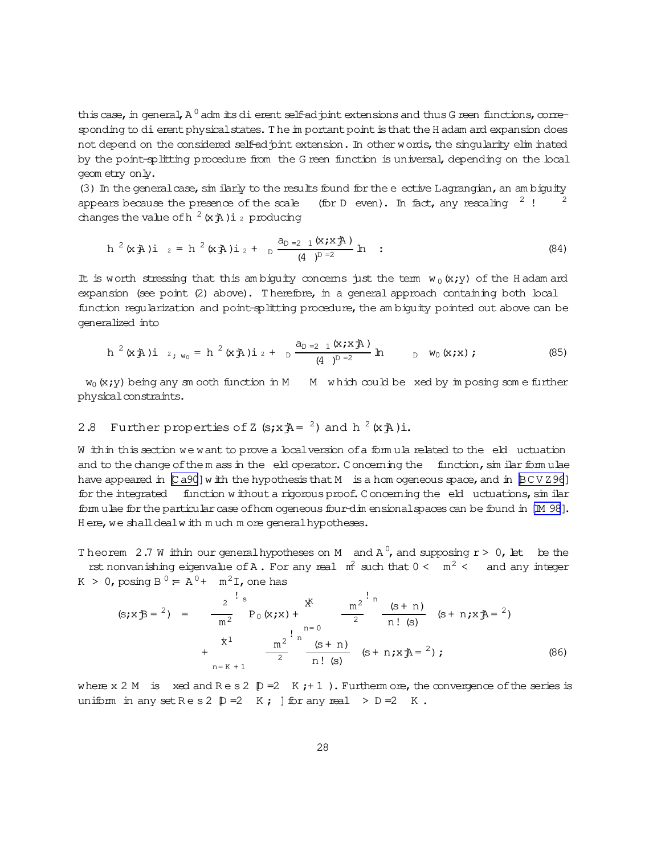this case, in general, A  $^0$  adm its di erent self-ad pint extensions and thus G reen functions, corresponding to dierent physical states. The in portant point is that the H adam and expansion does not depend on the considered self-ad pint extension. In other words, the singularity elim inated by the point-splitting procedure from the G reen function is universal, depending on the local geom etry only.

(3) In the general case, sim ilarly to the results found for the e ective Lagrangian, an ambiguity appears because the presence of the scale (for D even). In fact, any rescaling  $2!$ changes the value of h<sup>2</sup> (x $\frac{1}{4}$ ) i<sub>2</sub> producing

$$
h^{2}(x \nRightarrow h^{2}(x \nRightarrow h^{2}(x \nRightarrow h) i_{2} + \frac{a_{D=2} (x \nleftrightarrow h)}{(4)^{D=2}} h
$$
 (84)

It is worth stressing that this ambiguity concerns just the term  $w_0(x,y)$  of the Hadam and expansion (see point (2) above). Therefore, in a general approach containing both local function regularization and point-splitting procedure, the ambiguity pointed out above can be generalized into

$$
h^{2}(x \nRightarrow h^{2}(x \nRightarrow h^{2}(x \nRightarrow h) i_{2} + \frac{a_{D=2} (x \nleftrightarrow h)}{(4)^{D=2}} h \qquad b \qquad w_{0}(x \nleftrightarrow h); \qquad (85)
$$

 $w_0(x, y)$  being any sm ooth function in M M which could be xed by imposing some further physical constraints.

# 2.8 Further properties of Z  $(s; xA = 2)$  and h  $2(xA)i$ .

W ithin this section we want to prove a local version of a formula related to the eld uctuation and to the change of them ass in the eld operator. Concerning the function, similar formulae have appeared in [Ca90] with the hypothesis that M is a hom ogeneous space, and in [BCVZ96] for the integrated function without a rigorous proof. Concerning the eld uctuations, sin ilar form ulae for the particular case of hom ogeneous four-dim ensional spaces can be found in [M 98]. Here, we shall dealw ith much more general hypotheses.

Theorem 2.7 W ithin our general hypotheses on M and  $A^0$ , and supposing  $r > 0$ , let be the rst nonvanishing eigenvalue of A. For any real  $m^2$  such that  $0 < m^2 <$  and any integer  $K > 0$ , posing  $B^0 = A^0 + m^2 I$ , one has

$$
(\mathbf{s}; \mathbf{x} \mathbf{B} = \mathbf{F}) = \frac{2}{m^2} \mathbf{F}_0(\mathbf{x}; \mathbf{x}) + \frac{2}{m^2} \frac{m^2}{m^2} \frac{m^2}{m! (s + n)} (\mathbf{s} + \mathbf{n}; \mathbf{x}) = \frac{2}{m^2} \mathbf{F}_0(\mathbf{x}; \mathbf{x}) + \frac{2}{m^2} \frac{m^2}{m^2} \frac{m^2}{m! (s + n)} (\mathbf{s} + \mathbf{n}; \mathbf{x}) = \frac{2}{m^2} \mathbf{F}_0(\mathbf{x}; \mathbf{x}) + \frac{2}{m^2} \frac{m^2}{m^2} (\mathbf{s} + \mathbf{n}) (\mathbf{s} + \mathbf{n}; \mathbf{x}) = \frac{2}{m^2} \mathbf{F}_0(\mathbf{x}; \mathbf{x}) + \frac{2}{m^2} \frac{m^2}{m^2} (\mathbf{s} + \mathbf{n}) (\mathbf{x}; \mathbf{x}) = \frac{2}{m^2} \mathbf{F}_0(\mathbf{x}; \mathbf{x}) + \frac{2}{m^2} \frac{m^2}{m^2} (\mathbf{s} + \mathbf{n}) (\mathbf{x}; \mathbf{x}) = \frac{2}{m^2} \mathbf{F}_0(\mathbf{x}; \mathbf{x}) + \frac{2}{m^2} \frac{m^2}{m^2} (\mathbf{s} + \mathbf{n}) (\mathbf{x}; \mathbf{x}) = \frac{2}{m^2} \mathbf{F}_0(\mathbf{x}; \mathbf{x}) + \frac{2}{m^2} \frac{m^2}{m^2} (\mathbf{s} + \mathbf{n}) (\mathbf{x}; \mathbf{x}) = \frac{2}{m^2} \mathbf{F}_0(\mathbf{x}; \mathbf{x}) + \frac{2}{m^2} \frac{m^2}{m^2} (\mathbf{s} + \mathbf{n}) (\mathbf{x}; \mathbf{x}) = \frac{2}{m^2} \mathbf{F}_0(\mathbf{x}; \mathbf{x}) + \frac{2}{m^2} \frac{m^2}{m^2} (\mathbf{s} + \mathbf{n}) (\mathbf{x}; \mathbf{x}) = \frac{2}{m^2} \mathbf{F}_0(\mathbf{x}; \mathbf{x})
$$

where x 2 M is xed and  $R \text{ e } s 2 \text{ } p = 2 \text{ } K + 1$ . Furtherm ore, the convergence of the series is uniform in any set  $\text{Re } s 2 \text{ } D = 2 \text{ K}$ ;  $\text{Re } s$  for any real  $> D = 2 \text{ K}$ .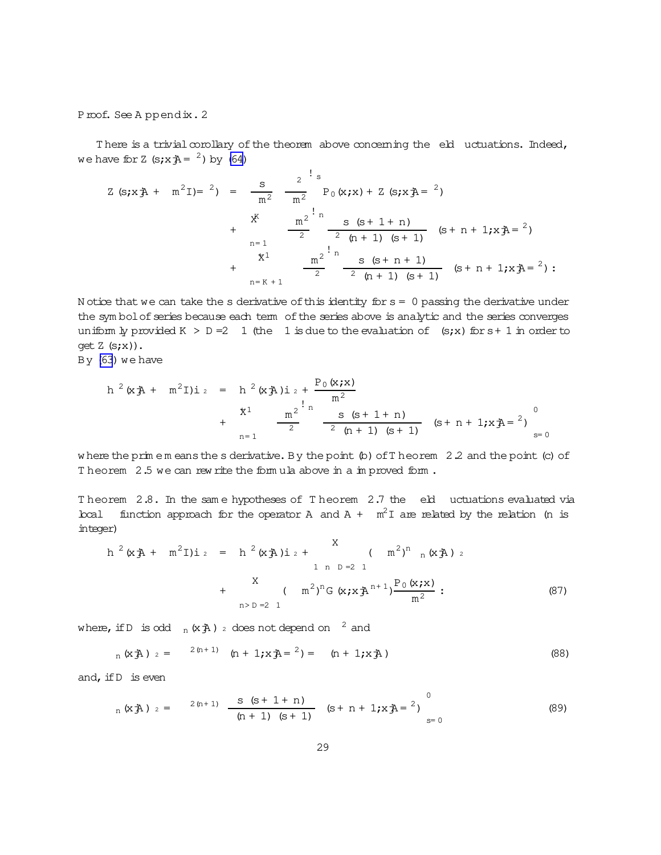<span id="page-28-0"></span>Proof. See A ppendix. 2

There is a trivial corollary of the theorem above concerning the eld uctuations. Indeed, we have for Z  $(s; xA = 2)$  by [\(64\)](#page-19-0)

$$
Z (s; x \nexists A + m^{2}I) = {}^{2}) = \frac{s}{m^{2}} \frac{2^{!} s}{m^{2}} P_{0} (x; x) + Z (s; x \nexists A = {}^{2})
$$
  
+ 
$$
\frac{x^{K}}{2} = \frac{2^{!} n}{2} \frac{s (s + 1 + n)}{2} (s + n + 1; x \nexists A = {}^{2})
$$
  
+ 
$$
\frac{x^{1}}{2} = \frac{2^{!} n}{2} \frac{s (s + n + 1)}{2} (s + n + 1; x \nexists A = {}^{2})
$$
  
+ 
$$
\frac{x^{1}}{2} = \frac{2^{!} n}{2 (n + 1) (s + 1)} (s + n + 1; x \nexists A = {}^{2})
$$

N otice that we can take the s derivative of this identity for  $s = 0$  passing the derivative under the sym bolof series because each term of the series above is analytic and the series converges uniform  $\frac{1}{2}$  provided K > D = 2 1 (the 1 is due to the evaluation of (s;x) for s + 1 in order to get  $Z$  (s;x)).

By [\(63](#page-19-0)) we have

$$
h^{2}(x + m^{2}I)i = h^{2}(x + n^{2}I)i + \sum_{n=1}^{n} \frac{P_{0}(x + x)}{n^{2}} + \sum_{n=1}^{n} \frac{S_{0}(s + 1 + n)}{2} (s + n + 1)k + \sum_{n=1}^{n} \frac{S_{0}(s + 1 + n)}{2} (s + n + 1)k + \sum_{n=1}^{n} \frac{S_{0}(s + 1 + n)}{2} (s + n + 1)k + \sum_{n=1}^{n} \frac{S_{0}(s + 1 + n)}{2} (s + n + 1)k + \sum_{n=1}^{n} \frac{S_{0}(s + 1 + n)}{2} (s + n + 1)k + \sum_{n=1}^{n} \frac{S_{0}(s + 1 + n)}{2} (s + n + 1)k + \sum_{n=1}^{n} \frac{S_{0}(s + 1 + n)}{2} (s + n + 1)k + \sum_{n=1}^{n} \frac{S_{0}(s + 1 + n)}{2} (s + n + 1)k + \sum_{n=1}^{n} \frac{S_{0}(s + 1 + n)}{2} (s + n + 1)k + \sum_{n=1}^{n} \frac{S_{0}(s + 1)}{2} (s + n + 1)k + \sum_{n=1}^{n} \frac{S_{0}(s + 1 + n)}{2} (s + n + 1)k + \sum_{n=1}^{n} \frac{S_{0}(s + 1)}{2} (s + n + 1)k + \sum_{n=1}^{n} \frac{S_{0}(s + 1)}{2} (s + n + 1)k + \sum_{n=1}^{n} \frac{S_{0}(s + 1)}{2} (s + n + 1)k + \sum_{n=1}^{n} \frac{S_{0}(s + 1)}{2} (s + n + 1)k + \sum_{n=1}^{n} \frac{S_{0}(s + 1)}{2} (s + n + 1)k + \sum_{n=1}^{n} \frac{S_{0}(s + 1)}{2} (s + n + 1)k + \sum_{n=1}^{n} \frac{S_{0}(s + 1)}{2} (s + n + 1)k + \sum_{n=1}^{n} \frac{S_{0}(s + 1)}{2} (s + n + 1)k + \sum_{n=1}^{n} \frac{S_{0}(s + 1
$$

w here the prim e m eans the s derivative. By the point  $(b)$  of T heorem 2.2 and the point (c) of Theorem 2.5 we can rew rite the formula above in a improved form.

Theorem 2.8. In the same hypotheses of Theorem 2.7 the eld uctuations evaluated via local function approach for the operator A and  $A + m^2I$  are related by the relation (n is integer)

$$
h^{2}(x \n\mathbf{\tilde{A}} + m^{2}I)\mathbf{i}_{2} = h^{2}(x \n\mathbf{\tilde{A}})\mathbf{i}_{2} + \begin{pmatrix} X & m^{2}I^{n} & m^{2}A^{n} \\ 1 & n D = 2 & 1 \end{pmatrix}
$$
  
+ 
$$
\begin{pmatrix} X & m^{2}I^{n}G(x \cdot x \mathbf{\tilde{A}}^{n+1}) \frac{P_{0}(x \cdot x)}{m^{2}} : \\ n D = 2 & 1 \end{pmatrix}
$$
 (87)

where, if D is odd  $_n(xA)$  2 does not depend on  $^2$  and

$$
_{n}(xA)_{2} = {}^{2(n+1)}(n+1)xA = {}^{2}) = (n+1)xA
$$
 (88)

and, if  $D$  is even

$$
{}_{n}(xA)_{2} = {}^{2(n+1)} \frac{s (s+1+n)}{(n+1) (s+1)} (s+n+1; xA = {}^{0} \n s = 0
$$
 (89)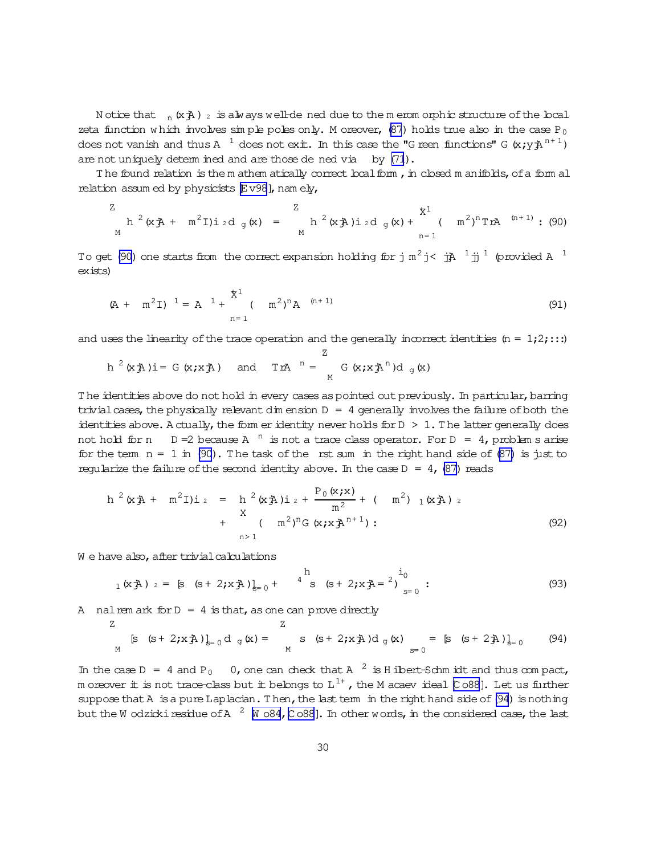<span id="page-29-0"></span>N otice that  $n(\times \text{A})$  is always well-de ned due to the m erom orphic structure of the local zeta function w hich involves simple poles only. M oreover,  $(87)$  holds true also in the case P<sub>0</sub> does not vanish and thus A  $^{-1}$  does not exit. In this case the "G reen functions" G (x;y $\mathtt{A}^\mathrm{n+1}$ ) are not uniquely determ ined and are those de ned via by [\(71](#page-22-0)).

The found relation is the m athem atically correct local form , in closed m anifolds, of a form al relation assum ed by physicists  $E\text{v98}$ , nam ely,

$$
\frac{Z}{M} \, h^2(x \cdot \vec{A} + m^2 I) \, i \, d \, g(x) = \frac{Z}{M} \, h^2(x \cdot \vec{A}) \, i \, d \, g(x) + \frac{X^1}{n-1} \, (\, m^2)^n T x^{\underline{A}} \, (n+1) \, ; \, (90)
$$

To get (90) one starts from the correctexpansion holding for j m $^2$ j< jjA $^{-1}$  jj $^{-1}$  (provided A  $^{-1}$ exists)

$$
(A + m2I)1 = A1 + {x1 \over n2} (m2)n A(n+1)
$$
 (91)

and uses the linearity of the trace operation and the generally incorrect identities (n =  $1;2;...$ ) Z

$$
h^{2}(x \mathbf{\hat{A}}) i = G(x \mathbf{\hat{x}}) \quad \text{and} \quad T x A^{n} = G(x \mathbf{\hat{x}}) A^{n} d_{g}(x)
$$

The identities above do not hold in every cases as pointed out previously. In particular, barring trivial cases, the physically relevant  $dim$  ension  $D = 4$  generally involves the failure of both the identities above. A ctually, the form eridentity never holds for  $D > 1$ . The latter generally does not hold for n  $D = 2$  because A  $^n$  is not a trace class operator. For  $D = 4$ , problem s arise for the term  $n = 1$  in (90). The task of the rst sum in the right hand side of [\(87\)](#page-28-0) is just to regularize the failure of the second identity above. In the case  $D = 4$ , [\(87\)](#page-28-0) reads

$$
h^{2}(xA + m^{2}I)i = h^{2}(xA)i + \frac{P_{0}(x; x)}{m^{2}} + (m^{2})_{1}(xA) i
$$
  
+ 
$$
(m^{2})^{n}G(x; xA^{n+1}):
$$
  

$$
n>1
$$
 (92)

W e have also, after trivial calculations

$$
{}_{1}(x\ddot{A})_{2} = [s (s+2; x\ddot{A})]_{s=0} + {}^{1}{}_{s} (s+2; x\ddot{A}) = {}^{1}_{s=0} : (93)
$$

A nalrem ark for  $D = 4$  is that, as one can prove directly

$$
Z
$$
  
\n
$$
[s (s+2; x \t{A})]_{s=0} d_g(x) = \sum_{M} (s+2; x \t{A}) d_g(x) = [s (s+2 \t{A})]_{s=0}
$$
\n(94)

In the case  $D = 4$  and  $P_0 = 0$ , one can check that A<sup>2</sup> is H ilbert-Schm idt and thus compact, m oreover  $\rm \dot{\scriptstyle\rm I}$  is not trace-class but it belongs to  $\rm L^{1+}$  , the M acaev ideal [C 088]. Let us further suppose that  $A$  is a pure Laplacian. Then, the last term in the right hand side of  $(94)$  is nothing but the W odzicki residue of A  $\,$   $^2$  [\[W o84](#page-39-0), [C o88](#page-38-0)]. In other words, in the considered case, the last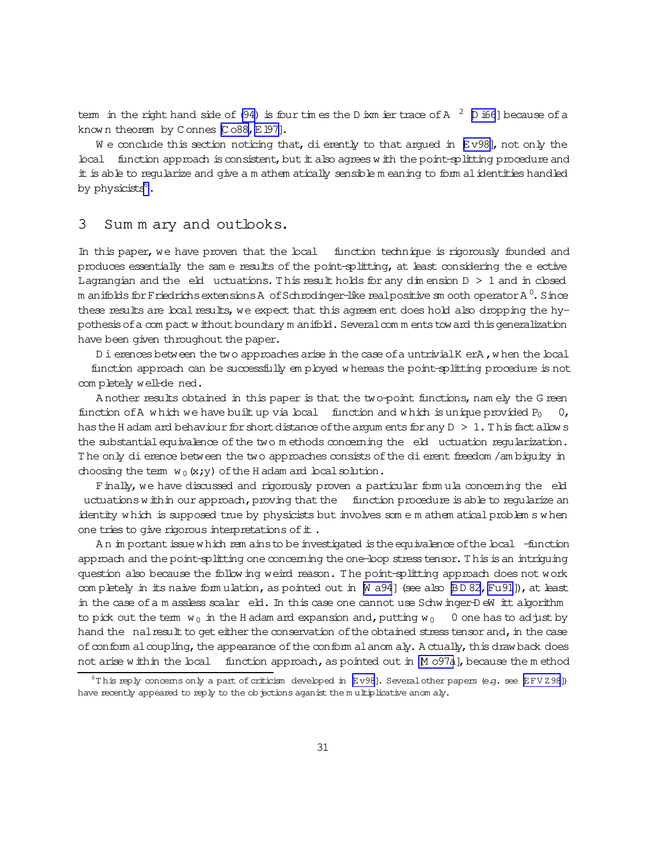tem in the right hand side of (94) is four times the D ism ier trace of A  $^2$  D i66] because of a known theorem by Connes [Co88, E197].

We conclude this section noticing that, dierently to that argued in  $E v 98$ , not only the local function approach is consistent, but it also agrees with the point-splitting procedure and it is able to reqularize and give a m athem atically sensible m eaning to form al identities handled by physicists<sup>6</sup>.

#### 3 Sum m ary and outlooks.

In this paper, we have proven that the local function technique is rigorously founded and produces essentially the same results of the point-splitting, at least considering the e ective Lagrangian and the eld uctuations. This result holds for any dimension  $D > 1$  and in closed m anifolds for Friedrichs extensions A of Schrodinger-like real positive sm ooth operator A $^0$ . Since these results are boal results, we expect that this agreem ent does hold also dropping the hypothesis of a compact without boundary m anifold. Several comments toward this generalization have been given throughout the paper.

D i erences between the two approaches arise in the case of a untrivial K erA, when the local function approach can be successfully employed whereas the point-splitting procedure is not completely well-de ned.

A nother results obtained in this paper is that the two-point functions, namely the G reen function of A which we have built up via local function and which is unique provided  $P_0$ has the H adam and behaviour for short distance of the argum ents for any  $D > 1$ . This fact allow s the substantial equivalence of the two m ethods concerning the eld uctuation regularization. The only dierence between the two approaches consists of the dierent freedom /am biguity in choosing the term  $w_0(x,y)$  of the H adam and local solution.

Finally, we have discussed and rigorously proven a particular formula concerning the eld uctuations within our approach, proving that the function procedure is able to reqularize an identity which is supposed true by physicists but involves some mathem atical problem swhen one tries to give rigorous interpretations of it.

An important issue which rem ains to be investigated is the equivalence of the local -function approach and the point-splitting one concerning the one-loop stress tensor. This is an intriquing question also because the follow ing weird reason. The point-splitting approach does not work completely in its naive formulation, as pointed out in [N a94] (see also [BD 82, Fu91]), at least in the case of a m assless scalar eld. In this case one cannot use Schwinger-DeW itt algorithm to pick out the term  $w_0$  in the H adam and expansion and, putting  $w_0$  0 one has to adjust by hand the nal result to get either the conservation of the obtained stress tensor and, in the case of conform al coupling, the appearance of the conform al anom aly. A ctually, this draw back does not arise within the local function approach, as pointed out in M 097a], because the method

 $6$ This reply concems only a part of criticism developed in  $E$ v98]. Several other papers (e.g. see  $E$ FVZ98]) have recently appeared to reply to the objections aganist the multiplicative anomaly.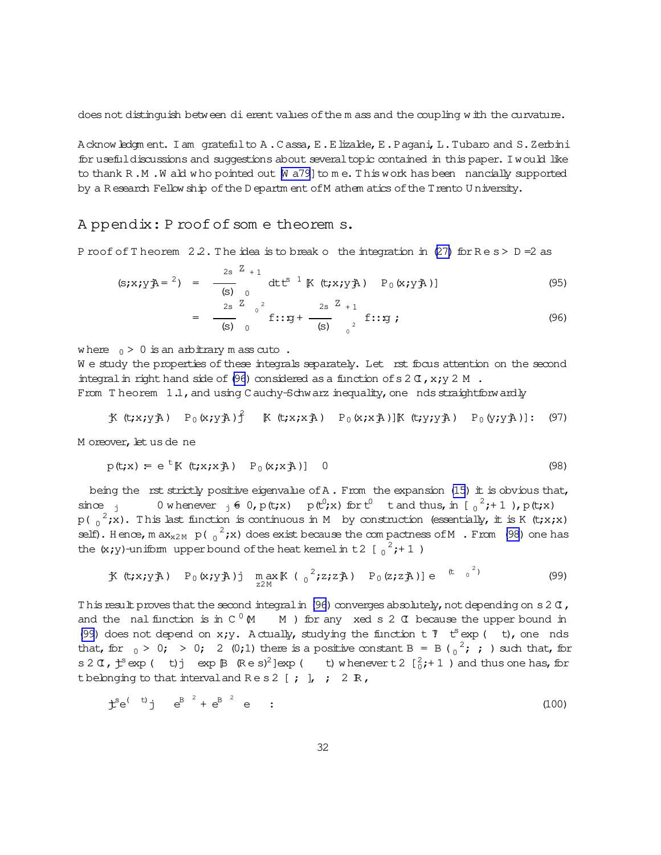<span id="page-31-0"></span>does not distinguish between dierent values of the m ass and the coupling w ith the curvature.

Acknowledgm ent. I am gratefulto A.C assa, E.E lizalde, E.P agani, L.Tubaro and S.Zerbini for usefuldiscussions and suggestions about several topic contained in this paper. I would like to thank R.M. W ald who pointed out  $[M \ a 79]$  to me. This work has been nancially supported by a R esearch Fellow ship ofthe D epartm ent ofM athem atics ofthe Trento U niversity.

## A ppendix: P roof of some theorem s.

P roof of T heorem  $2.2$ . The idea is to break o the integration in [\(27\)](#page-9-0) for  $\text{Re}\,s > D = 2$  as

$$
(\mathbf{s}; x; y\mathbf{A} = \mathbf{a}) = \frac{2\mathbf{s}}{\mathbf{s}} \int_{\frac{1}{2}\mathbf{s}}^{\frac{1}{2}+1} dt e^{i\mathbf{a}} \mathbf{a} dt e^{i\mathbf{a}} \mathbf{b} \quad (x; x; y\mathbf{A}) \quad P_0(x; y\mathbf{A})
$$
 (95)

$$
= \frac{2s}{(s)} \int_{0}^{2} f::g + \frac{2s}{(s)} \int_{0}^{2} f::g ;
$$
 (96)

where  $0 > 0$  is an arbitrary m ass cuto.

We study the properties of these integrals separately. Let rst focus attention on the second integral in right hand side of (96) considered as a function of s  $2 \text{ C}$ , x;y  $2 \text{ M}$ . From Theorem  $1.1$ , and using C auchy-Schwarz inequality, one nds straightforwardly

$$
\text{K}(t; x; y \text{A}) \quad P_0(x; y \text{A}) \text{ }^2 \quad \text{K}(t; x; x \text{A}) \quad P_0(x; x \text{A}) \text{ }^2 \text{ }^2 \text{ }^2 \text{ }^3 \text{ }^3 \text{ }^3 \text{ }^3 \text{ }^3 \text{ }^3 \text{ }^3 \text{ }^3 \text{ }^3 \text{ }^3 \text{ }^3 \text{ }^3 \text{ }^3 \text{ }^3 \text{ }^3 \text{ }^3 \text{ }^3 \text{ }^3 \text{ }^3 \text{ }^3 \text{ }^3 \text{ }^3 \text{ }^3 \text{ }^3 \text{ }^3 \text{ }^3 \text{ }^3 \text{ }^3 \text{ }^3 \text{ }^3 \text{ }^3 \text{ }^3 \text{ }^3 \text{ }^3 \text{ }^3 \text{ }^3 \text{ }^3 \text{ }^3 \text{ }^3 \text{ }^3 \text{ }^3 \text{ }^3 \text{ }^3 \text{ }^3 \text{ }^3 \text{ }^3 \text{ }^3 \text{ }^3 \text{ }^3 \text{ }^3 \text{ }^3 \text{ }^3 \text{ }^3 \text{ }^3 \text{ }^3 \text{ }^3 \text{ }^3 \text{ }^3 \text{ }^3 \text{ }^3 \text{ }^3 \text{ }^3 \text{ }^3 \text{ }^3 \text{ }^3 \text{ }^3 \text{ }^3 \text{ }^3 \text{ }^3 \text{ }^3 \text{ }^3 \text{ }^3 \text{ }^3 \text{ }^3 \text{ }^3 \text{ }^3 \text{ }^3 \text{ }^3 \text{ }^3 \text{ }^3 \text{ }^3 \text{ }^3 \text{ }^3 \text{ }^3 \text{ }^3 \text{ }^3 \text{ }^3 \text{ }^3 \text{ }^3 \text{ }^3 \text{ }^3 \text{ }^3 \text{ }^3 \text{ }^3 \text{ }^3 \text{ }^3 \text{ }^3 \text{ }^3 \text{ }^3 \text{ }^3 \text{ }^3 \text{ }^3 \text{ }^3 \text{ }^3 \text{ }^3 \text{ }^3 \text{ }^3 \text{ }^3 \text{ }^3 \text{ }^3 \text{ }^3 \text{ }^3 \text{ }^3
$$

M oreover, let us de ne

$$
p(t;x) = e^t[K(t;x;xA) P_0(x;xA)] 0
$$
\n(98)

being the rst strictly positive eigenvalue of  $A$ . From the expansion [\(15\)](#page-6-0) it is obvious that, since j 0 w henever  $j \notin 0$ , p(t;x) p(t<sup>0</sup>;x) for  $t^0$  t and thus, in  $\left[\begin{array}{c} 2 \\ 0 \end{array};+1\right)$ , p(t;x)  $p(0, e^2; x)$ . This last function is continuous in M by construction (essentially, it is K (t;x;x) self). Hence, m ax<sub>x2M</sub> p( $_0^2$ ;x) does exist because the compactness of M . From (98) one has the  $(x; y)$ -uniform upper bound of the heat kernel in t 2 [ $_0^2$ ; + 1)

$$
\text{K} \ (\text{t}; x; y \text{)} \quad P_0 \ (x; y \text{)} \text{)} \quad \max_{z \geq M} \ (\int_0^2 z^2; z^2 \text{)} \quad P_0 \ (z; z \text{)} \text{)} \ e \quad (\text{t} \quad \int_0^2 \text{t} \tag{99}
$$

This result proves that the second integral in (96) converges absolutely, not depending on s2  $\sigma$ , and the nalfunction is in C  $^0$  (M  $\,$  M ) for any xed s 2  $\,$  C because the upper bound in (99) does not depend on  $x_iy$ . A ctually, studying the function  $t$   $\mathcal T$   $t^s$  exp (  $t$ ), one nds that, for  $_0 > 0$ ;  $> 0$ ; 2 (0;1) there is a positive constant B = B ( $_0^2$ ; ; ) such that, for s 2  $\alpha$ ,  $\ddot{t}$  exp ( t) i exp  $\beta$  (Res)<sup>2</sup>] exp ( t) w henevert 2  $[\frac{2}{0};+1]$  and thus one has, for t belonging to that interval and  $\text{Re } s2$  [; ],; 2 R,

$$
\mathbf{\dot{L}}^{\mathbf{S}}\mathbf{e}^{(-t)}\mathbf{j} \quad e^{\mathbf{B}^2} + e^{\mathbf{B}^2} \quad e \qquad \mathbf{\dot{L}} \tag{100}
$$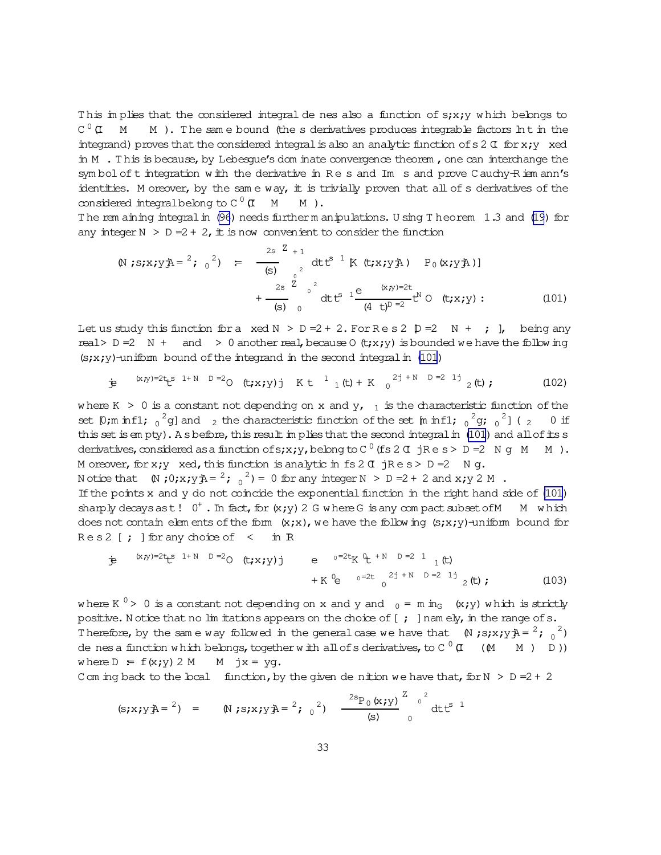<span id="page-32-0"></span>This implies that the considered integral de nes also a function of s;x;y which belongs to  $C^{0}$   $\alpha$  M M). The same bound (the s derivatives produces integrable factors In t in the integrand) proves that the considered integral is also an analytic function of  $s \, 2 \, \sigma$  for  $x, y$  xed in M . This is because, by Lebesque's dom inate convergence theorem, one can interchange the symbol of t integration with the derivative in Res and Im s and prove Cauchy-Riem ann's identities. M oreover, by the same way,  $\pm$  is trivially proven that all of s derivatives of the considered integral belong to  $C^0$   $\sigma$  M  $M$ ).

The remaining integral in (96) needs further manipulations. Using Theorem 1.3 and (19) for any integer  $N > D = 2 + 2$ , it is now convenient to consider the function

$$
\begin{array}{lll}\n\text{(N ; s; x; y; A = \text{ }^{2}$; 0$}^{2}$ & = & \frac{2s}{(s)} \int_{0}^{2s} \text{d}t \, t^{s-1} \, \text{K (t; x; y; A)} & P_{0}(x; y; A) \\
 & & \frac{2s}{(s)} \int_{0}^{2s} \text{d}t \, t^{s-1} \, \text{K (t; x; y; B)} & \text{C (t; x; y)} \\
 & & \frac{2s}{(s)} \int_{0}^{2s} \text{d}t \, t^{s-1} \, \text{K (t; x; y; B)} & \text{C (t; x; y)} \\
 & & \frac{2s}{(s)} \int_{0}^{2s} \text{d}t \, t^{s-1} \, \text{K (t; x; y; B)} & \text{C (t; x; y)} \\
 & & \frac{2s}{(s)} \int_{0}^{2s} \text{d}t \, t^{s-1} \, \text{K (t; x; y; B)} & \text{C (t; x; y)} \\
 & & \frac{2s}{(s)} \int_{0}^{2s} \text{d}t \, t^{s-1} \, \text{K (t; x; y; B)} & \text{C (t; x; y)} \\
 & & \frac{2s}{(s)} \int_{0}^{2s} \text{d}t \, t^{s-1} \, \text{K (t; x; y; B)} & \text{C (t; x; y)} \\
 & & \frac{2s}{(s)} \int_{0}^{2s} \text{d}t \, t^{s-1} \, \text{K (t; x; y; B)} & \text{C (t; x; y)} \\
 & & \frac{2s}{(s)} \int_{0}^{2s} \text{d}t \, t^{s-1} \, \text{K (t; x; y; B)} & \text{C (t; x; y)} \\
 & & \frac{2s}{(s)} \int_{0}^{2s} \text{d}t \, t^{s-1} \, \text{K (t; x; y; B)} & \text{C (t; x; y)} \\
 & & \frac{2s}{(s)} \int_{0}^{2s} \text{d}t \, t^{s-1} \, \text{
$$

Let us study this function for a xed  $N > D = 2 + 2$ . For Res 2  $D = 2$  N + ; ], being any real> D = 2 N + and > 0 another real, because 0 (t;x;y) is bounded we have the following  $(s; x; y)$ -uniform bound of the integrand in the second integral in (101)

$$
\dot{\mathbf{P}} \quad {}^{(x,y)=2t} \mathbf{t}^{s} \quad {}^{1+N} \quad {}^{D=2}O \quad (\mathbf{t}; x; y) \quad {}^{1} \quad K \quad \mathbf{t}^{1} \quad {}^{1} \quad (\mathbf{t}) + K \quad {}^{2j+1} \quad {}^{D=2} \quad {}^{1j} \quad {}^{2} \quad (\mathbf{t}) \tag{102}
$$

where K > 0 is a constant not depending on x and  $y_{r-1}$  is the characteristic function of the set [0;m inf1;  $_0^2$ g] and  $_2$  the characteristic function of the set [m inf1;  $_0^2$ g;  $_0^2$ ] ( $_2$  $0$  if this set is empty). A s before, this result in plies that the second integral in (101) and all of its s derivatives, considered as a function of s; x; y, belong to C<sup>0</sup> (fs 2 T jRe s > D = 2 N q M M). M oreover, for x; y xed, this function is analytic in fs 2  $\sigma$  jRes > D = 2 N q.

N otice that  $(N,0;x;y) = 2$ ,  $(2, 2) = 0$  for any integer  $N > D = 2 + 2$  and  $x; y \geq M$ .

If the points x and y do not coincide the exponential function in the right hand side of (101) sharply decays as t!  $0^+$ . In fact, for  $(x,y)$  2 G where G is any compact subset of M M which does not contain elements of the form  $(x,x)$ , we have the following  $(s, x, y)$ -uniform bound for  $Res2$  [ ; ] for any choice of  $\leq$  in R

$$
\dot{y} = {}^{(x,y)=2t}L^{s} {}^{1+N} {}^{D=2}O(t;x;y)j \qquad e {}^{0=2t}K {}^{0}L {}^{+N} {}^{D=2} {}^{1}{}_{1}(t) + K {}^{0}e {}^{0=2t} {}^{2j+N} {}^{D=2}{}^{1j}{}_{2}(t); \qquad (103)
$$

where K<sup>0</sup> > 0 is a constant not depending on x and y and <sub>0</sub> = m in<sub>G</sub> (x;y) which is strictly positive. Notice that no limitations appears on the choice of  $[ ; ]$  namely, in the range of s. Therefore, by the same way followed in the general case we have that  $(N; s; x; y) = \frac{2}{3} \frac{2}{3}$ de nes a function which belongs, together with all of s derivatives, to C  $^0$  (I) (M)  $M$  )  $D)$ where  $D = f(x; y) 2 M$  M jx = yg.

C om ing back to the boal function, by the given de nition we have that, for  $N > D = 2 + 2$ 

(s; x; y) = 0, 0; s; x; y = 2; 0, 2; 
$$
\frac{2s_{P_0}(x; y)}{(s)} \int_0^2 dt t^{s-1} dt
$$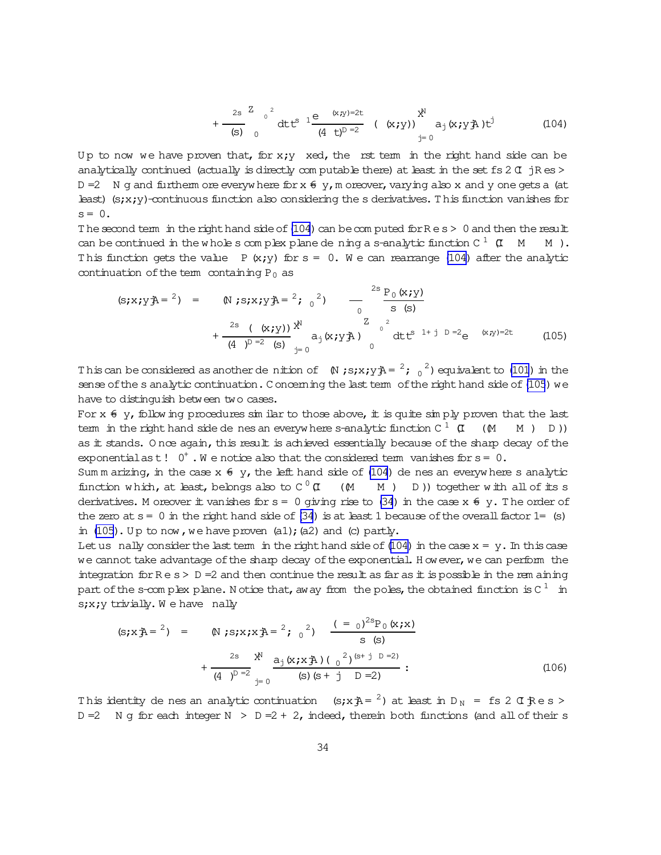$$
+\frac{2s}{(s)}\int_{0}^{2} dt t^{s} \frac{1}{(4-t)^{D}} \frac{e^{(x,y)-2t}}{(4-t)^{D}} (x;y) \Big|_{t=0}^{x^{N}} a_{j}(x; y^{2}) t^{j}
$$
(104)

<span id="page-33-0"></span>Up to now we have proven that, for  $x,y$  xed, the rst term in the right hand side can be analytically continued (actually is directly computable there) at least in the set fs 2  $\sigma$  jR es > D =2 N g and furtherm ore everyw here for  $x \notin y$ , m oreover, varying also x and y one gets a (at least) ( $s;xy$ )-continuous function also considering the s derivatives. This function vanishes for  $s = 0$ .

The second term in the right hand side of [\(104](#page-32-0)) can be computed for  $R e s > 0$  and then the result can be continued in the whole s complex plane de ning a s-analytic function C  $^1$  (I  $\,$  M  $\,$  M ). This function gets the value P  $(x,y)$  for  $s = 0$ . We can rearrange [\(104\)](#page-32-0) after the analytic continuation of the term containing  $P_0$  as

$$
(\mathbf{s}; x; y\mathbf{A} = \mathbf{a}) = (\mathbf{N}; s; x; y\mathbf{A} = \mathbf{a}; \mathbf{a}) \quad -\frac{2\mathbf{s} \, \mathbf{p}_0(x; y)}{\mathbf{s} \, (\mathbf{s})} + \frac{2\mathbf{s} \, (\mathbf{x}; y)}{(4 \, y^D = 2 \, (\mathbf{s})} \mathbf{a}^{\mathbf{N}}_{\mathbf{j} = 0} \mathbf{a}^{\mathbf{N}}_{\mathbf{j}}(x; y\mathbf{A}) \quad \mathbf{a}^{\mathbf{N}}_{\mathbf{0}}(x; y\mathbf{A}) \quad \mathbf{a}^{\mathbf{N}}_{\mathbf{0}}(x; y\mathbf{A}) \quad (105)
$$

This can be considered as another denition of  $(N;s;x;y)$  =  $2$ ;  $\frac{2}{0}$  equivalent to [\(101](#page-32-0)) in the sense of the s analytic continuation. C oncerning the last term of the right hand side of (105) we have to distinguish between two cases.

For  $x \notin y$ , follow ing procedures sim ilar to those above, it is quite sim ply proven that the last term in the right hand side de nes an everyw here s-analytic function C  $^1\,$  (I  $\,$  (M  $\,$  M ) D )) as it stands. Once again, this result is achieved essentially because of the sharp decay of the exponentialas t!  $0^+$ . We notice also that the considered term vanishes for  $s=0$ .

Sum m arizing, in the case  $x \in y$ , the left hand side of [\(104](#page-32-0)) de nes an everyw here s analytic function which, at least, belongs also to C  $^0$  (I) (M M ) D )) together with all of its s derivatives. M oreover it vanishes for  $s = 0$  giving rise to [\(34](#page-11-0)) in the case  $x \notin y$ . The order of the zero at  $s=0$  in the right hand side of [\(34](#page-11-0)) is at least 1 because of the overall factor 1= (s) in  $(105)$ . Up to now, we have proven  $(a1)$ ;  $(a2)$  and  $(c)$  partly.

Let us nally consider the last term in the right hand side of  $(104)$  in the case  $x = y$ . In this case we cannot take advantage of the sharp decay of the exponential. However, we can perform the integration for  $R e s > D =2$  and then continue the result as far as it is possible in the rem aining part of the s-complex plane. Notice that, aw ay from the poles, the obtained function is C  $^{\rm 1}$  in  $s_i x_i y$  trivially. We have nally

$$
(\mathbf{s}; \mathbf{x} \cdot \mathbf{A}) = \begin{pmatrix} 1 \\ 1 \end{pmatrix} \mathbf{A} = \begin{pmatrix} 2 \\ 1 \end{pmatrix} \mathbf{B} = \begin{pmatrix} 3 \\ 1 \end{pmatrix} \mathbf{B} = \begin{pmatrix} 2 \\ 1 \end{pmatrix} \mathbf{B} = \begin{pmatrix} 2 \\ 1 \end{pmatrix} \mathbf{B} = \begin{pmatrix} 2 \\ 1 \end{pmatrix} \mathbf{B} = \begin{pmatrix} 2 \\ 1 \end{pmatrix} \mathbf{B} = \begin{pmatrix} 2 \\ 1 \end{pmatrix} \mathbf{B} = \begin{pmatrix} 2 \\ 1 \end{pmatrix} \mathbf{B} = \begin{pmatrix} 2 \\ 1 \end{pmatrix} \mathbf{B} = \begin{pmatrix} 2 \\ 1 \end{pmatrix} \mathbf{B} = \begin{pmatrix} 2 \\ 1 \end{pmatrix} \mathbf{B} = \begin{pmatrix} 2 \\ 1 \end{pmatrix} \mathbf{B} = \begin{pmatrix} 2 \\ 1 \end{pmatrix} \mathbf{B} = \begin{pmatrix} 2 \\ 1 \end{pmatrix} \mathbf{B} = \begin{pmatrix} 2 \\ 1 \end{pmatrix} \mathbf{B} = \begin{pmatrix} 2 \\ 1 \end{pmatrix} \mathbf{B} = \begin{pmatrix} 2 \\ 1 \end{pmatrix} \mathbf{B} = \begin{pmatrix} 2 \\ 1 \end{pmatrix} \mathbf{B} = \begin{pmatrix} 2 \\ 1 \end{pmatrix} \mathbf{B} = \begin{pmatrix} 2 \\ 1 \end{pmatrix} \mathbf{B} = \begin{pmatrix} 2 \\ 1 \end{pmatrix} \mathbf{B} = \begin{pmatrix} 2 \\ 1 \end{pmatrix} \mathbf{B} = \begin{pmatrix} 2 \\ 1 \end{pmatrix} \mathbf{B} = \begin{pmatrix} 2 \\ 1 \end{pmatrix} \mathbf{B} = \begin{pmatrix} 2 \\ 1 \end{pmatrix} \mathbf{B} = \begin{pmatrix} 2 \\ 1 \end{pmatrix} \mathbf{B} = \begin{pmatrix} 2 \\ 1 \end{pmatrix} \mathbf{B} = \begin{pmatrix} 2 \\ 1 \end{pmatrix} \mathbf{B} = \begin{pmatrix} 2 \\ 1 \end{pmatrix} \mathbf{B} = \begin{pmatrix} 2 \\ 1 \end{pmatrix} \mathbf
$$

This identity de nes an analytic continuation (s;x $\bar{A} = \pm 2$ ) at least in D<sub>N</sub> = fs 2 C Res > D =2 N g for each integer N > D =2 + 2, indeed, therein both functions (and all of their s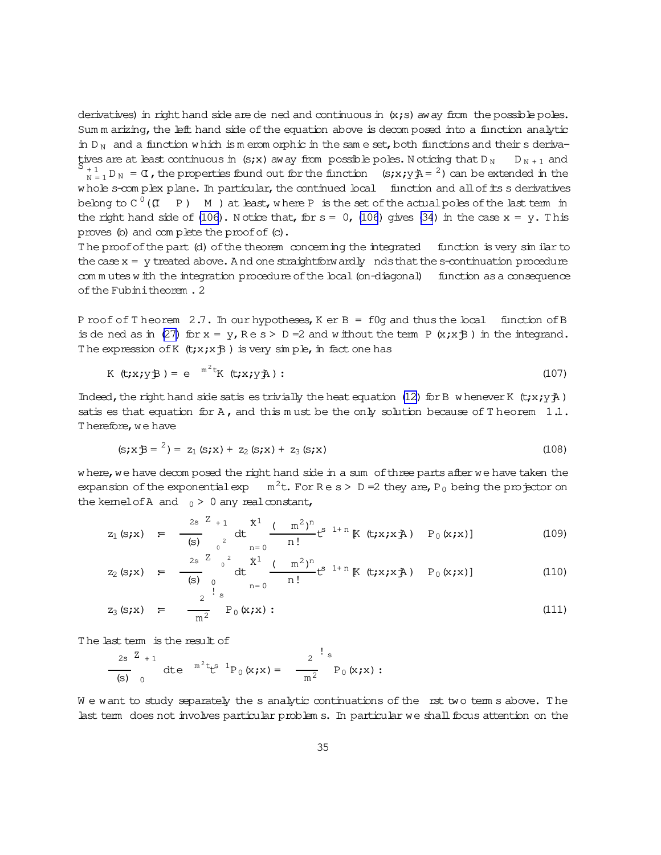<span id="page-34-0"></span>derivatives) in right hand side are de ned and continuous in  $(x; s)$  away from the possible poles. Sum m arizing, the left hand side of the equation above is decom posed into a function analytic in D<sub>N</sub> and a function w hich is m erom orphic in the same set, both functions and their s derivatives are at least continuous in (s;x) away from possible poles. Noticing that  $D_N$   $D_{N+1}$  and  $S_{+1}$ <br> $N_{\rm N=1}$  D<sub>N</sub> =  $\alpha$ , the properties found out for the function (s;x;y) = <sup>2</sup>) can be extended in the w hole s-com plex plane. In particular, the continued local function and all of its s derivatives belong to C  $^0$  ((I  $\,$  P )  $\,$  M ) at least,w here P is the set of the actual poles of the last term in the right hand side of [\(106](#page-33-0)). N otice that, for  $s = 0$ , (106) gives [\(34](#page-11-0)) in the case  $x = y$ . This proves (b) and complete the proof of (c).

The proof of the part (d) of the theorem concerning the integrated function is very similar to the case  $x = y$  treated above. And one straightforwardly nds that the s-continuation procedure com m utes w ith the integration procedure of the local (on-diagonal) function as a consequence ofthe Fubinitheorem .2

P roof of T heorem  $2.7$ . In our hypotheses, K er B = f0g and thus the local function of B is de ned as in [\(27\)](#page-9-0) for  $x = y$ ,  $Re s > D = 2$  and w ithout the term P  $(x; x \oplus)$  in the integrand. The expression of K  $(t; x; x; \mathcal{B})$  is very simple, in fact one has

$$
K (t; x; yB) = e^{m^2t} K (t; x; yA): \qquad (107)
$$

Indeed, the right hand side satis es trivially the heat equation [\(12\)](#page-5-0) for B w henever K (t;x;y $\ddot{\textbf{j}}$ ) satis es that equation for A, and this must be the only solution because of T heorem  $1.1$ . T herefore, we have

$$
(s; x \oplus z^2) = z_1 (s; x) + z_2 (s; x) + z_3 (s; x)
$$
\n(108)

w here, we have decom posed the right hand side in a sum of three parts after we have taken the expansion of the exponential exp  $m^2t$ . For R e s > D = 2 they are, P<sub>0</sub> being the projector on the kemelofA and  $_0 > 0$  any real constant,

$$
z_1(s;x) = \frac{2s}{(s)} \sum_{0}^{Z+1} dt \frac{x^1}{n!} \frac{(-m^2)^n}{n!} t^{s-1+n} K(t;x;x) \quad P_0(x;x)
$$
 (109)

$$
z_2(s;x) = \frac{2s}{(s)} \int_{0}^{2} dt \frac{x^1}{n!} \frac{(-m^2)^n}{n!} t^{s-1+n} K(t;x;x) \quad P_0(x;x) \quad (110)
$$

$$
z_3(s;x) = \frac{2^{s} s}{m^2} P_0(x;x)
$$
 (111)

T he last term is the result of

$$
\frac{2s}{(s)} \int_{0}^{Z_{+1}} dt e^{-m^{2}t} t^{s} P_{0}(x; x) = \frac{2}{m^{2}} \int_{0}^{1} s P_{0}(x; x) :
$$

We want to study separately the s analytic continuations of the rst two term s above. The last term does not involves particular problem s. In particular we shall focus attention on the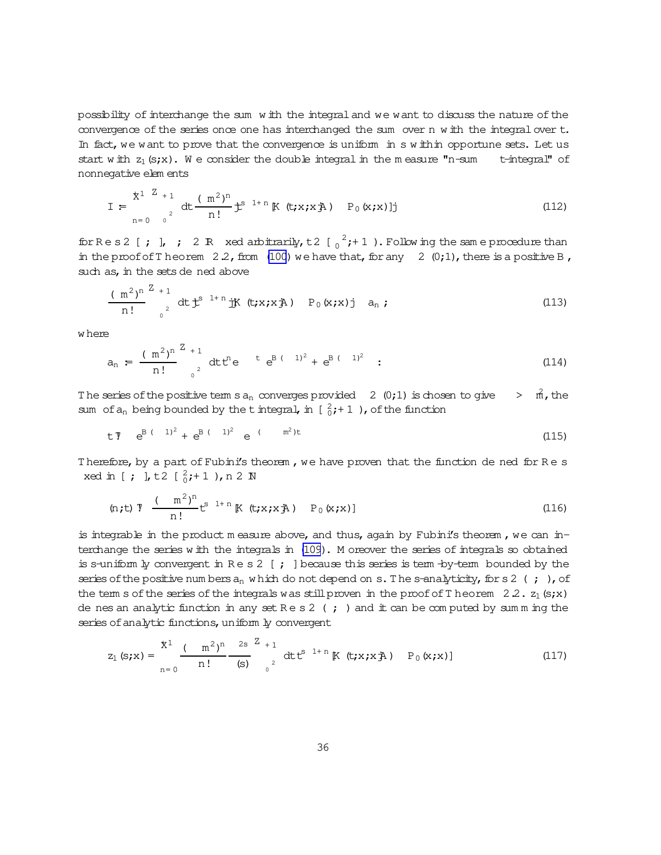possibility of interchange the sum w ith the integral and we want to discuss the nature of the convergence of the series once one has interchanged the sum over n w ith the integralover t. In fact, we want to prove that the convergence is uniform in s within opportune sets. Let us start w ith  $z_1$  (s;x). We consider the double integral in the measure "n-sum t-integral" of nonnegative elem ents

$$
I = \sum_{n=0}^{x^{1}} \sum_{0}^{Z} dt \frac{(\mathbf{m}^{2})^{n}}{n!} \mathbf{t}^{s} \mathbf{1}^{n} [\mathbf{K} (\mathbf{t}; \mathbf{x}; \mathbf{x} \mathbf{A}) \mathbf{P}_{0} (\mathbf{x}; \mathbf{x})]^{T} \tag{112}
$$

for R e s 2 [ ; ], ; 2 R xed arbitrarily, t 2  $\left[\begin{array}{cc} 2, & +1 \end{array}\right)$ . Follow ing the same procedure than in the proof of T heorem  $2.2$ , from  $(100)$  we have that, for any  $2 \ (0,1)$ , there is a positive B, such as, in the sets de ned above

$$
\frac{(\text{m}^2)^n}{n!} \int_{0}^{Z} dt \, t^{s} \, dt \, \dot{t}^{s} \, (t; x; x) \, (t; x; x) \, (t; x; x) \, dt \, \dot{t}^{s} \, (t; x; x) \, dt \tag{113}
$$

w here

$$
a_n = \frac{(\text{m}^2)^n}{n!} \int_{0}^{Z} dt t^n e^{-t} e^{B(t-1)^2} + e^{B(t-1)^2} \quad (114)
$$

The series of the positive term s  $a_n$  converges provided 2 (0;1) is chosen to give  $\Rightarrow$   $\vec{n}$ , the sum of  $a_n$  being bounded by the tintegral, in  $\begin{bmatrix} 2 \\ 0 \end{bmatrix}; + 1$  ), of the function

$$
t \bar{v} e^{B(t-1)^2} + e^{B(t-1)^2} e^{t-m^2)t}
$$
 (115)

Therefore, by a part of Fubini's theorem, we have proven that the function de ned for Re s xed in [ ; ], t2  $\left[\begin{array}{cc} 2 \\ 0 \\ 1 \end{array} + 1 \right]$ , n 2 N

(n;t) 
$$
\frac{(m^2)^n}{n!} t^{s-1+n} K(t; x; x; A) \quad P_0(x; x)
$$
 (116)

is integrable in the product m easure above, and thus, again by Fubini's theorem, we can interchange the series w ith the integrals in [\(109](#page-34-0)). M oreover the series of integrals so obtained is s-uniform  $\frac{1}{2}$  convergent in Res 2 [; ] because this series is term -by-term bounded by the series of the positive numbers  $a_n$  which do not depend on s. The s-analyticity, for s 2 (; ), of the term s of the series of the integrals was still proven in the proof of T heorem  $2.2$ .  $z_1$  (s;x) de nes an analytic function in any set  $R \in S$  (; ) and it can be computed by sum m ing the series of analytic functions, uniform ly convergent

$$
z_{1} (s; x) = \frac{x^{1}}{n!} \frac{(-m^{2})^{n}}{n!} \frac{2s}{(s)} \frac{z^{2} + 1}{(s)} dt t^{s} t^{1+n} [K (t; x; x^{2})] \qquad (117)
$$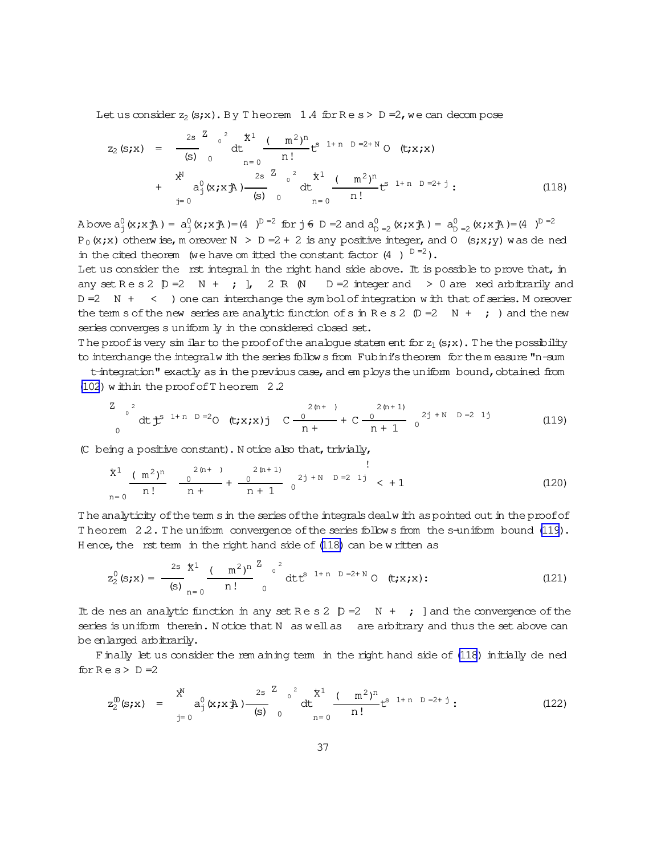Let us consider  $z_2$  (s;x). By T heorem 1.4 for  $Re s > D = 2$ , we can decompose

$$
z_{2} (s; x) = \frac{2s}{(s)} \int_{0}^{2} dt \int_{n=0}^{x} \frac{(m^{2})^{n}}{n!} t^{s} t^{n} n D = 2+N \text{ or } (t; x; x)
$$
  
+ 
$$
\frac{X^{N}}{a_{j}^{0}} (x; x \bar{A}) \frac{2s}{(s)} \int_{0}^{2} dt \int_{n=0}^{x} \frac{(m^{2})^{n}}{n!} t^{s} t^{n} n D = 2+j \tag{118}
$$

A bove  $a_1^0(x; x; \lambda) = a_1^0(x; x; \lambda) = (4 \mu)^{D} = 2$  for  $j \in D = 2$  and  $a_{D=2}^0(x; x; \lambda) = a_{D=2}^0(x; x; \lambda) = (4 \mu)^{D} = 2$  $P_0(x,x)$  otherwise, m oreover  $N > D = 2 + 2$  is any positive integer, and O (s;x;y) was de ned in the cited theorem (we have om itted the constant factor  $(4 \ )^{D=2}$ ).

Let us consider the rst integral in the right hand side above. It is possible to prove that, in any set Res 2  $\mathbb{D}$  = 2 N + ; ], 2 R  $\mathbb{N}$  D = 2 integer and > 0 are xed arbitrarily and  $D = 2$  N + < ) one can interchange the symbol of integration with that of series. M oreover the term s of the new series are analytic function of s in Res 2  $(D=2 N + j)$  and the new series converges s uniform ly in the considered closed set.

The proof is very similar to the proof of the analogue statem ent for  $z_1$  (s;x). The the possibility to interchange the integral with the series follows from Fubini's theorem for the measure "n-sum

t-integration" exactly as in the previous case, and employs the uniform bound, obtained from (102) within the proof of T heorem 2.2

$$
\int_{0}^{Z} \det_{0}^{2} t^{s} \, dt \, t^{s} \, t^{1+n} \, b = 2 \, 0 \quad (t; x; x) \, j \, c \, \frac{2(n+1)}{n+1} + C \, \frac{2(n+1)}{n+1} \, 0^{2j+N} \, b = 2 \, 1 \, j \tag{119}
$$

(C being a positive constant). Notice also that, trivially,

$$
\frac{x^{1}}{n!} \frac{(m^{2})^{n}}{n!} \frac{0}{n+} + \frac{2(n+1)}{n+1} 0 \qquad \qquad 2j + N \quad D = 2 \quad 1j \quad < +1
$$
 (120)

The analyticity of the term s in the series of the integrals dealw ith as pointed out in the proof of Theorem 22. The uniform convergence of the series follows from the s-uniform bound (119). Hence, the rst term in the right hand side of (118) can be written as

$$
z_2^0(s;x) = \frac{2s}{(s)} \frac{x^1}{n!} \frac{(m^2)^{n}}{n!} \int_0^z e^{2t} dt e^{(s-1+n)D} = 2+N \text{ or } (t;x;x): \tag{121}
$$

It de nes an analytic function in any set Res 2  $[p = 2 \t N + j]$  and the convergence of the series is uniform therein. Notice that N as well as are arbitrary and thus the set above can be enlarged arbitrarily.

Finally let us consider the rem aining term in the right hand side of (118) initially de ned  $for Re s > D = 2$ 

$$
z_2^{(0)}(s;x) = \begin{cases} x^N & \text{if } a_1^0(x;x) \to 0 \\ y=0 & \text{if } a_2^0(x;x) \to 0 \end{cases} \text{ and } \begin{cases} 2s & \text{if } a_1^1 \to 0 \\ 0 & \text{if } a_2^0 \to 0 \end{cases} \text{ and } \begin{cases} 2(122) & \text{if } a_1^0 \to 0 \\ 0 & \text{if } a_2^0 \to 0 \end{cases}
$$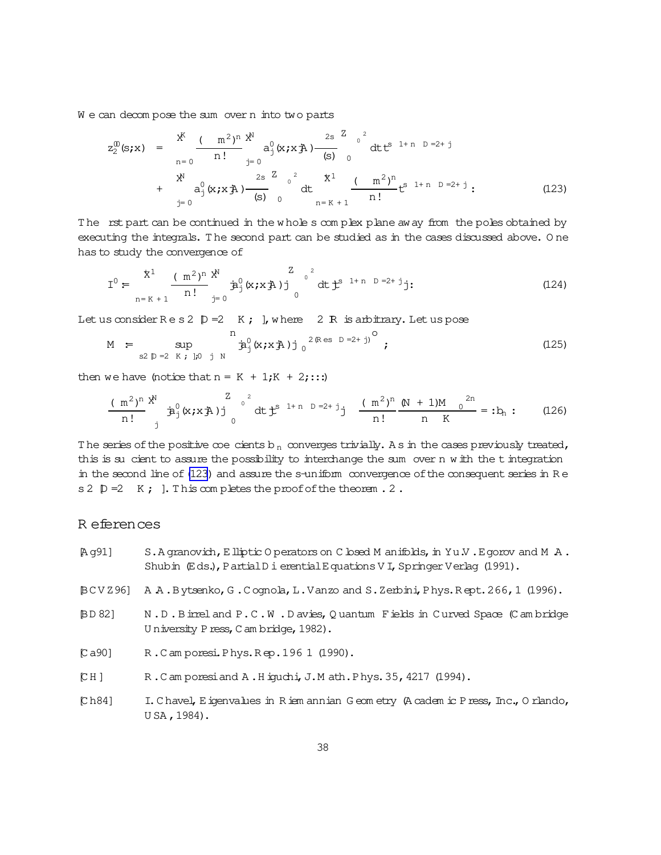<span id="page-37-0"></span>We can decompose the sum overn into two parts

$$
z_{2}^{0}(\mathbf{s}; \mathbf{x}) = \frac{\mathbf{x}^{K}}{n=0} \frac{(-m^{2})^{n} \mathbf{x}^{N}}{n!} a_{j}^{0}(\mathbf{x}; \mathbf{x} \mathbf{x}) - \frac{2 \mathbf{s}^{2}}{(\mathbf{s})^{0}} \mathbf{0}^{0} dt t^{s} \mathbf{1}^{n} \mathbf{0}^{0} = 2 + j
$$
  
+  $\frac{\mathbf{x}^{N}}{a_{j}^{0}(\mathbf{x}; \mathbf{x} \mathbf{x}) - \frac{2 \mathbf{s}^{2}}{(\mathbf{s})^{0}} \mathbf{0}^{0} dt} + \frac{\mathbf{x}^{N}}{a_{j}^{0}(\mathbf{x}; \mathbf{x} \mathbf{x}) - \frac{2 \mathbf{s}^{2}}{(\mathbf{s})^{0}} \mathbf{0}^{0} dt + \frac{\mathbf{x}^{1}}{a_{j}^{0}(\mathbf{x}; \mathbf{x} \mathbf{x}) - \frac{2 \mathbf{s}^{2}}{(\mathbf{s})^{0}} \mathbf{0}^{0} dt + \frac{\mathbf{x}^{1}}{a_{j}^{0}(\mathbf{x}; \mathbf{x} \mathbf{x}) - \frac{2 \mathbf{x}^{2}}{(\mathbf{s})^{0}} \mathbf{0}^{0} dt + \frac{\mathbf{x}^{1}}{(\mathbf{x})^{0}} \mathbf{1}^{0} + \frac{\mathbf{x}^{1}}{(\mathbf{x})^{0}} \mathbf{0}^{0} dt + \frac{\mathbf{x}^{1}}{(\mathbf{x})^{0}} \mathbf{1}^{0} + \frac{\mathbf{x}^{1}}{(\mathbf{x})^{0}} \mathbf{1}^{0} + \frac{\mathbf{x}^{1}}{(\mathbf{x})^{0}} \mathbf{1}^{0} + \frac{\mathbf{x}^{1}}{(\mathbf{x})^{0}} \mathbf{1}^{0} + \frac{\mathbf{x}^{1}}{(\mathbf{x})^{0}} \mathbf{1}^{0} + \frac{\mathbf{x}^{1}}{(\mathbf{x})^{0}} \mathbf{1}^{0} + \frac{\mathbf{x}^{1}}{(\mathbf{x})^{0}} \mathbf{1}^{0} + \frac{\mathbf{x}^{1}}{(\mathbf{x})^{0}} \mathbf{1}^{0} + \frac{\mathbf{x}^{1}}{(\mathbf{x})^{0}} \mathbf{1}^{0} + \frac{\mathbf{x}^{1}}{(\mathbf{x})^{0}} \mathbf{1}^{0} + \$ 

The rst part can be continued in the w hole s complex plane away from the poles obtained by executing the integrals. T he second part can be studied as in the cases discussed above. O ne has to study the convergence of

I <sup>0</sup>:= + 1 X n= K + 1 (m2) n n! NX j= 0 ja 0 <sup>j</sup>(x;xjA)j Z <sup>2</sup> 0 0 dtjt <sup>s</sup> 1+ <sup>n</sup> D =2+ <sup>j</sup>j: (124)

Let us consider  $R e s 2 p =2 K$ ; ], where  $2 R$  is arbitrary. Let us pose

$$
M = \sup_{s2 \, \mathbb{D} = 2 \, K \, ; \, j_0 \, j \, N} \hat{\mathbf{a}}_j^0(x; x \, \mathbf{A}) j_0^{2 \, (\text{Res } D = 2 + j)^{\circ}}; \tag{125}
$$

then we have (notice that  $n = K + 1;K + 2;...$ )

$$
\frac{(\text{m}^2)^n}{n!} \frac{x^N}{j!} \hat{a}_{j}^0(x; x j^2) \frac{z}{j}^{0^2} dt j^{s-1+n} = z+j \frac{(\text{m}^2)^n}{n!} \frac{(N+1)M}{n} \frac{0^{2n}}{K} = :b_n: \qquad (126)
$$

The series of the positive coecients b<sub>n</sub> converges trivially. A s in the cases previously treated, this is su cient to assure the possibility to interchange the sum over n w ith the t integration in the second line of (123) and assure the s-uniform convergence of the consequent series in R e s 2  $\mathbb{D} = 2$  K; ]. This completes the proof of the theorem . 2.

### R eferences

 $[A\,g91]$  S.A granovich, Elliptic O perators on C losed M anifolds, in Yu.V. E gorov and M A. Shubin (Eds.), PartialD i erential Equations V I, Springer Verlag (1991). [BC V Z96] A .A .Bytsenko,G .C ognola,L.Vanzo and S.Zerbini,Phys.R ept.266,1 (1996). [BD 82] N .D .Birreland P.C .W .D avies,Q uantum Fields in Curved Space (C am bridge University Press, C am bridge, 1982). [C a90] R .C am poresi.Phys.R ep.196 1 (1990). [C H ] R .C am poresiand A .H iguchi,J.M ath.Phys.35,4217 (1994). [Ch84] I.C havel, Eigenvalues in Riem annian G eom etry (A cadem ic Press, Inc., O rlando, U SA ,1984).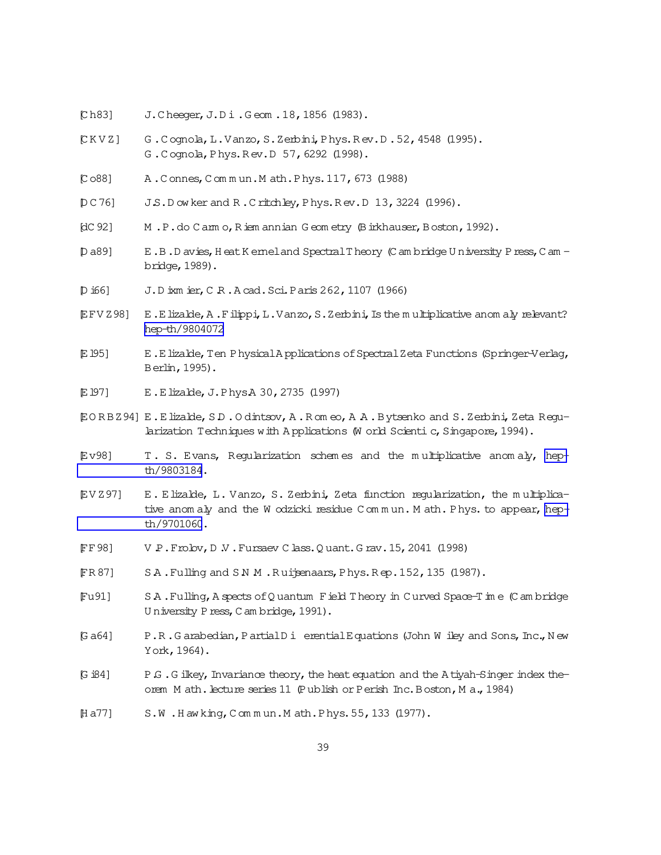- <span id="page-38-0"></span>Ch831 J. Cheeger, J. Di. Geom. 18, 1856 (1983).
- $CKVZ$ G. Cognola, L. Vanzo, S. Zerbini, Phys. Rev. D. 52, 4548 (1995). G. Cognola, Phys. Rev. D 57, 6292 (1998).
- $[CO88]$ A. Connes, Commun. Math. Phys. 117, 673 (1988)
- J.S.D ow ker and R.Critchley, Phys. Rev.D 13, 3224 (1996).  $DC76$
- $[dC 92]$ M.P.do Camo, Riem annian Geometry (Birkhauser, Boston, 1992).
- E.B.D avies, Heat K emel and Spectral T heory (C am bridge U niversity P ress, C am -D a891 bridge, 1989).
- J.D ixm ier, C R.A cad. Sci. Paris 262, 1107 (1966)  $D$  i66]
- **EFVZ981** E.E lizable, A.F ilippi, L.Vanzo, S.Zerbini, Is the multiplicative anom aly relevant? hep-th/9804072
- E 1951 E.E lizalde, Ten Physical Applications of Spectral Zeta Functions (Springer-Verlag, Berlin, 1995).
- E 1971 E.Elizalde, J.PhysA 30, 2735 (1997)
- EORBZ94] E.Elizalde, S.D.Odintsov, A.Romeo, A.A.Bytsenko and S.Zerbini, Zeta Regularization Techniques with Applications (W orld Scienti c, Singapore, 1994).
- **Ev981** T. S. Evans, Regularization schemes and the multiplicative anomaly, hepth/9803184.
- EV Z 971 E. Elizable, L. Vanzo, S. Zerbini, Zeta function regularization, the multiplicative anomaly and the W odzicki residue Commun. M ath. Phys. to appear, hepth/9701060.
- V P. Froby, D V. Fursaev C lass. O uant. G rav. 15, 2041 (1998) FF 981
- SA. Fulling and SN M. Ruipenaars, Phys. Rep. 152, 135 (1987). FR 871
- Fu911 SA. Fulling, A spects of Q uantum Field Theory in Curved Space-Time (Cambridge) University Press, Cambridge, 1991).
- G a641 P.R.Garabedian, PartialDi erentialEquations (John W iley and Sons, Inc., New York, 1964).
- P.G. G ilkey, Invariance theory, the heat equation and the A tiyah-Singer index the-G i841 orem Math. Lecture series 11 (Publish or Perish Inc. Boston, Ma., 1984)
- $[H a 77]$ S.W.Hawking, Commun.Math.Phys.55, 133 (1977).